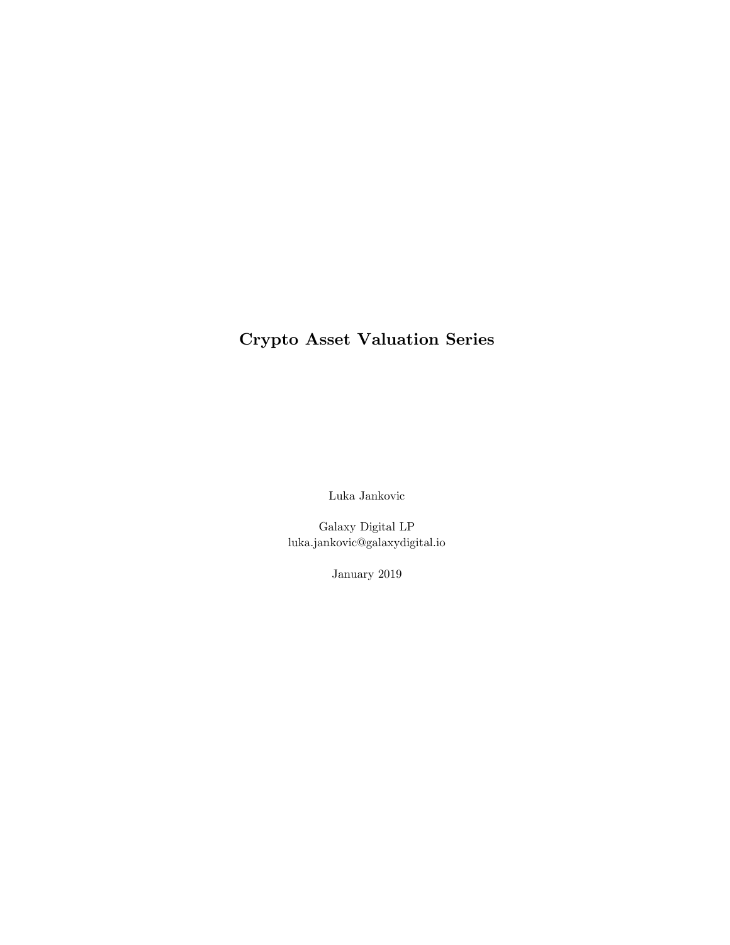# **Crypto Asset Valuation Series**

Luka Jankovic

Galaxy Digital LP luka.jankovic@galaxydigital.io

January 2019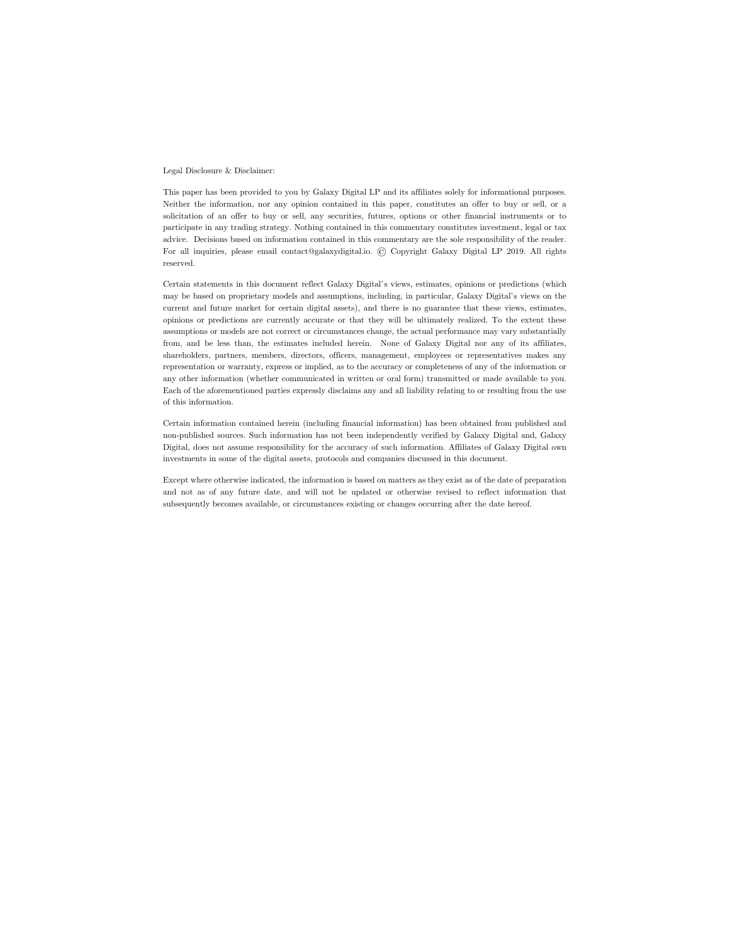#### Legal Disclosure & Disclaimer:

This paper has been provided to you by Galaxy Digital LP and its affiliates solely for informational purposes. Neither the information, nor any opinion contained in this paper, constitutes an offer to buy or sell, or a solicitation of an offer to buy or sell, any securities, futures, options or other financial instruments or to participate in any trading strategy. Nothing contained in this commentary constitutes investment, legal or tax advice. Decisions based on information contained in this commentary are the sole responsibility of the reader. For all inquiries, please email contact@galaxydigital.io. © Copyright Galaxy Digital LP 2019. All rights reserved.

Certain statements in this document reflect Galaxy Digital's views, estimates, opinions or predictions (which may be based on proprietary models and assumptions, including, in particular, Galaxy Digital's views on the current and future market for certain digital assets), and there is no guarantee that these views, estimates, opinions or predictions are currently accurate or that they will be ultimately realized. To the extent these assumptions or models are not correct or circumstances change, the actual performance may vary substantially from, and be less than, the estimates included herein. None of Galaxy Digital nor any of its affiliates, shareholders, partners, members, directors, officers, management, employees or representatives makes any representation or warranty, express or implied, as to the accuracy or completeness of any of the information or any other information (whether communicated in written or oral form) transmitted or made available to you. Each of the aforementioned parties expressly disclaims any and all liability relating to or resulting from the use of this information.

Certain information contained herein (including financial information) has been obtained from published and non-published sources. Such information has not been independently verified by Galaxy Digital and, Galaxy Digital, does not assume responsibility for the accuracy of such information. Affiliates of Galaxy Digital own investments in some of the digital assets, protocols and companies discussed in this document.

Except where otherwise indicated, the information is based on matters as they exist as of the date of preparation and not as of any future date, and will not be updated or otherwise revised to reflect information that subsequently becomes available, or circumstances existing or changes occurring after the date hereof.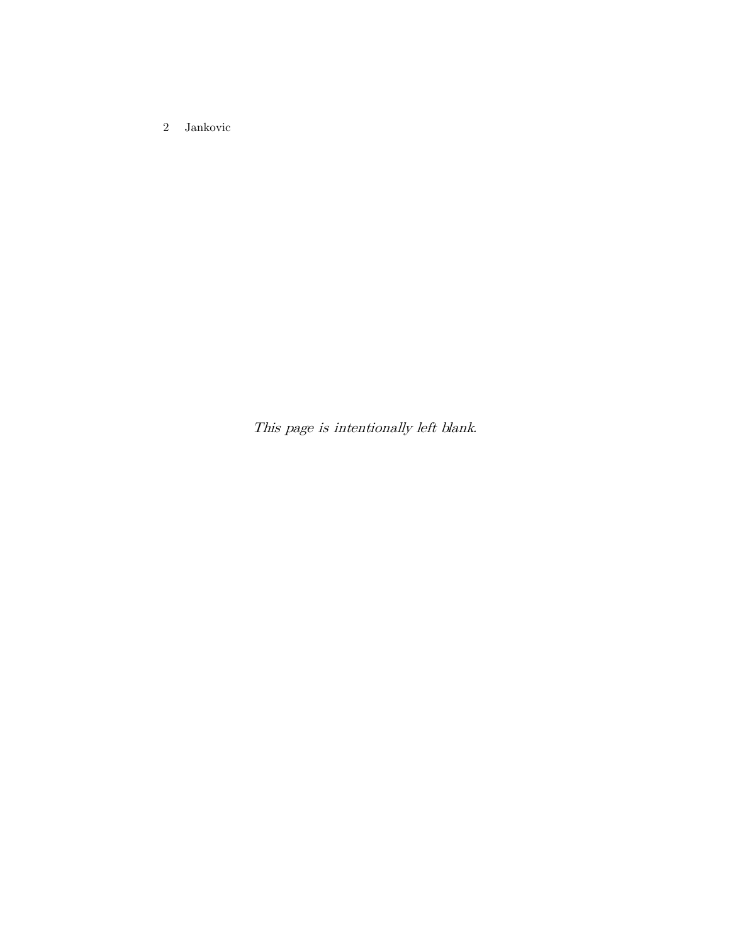This page is intentionally left blank.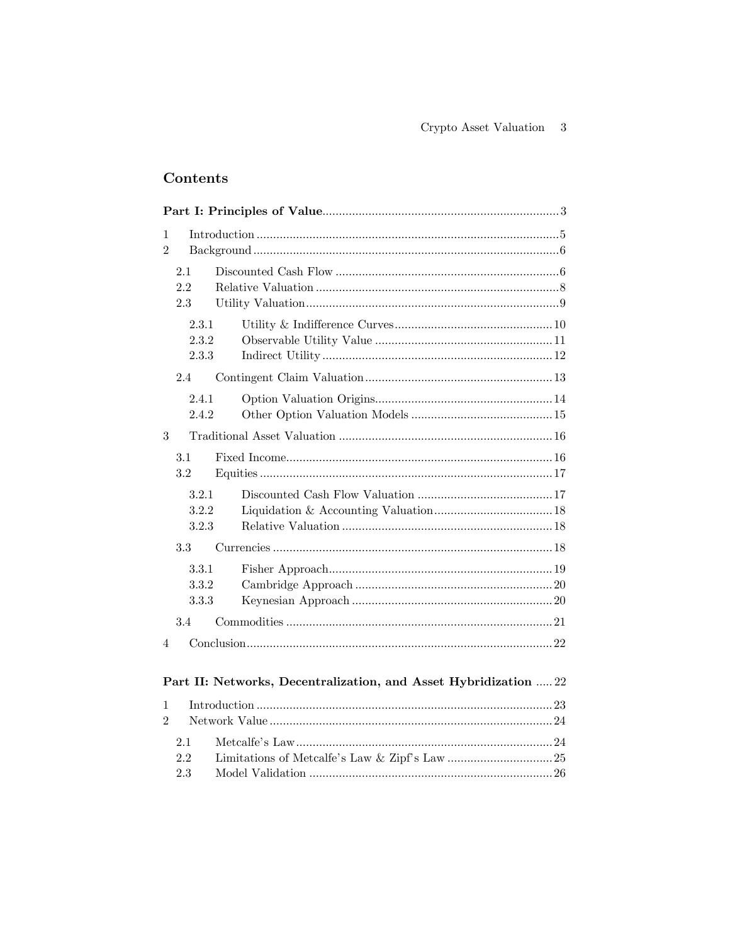# Contents

| 1              |                |                                                                                                                                                                                                                                                                                                                                             |  |  |  |  |
|----------------|----------------|---------------------------------------------------------------------------------------------------------------------------------------------------------------------------------------------------------------------------------------------------------------------------------------------------------------------------------------------|--|--|--|--|
| $\overline{2}$ |                |                                                                                                                                                                                                                                                                                                                                             |  |  |  |  |
|                | 2.1<br>2.2     |                                                                                                                                                                                                                                                                                                                                             |  |  |  |  |
|                | 2.3            |                                                                                                                                                                                                                                                                                                                                             |  |  |  |  |
|                | 2.3.1          |                                                                                                                                                                                                                                                                                                                                             |  |  |  |  |
|                | 2.3.2<br>2.3.3 |                                                                                                                                                                                                                                                                                                                                             |  |  |  |  |
|                | 2.4            |                                                                                                                                                                                                                                                                                                                                             |  |  |  |  |
|                | 2.4.1          |                                                                                                                                                                                                                                                                                                                                             |  |  |  |  |
|                | 2.4.2          |                                                                                                                                                                                                                                                                                                                                             |  |  |  |  |
| 3              |                |                                                                                                                                                                                                                                                                                                                                             |  |  |  |  |
|                | 3.1            |                                                                                                                                                                                                                                                                                                                                             |  |  |  |  |
|                | 3.2            |                                                                                                                                                                                                                                                                                                                                             |  |  |  |  |
|                | 3.2.1          |                                                                                                                                                                                                                                                                                                                                             |  |  |  |  |
|                | 3.2.2          |                                                                                                                                                                                                                                                                                                                                             |  |  |  |  |
|                | 3.2.3          | $\textbf{Relative Valuation}\dots\hspace{-0.5mm}\dots\hspace{-0.5mm}\dots\hspace{-0.5mm}\dots\hspace{-0.5mm}\dots\hspace{-0.5mm}\dots\hspace{-0.5mm}\dots\hspace{-0.5mm}\dots\hspace{-0.5mm}\dots\hspace{-0.5mm}\dots\hspace{-0.5mm}\dots\hspace{-0.5mm}\dots\hspace{-0.5mm}\dots\hspace{-0.5mm}\dots\hspace{-0.5mm}\dots\hspace{-0.5mm}18$ |  |  |  |  |
|                | $3.3\,$        |                                                                                                                                                                                                                                                                                                                                             |  |  |  |  |
|                | 3.3.1          |                                                                                                                                                                                                                                                                                                                                             |  |  |  |  |
|                | 3.3.2          |                                                                                                                                                                                                                                                                                                                                             |  |  |  |  |
|                | 3.3.3          |                                                                                                                                                                                                                                                                                                                                             |  |  |  |  |
|                | 3.4            |                                                                                                                                                                                                                                                                                                                                             |  |  |  |  |
| 4              |                |                                                                                                                                                                                                                                                                                                                                             |  |  |  |  |
|                |                | Part II: Networks, Decentralization, and Asset Hybridization  22                                                                                                                                                                                                                                                                            |  |  |  |  |
| 1              |                |                                                                                                                                                                                                                                                                                                                                             |  |  |  |  |
| $\overline{2}$ |                |                                                                                                                                                                                                                                                                                                                                             |  |  |  |  |
|                | 2.1            |                                                                                                                                                                                                                                                                                                                                             |  |  |  |  |
|                | 2.2            |                                                                                                                                                                                                                                                                                                                                             |  |  |  |  |
|                | 2.3            |                                                                                                                                                                                                                                                                                                                                             |  |  |  |  |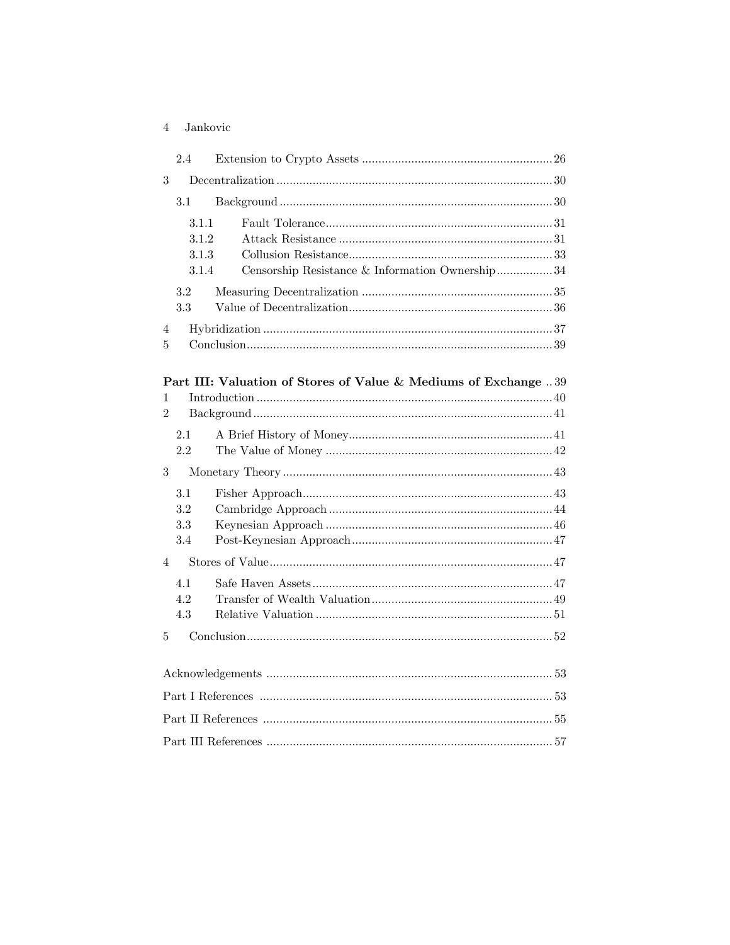|                | 2.4                              |                                                                 |  |
|----------------|----------------------------------|-----------------------------------------------------------------|--|
| 3              |                                  |                                                                 |  |
|                | 3.1                              |                                                                 |  |
|                | 3.1.1<br>3.1.2<br>3.1.3<br>3.1.4 | Censorship Resistance & Information Ownership34                 |  |
|                | 3.2<br>3.3                       |                                                                 |  |
| 4<br>5         |                                  |                                                                 |  |
|                |                                  | Part III: Valuation of Stores of Value & Mediums of Exchange 39 |  |
| 1              |                                  |                                                                 |  |
| $\overline{2}$ |                                  |                                                                 |  |
|                | 2.1<br>2.2                       |                                                                 |  |
| 3              |                                  |                                                                 |  |
|                |                                  |                                                                 |  |
|                | 3.1                              |                                                                 |  |
|                | 3.2<br>3.3                       |                                                                 |  |
|                | 3.4                              |                                                                 |  |
| $\overline{4}$ |                                  |                                                                 |  |
|                | 4.1                              |                                                                 |  |
|                | 4.2                              |                                                                 |  |
|                | 4.3                              |                                                                 |  |
| 5              |                                  |                                                                 |  |
|                |                                  |                                                                 |  |
|                |                                  |                                                                 |  |
|                |                                  |                                                                 |  |
|                |                                  |                                                                 |  |
|                |                                  |                                                                 |  |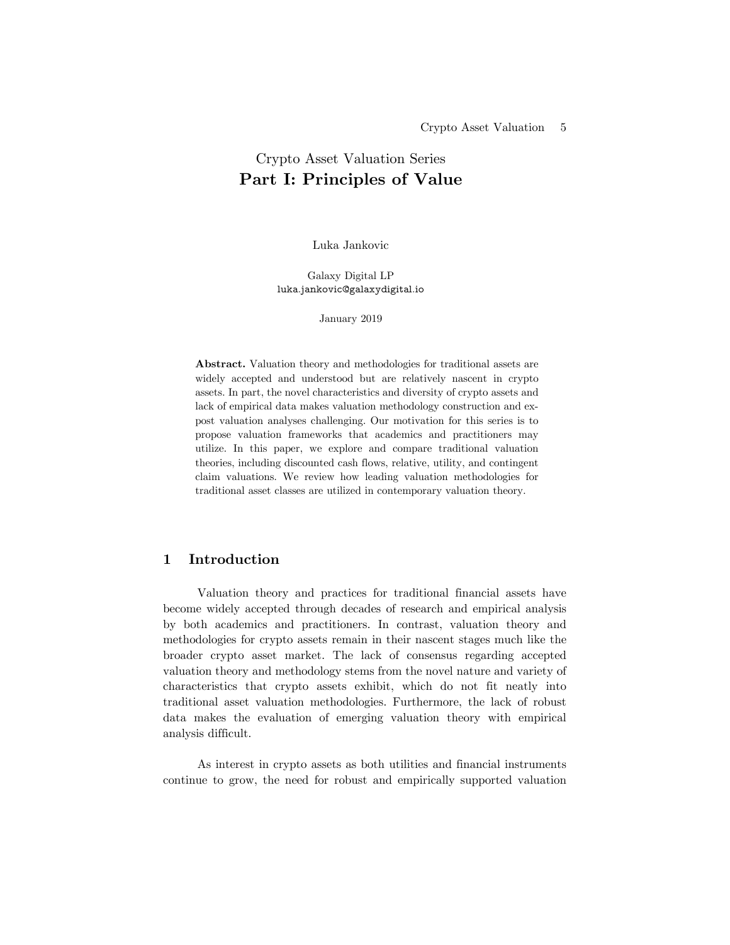# Crypto Asset Valuation Series **Part I: Principles of Value**

Luka Jankovic

Galaxy Digital LP luka.jankovic@galaxydigital.io

January 2019

**Abstract.** Valuation theory and methodologies for traditional assets are widely accepted and understood but are relatively nascent in crypto assets. In part, the novel characteristics and diversity of crypto assets and lack of empirical data makes valuation methodology construction and expost valuation analyses challenging. Our motivation for this series is to propose valuation frameworks that academics and practitioners may utilize. In this paper, we explore and compare traditional valuation theories, including discounted cash flows, relative, utility, and contingent claim valuations. We review how leading valuation methodologies for traditional asset classes are utilized in contemporary valuation theory.

# <span id="page-5-0"></span>**1 Introduction**

Valuation theory and practices for traditional financial assets have become widely accepted through decades of research and empirical analysis by both academics and practitioners. In contrast, valuation theory and methodologies for crypto assets remain in their nascent stages much like the broader crypto asset market. The lack of consensus regarding accepted valuation theory and methodology stems from the novel nature and variety of characteristics that crypto assets exhibit, which do not fit neatly into traditional asset valuation methodologies. Furthermore, the lack of robust data makes the evaluation of emerging valuation theory with empirical analysis difficult.

As interest in crypto assets as both utilities and financial instruments continue to grow, the need for robust and empirically supported valuation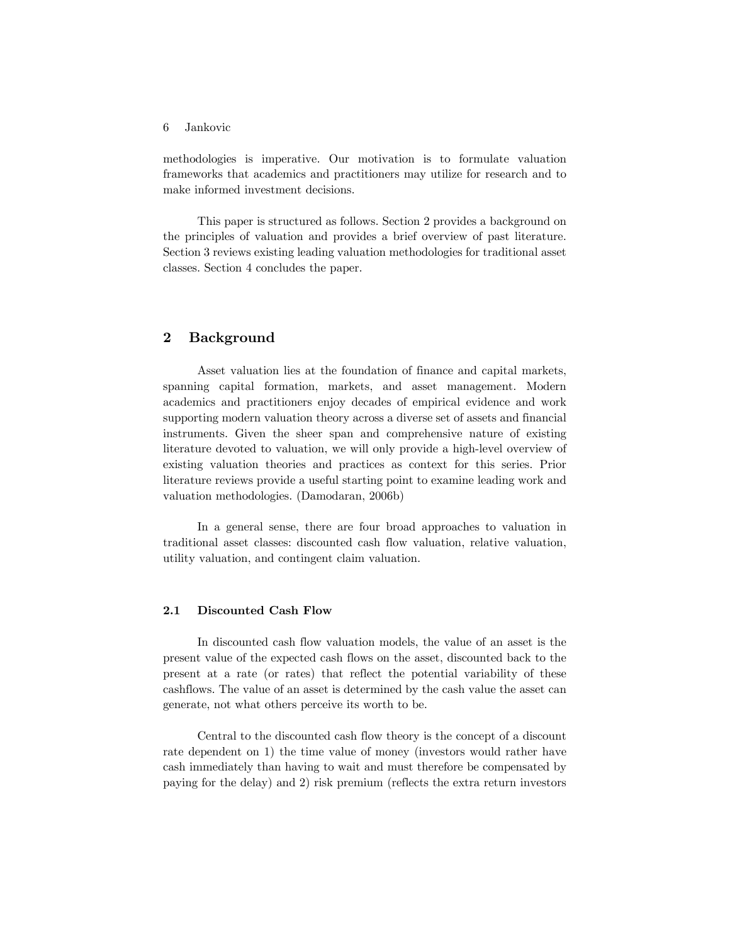methodologies is imperative. Our motivation is to formulate valuation frameworks that academics and practitioners may utilize for research and to make informed investment decisions.

This paper is structured as follows. Section 2 provides a background on the principles of valuation and provides a brief overview of past literature. Section 3 reviews existing leading valuation methodologies for traditional asset classes. Section 4 concludes the paper.

# <span id="page-6-0"></span>**2 Background**

Asset valuation lies at the foundation of finance and capital markets, spanning capital formation, markets, and asset management. Modern academics and practitioners enjoy decades of empirical evidence and work supporting modern valuation theory across a diverse set of assets and financial instruments. Given the sheer span and comprehensive nature of existing literature devoted to valuation, we will only provide a high-level overview of existing valuation theories and practices as context for this series. Prior literature reviews provide a useful starting point to examine leading work and valuation methodologies. (Damodaran, 2006b)

In a general sense, there are four broad approaches to valuation in traditional asset classes: discounted cash flow valuation, relative valuation, utility valuation, and contingent claim valuation.

## <span id="page-6-1"></span>**2.1 Discounted Cash Flow**

In discounted cash flow valuation models, the value of an asset is the present value of the expected cash flows on the asset, discounted back to the present at a rate (or rates) that reflect the potential variability of these cashflows. The value of an asset is determined by the cash value the asset can generate, not what others perceive its worth to be.

Central to the discounted cash flow theory is the concept of a discount rate dependent on 1) the time value of money (investors would rather have cash immediately than having to wait and must therefore be compensated by paying for the delay) and 2) risk premium (reflects the extra return investors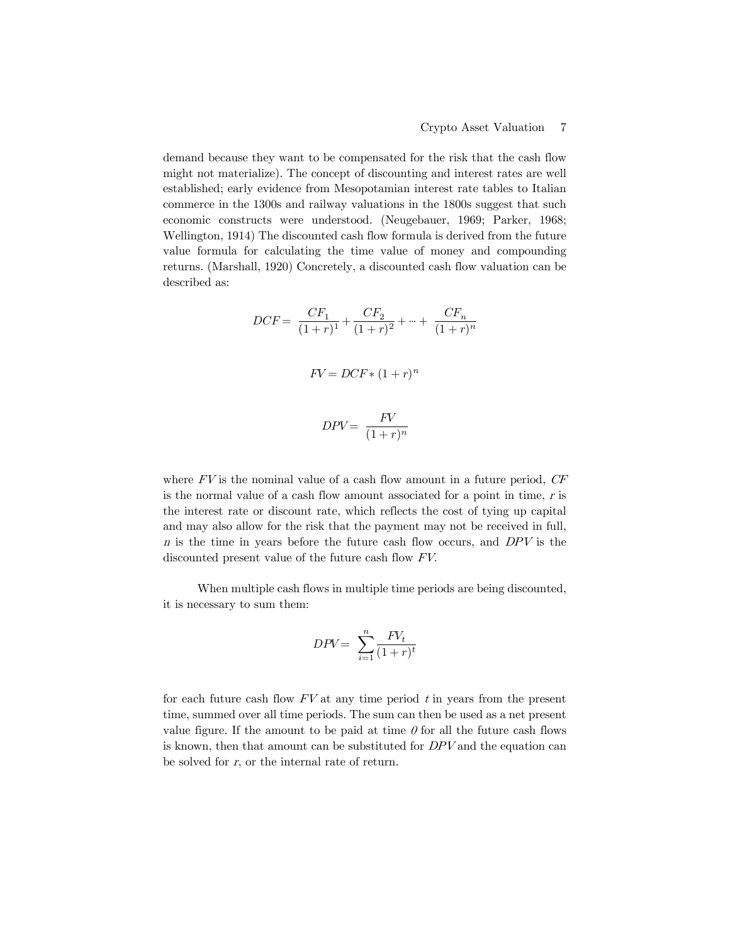demand because they want to be compensated for the risk that the cash flow might not materialize). The concept of discounting and interest rates are well established; early evidence from Mesopotamian interest rate tables to Italian commerce in the 1300s and railway valuations in the 1800s suggest that such economic constructs were understood. (Neugebauer, 1969; Parker, 1968; Wellington, 1914) The discounted cash flow formula is derived from the future value formula for calculating the time value of money and compounding returns. (Marshall, 1920) Concretely, a discounted cash flow valuation can be described as:

$$
DCF = \frac{CF_1}{(1+r)^1} + \frac{CF_2}{(1+r)^2} + \dots + \frac{CF_n}{(1+r)^n}
$$

$$
FV = DCF * (1+r)^n
$$

$$
DPV = \frac{FV}{(1+r)^n}
$$

where  $FV$  is the nominal value of a cash flow amount in a future period,  $CF$ is the normal value of a cash flow amount associated for a point in time,  $r$  is the interest rate or discount rate, which reflects the cost of tying up capital and may also allow for the risk that the payment may not be received in full,  $n$  is the time in years before the future cash flow occurs, and  $DPV$  is the discounted present value of the future cash flow FV.

When multiple cash flows in multiple time periods are being discounted, it is necessary to sum them:

$$
DPV = \sum_{i=1}^{n} \frac{FV_t}{(1+r)^t}
$$

for each future cash flow  $FV$  at any time period  $t$  in years from the present time, summed over all time periods. The sum can then be used as a net present value figure. If the amount to be paid at time  $\theta$  for all the future cash flows is known, then that amount can be substituted for  $DPV$  and the equation can be solved for  $r$ , or the internal rate of return.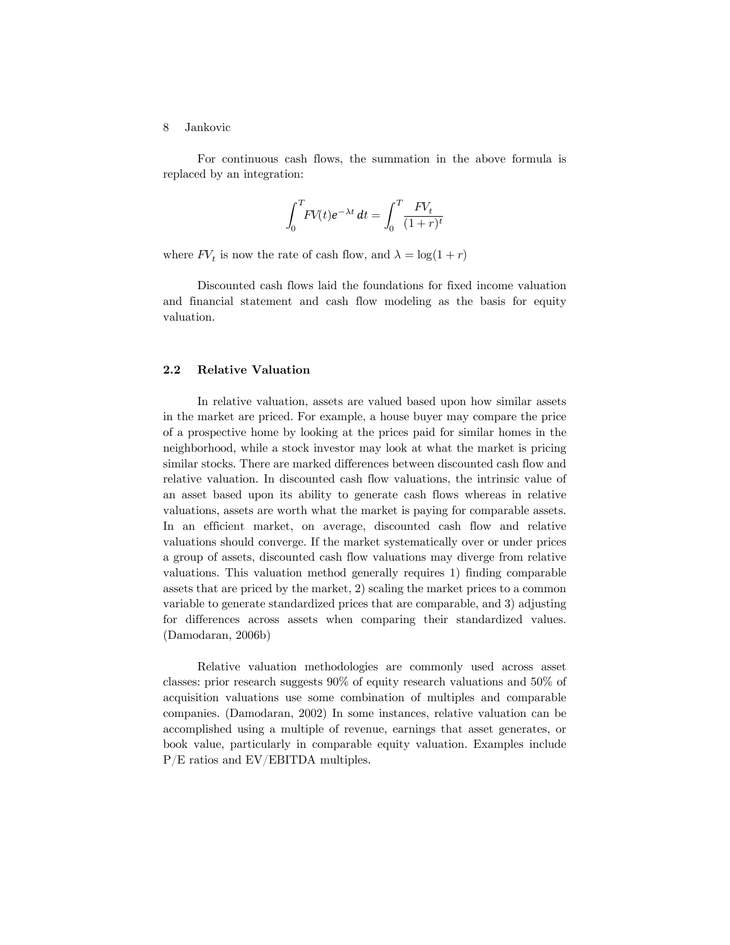For continuous cash flows, the summation in the above formula is replaced by an integration:

$$
\int_0^T FV(t)e^{-\lambda t} dt = \int_0^T \frac{FV_t}{(1+r)^t}
$$

where  $FV_t$  is now the rate of cash flow, and  $\lambda = \log(1+r)$ 

Discounted cash flows laid the foundations for fixed income valuation and financial statement and cash flow modeling as the basis for equity valuation.

# <span id="page-8-0"></span>**2.2 Relative Valuation**

In relative valuation, assets are valued based upon how similar assets in the market are priced. For example, a house buyer may compare the price of a prospective home by looking at the prices paid for similar homes in the neighborhood, while a stock investor may look at what the market is pricing similar stocks. There are marked differences between discounted cash flow and relative valuation. In discounted cash flow valuations, the intrinsic value of an asset based upon its ability to generate cash flows whereas in relative valuations, assets are worth what the market is paying for comparable assets. In an efficient market, on average, discounted cash flow and relative valuations should converge. If the market systematically over or under prices a group of assets, discounted cash flow valuations may diverge from relative valuations. This valuation method generally requires 1) finding comparable assets that are priced by the market, 2) scaling the market prices to a common variable to generate standardized prices that are comparable, and 3) adjusting for differences across assets when comparing their standardized values. (Damodaran, 2006b)

Relative valuation methodologies are commonly used across asset classes: prior research suggests 90% of equity research valuations and 50% of acquisition valuations use some combination of multiples and comparable companies. (Damodaran, 2002) In some instances, relative valuation can be accomplished using a multiple of revenue, earnings that asset generates, or book value, particularly in comparable equity valuation. Examples include P/E ratios and EV/EBITDA multiples.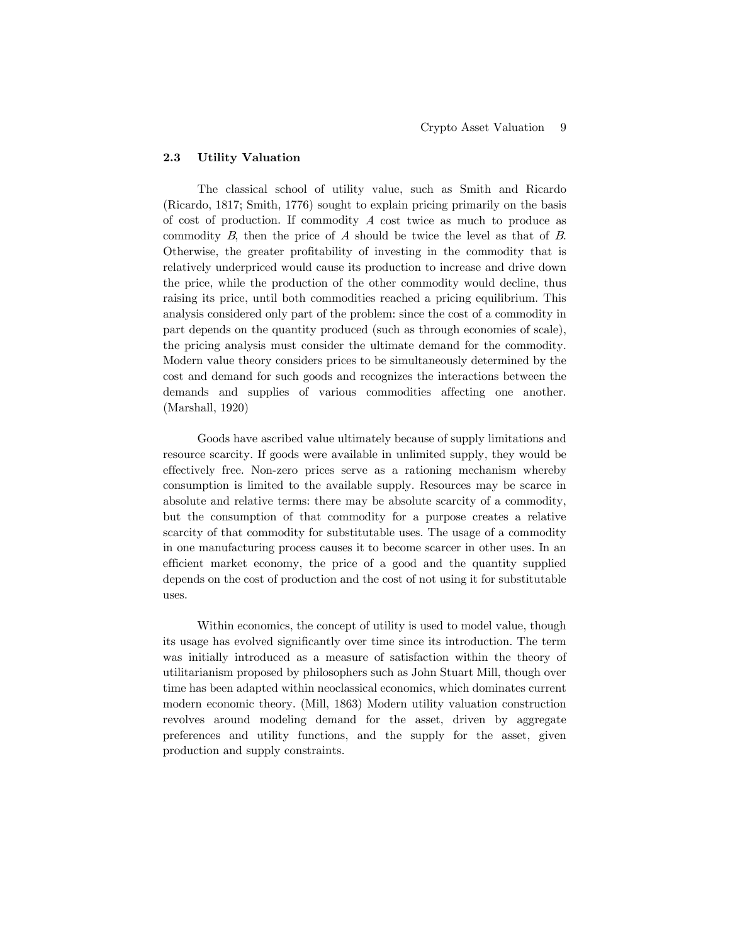### <span id="page-9-0"></span>**2.3 Utility Valuation**

The classical school of utility value, such as Smith and Ricardo (Ricardo, 1817; Smith, 1776) sought to explain pricing primarily on the basis of cost of production. If commodity  $A$  cost twice as much to produce as commodity  $B$ , then the price of  $A$  should be twice the level as that of  $B$ . Otherwise, the greater profitability of investing in the commodity that is relatively underpriced would cause its production to increase and drive down the price, while the production of the other commodity would decline, thus raising its price, until both commodities reached a pricing equilibrium. This analysis considered only part of the problem: since the cost of a commodity in part depends on the quantity produced (such as through economies of scale), the pricing analysis must consider the ultimate demand for the commodity. Modern value theory considers prices to be simultaneously determined by the cost and demand for such goods and recognizes the interactions between the demands and supplies of various commodities affecting one another. (Marshall, 1920)

Goods have ascribed value ultimately because of supply limitations and resource scarcity. If goods were available in unlimited supply, they would be effectively free. Non-zero prices serve as a rationing mechanism whereby consumption is limited to the available supply. Resources may be scarce in absolute and relative terms: there may be absolute scarcity of a commodity, but the consumption of that commodity for a purpose creates a relative scarcity of that commodity for substitutable uses. The usage of a commodity in one manufacturing process causes it to become scarcer in other uses. In an efficient market economy, the price of a good and the quantity supplied depends on the cost of production and the cost of not using it for substitutable uses.

Within economics, the concept of utility is used to model value, though its usage has evolved significantly over time since its introduction. The term was initially introduced as a measure of satisfaction within the theory of utilitarianism proposed by philosophers such as John Stuart Mill, though over time has been adapted within neoclassical economics, which dominates current modern economic theory. (Mill, 1863) Modern utility valuation construction revolves around modeling demand for the asset, driven by aggregate preferences and utility functions, and the supply for the asset, given production and supply constraints.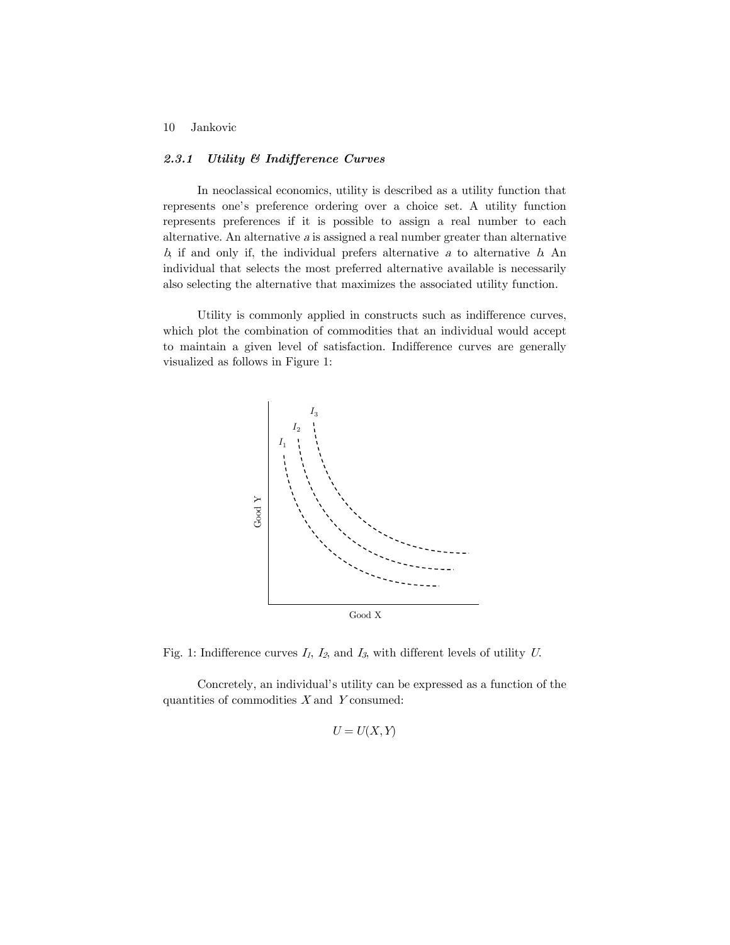# <span id="page-10-0"></span>*2.3.1 Utility & Indifference Curves*

In neoclassical economics, utility is described as a utility function that represents one's preference ordering over a choice set. A utility function represents preferences if it is possible to assign a real number to each alternative. An alternative <sup>a</sup> is assigned a real number greater than alternative  $b$ , if and only if, the individual prefers alternative a to alternative  $b$ . An individual that selects the most preferred alternative available is necessarily also selecting the alternative that maximizes the associated utility function.

Utility is commonly applied in constructs such as indifference curves, which plot the combination of commodities that an individual would accept to maintain a given level of satisfaction. Indifference curves are generally visualized as follows in Figure 1:





Concretely, an individual's utility can be expressed as a function of the quantities of commodities  $X$  and  $Y$  consumed:

$$
U = U(X, Y)
$$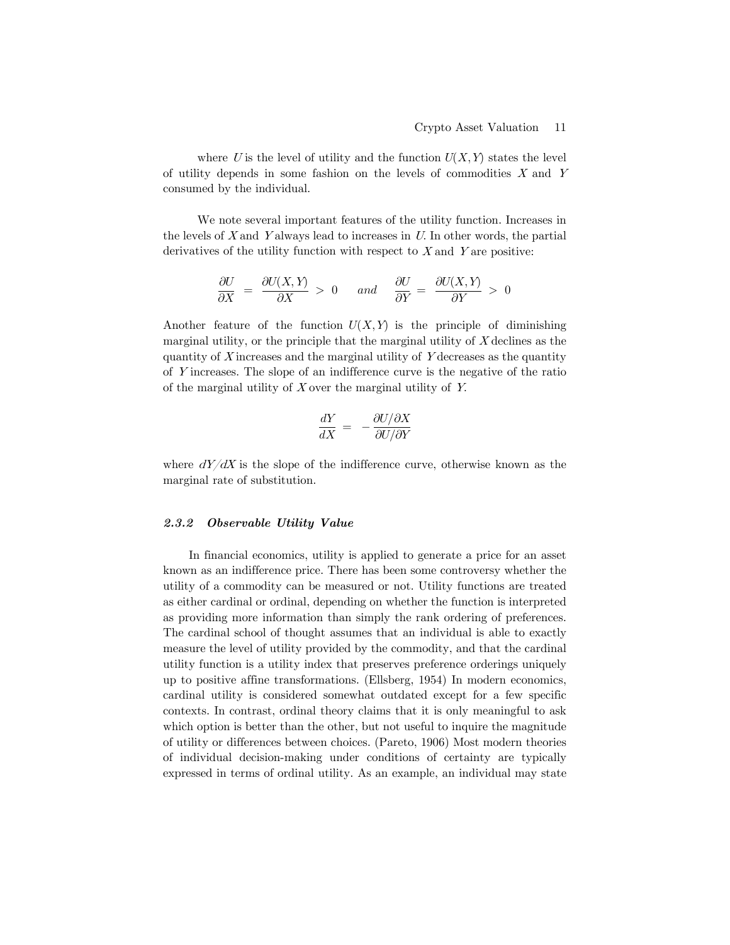where U is the level of utility and the function  $U(X, Y)$  states the level of utility depends in some fashion on the levels of commodities  $X$  and  $Y$ consumed by the individual.

We note several important features of the utility function. Increases in the levels of  $X$  and  $Y$  always lead to increases in  $U$ . In other words, the partial derivatives of the utility function with respect to  $X$  and  $Y$  are positive:

$$
\frac{\partial U}{\partial X} = \frac{\partial U(X, Y)}{\partial X} > 0 \quad \text{and} \quad \frac{\partial U}{\partial Y} = \frac{\partial U(X, Y)}{\partial Y} > 0
$$

Another feature of the function  $U(X, Y)$  is the principle of diminishing marginal utility, or the principle that the marginal utility of  $X$  declines as the quantity of X increases and the marginal utility of Y decreases as the quantity of <sup>Y</sup> increases. The slope of an indifference curve is the negative of the ratio of the marginal utility of  $X$  over the marginal utility of  $Y$ .

$$
\frac{dY}{dX} = -\frac{\partial U/\partial X}{\partial U/\partial Y}
$$

where  $dY/dX$  is the slope of the indifference curve, otherwise known as the marginal rate of substitution.

#### <span id="page-11-0"></span>*2.3.2 Observable Utility Value*

In financial economics, utility is applied to generate a price for an asset known as an indifference price. There has been some controversy whether the utility of a commodity can be measured or not. Utility functions are treated as either cardinal or ordinal, depending on whether the function is interpreted as providing more information than simply the rank ordering of preferences. The cardinal school of thought assumes that an individual is able to exactly measure the level of utility provided by the commodity, and that the cardinal utility function is a utility index that preserves preference orderings uniquely up to positive affine transformations. (Ellsberg, 1954) In modern economics, cardinal utility is considered somewhat outdated except for a few specific contexts. In contrast, ordinal theory claims that it is only meaningful to ask which option is better than the other, but not useful to inquire the magnitude of utility or differences between choices. (Pareto, 1906) Most modern theories of individual decision-making under conditions of certainty are typically expressed in terms of ordinal utility. As an example, an individual may state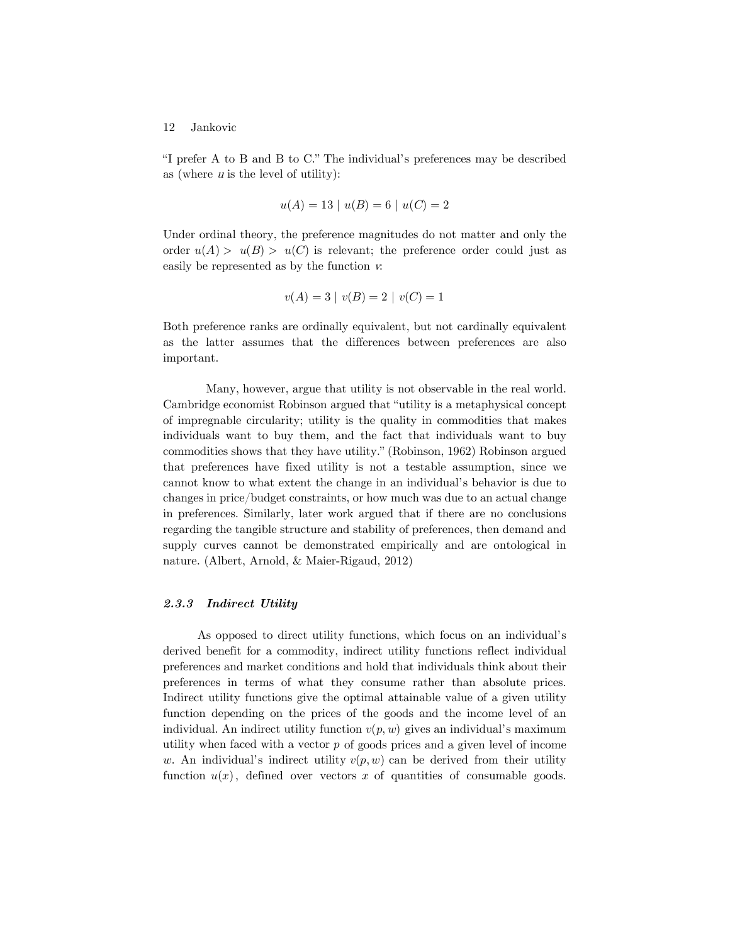"I prefer A to B and B to C." The individual's preferences may be described as (where  $u$  is the level of utility):

$$
u(A) = 13 \mid u(B) = 6 \mid u(C) = 2
$$

Under ordinal theory, the preference magnitudes do not matter and only the order  $u(A) > u(B) > u(C)$  is relevant; the preference order could just as easily be represented as by the function  $\nu$ :

$$
v(A) = 3 | v(B) = 2 | v(C) = 1
$$

Both preference ranks are ordinally equivalent, but not cardinally equivalent as the latter assumes that the differences between preferences are also important.

Many, however, argue that utility is not observable in the real world. Cambridge economist Robinson argued that "utility is a metaphysical concept of impregnable circularity; utility is the quality in commodities that makes individuals want to buy them, and the fact that individuals want to buy commodities shows that they have utility." (Robinson, 1962) Robinson argued that preferences have fixed utility is not a testable assumption, since we cannot know to what extent the change in an individual's behavior is due to changes in price/budget constraints, or how much was due to an actual change in preferences. Similarly, later work argued that if there are no conclusions regarding the tangible structure and stability of preferences, then demand and supply curves cannot be demonstrated empirically and are ontological in nature. (Albert, Arnold, & Maier-Rigaud, 2012)

# <span id="page-12-0"></span>*2.3.3 Indirect Utility*

As opposed to direct utility functions, which focus on an individual's derived benefit for a commodity, indirect utility functions reflect individual preferences and market conditions and hold that individuals think about their preferences in terms of what they consume rather than absolute prices. Indirect utility functions give the optimal attainable value of a given utility function depending on the prices of the goods and the income level of an individual. An indirect utility function  $v(p, w)$  gives an individual's maximum utility when faced with a vector  $p$  of goods prices and a given level of income w. An individual's indirect utility  $v(p, w)$  can be derived from their utility function  $u(x)$ , defined over vectors x of quantities of consumable goods.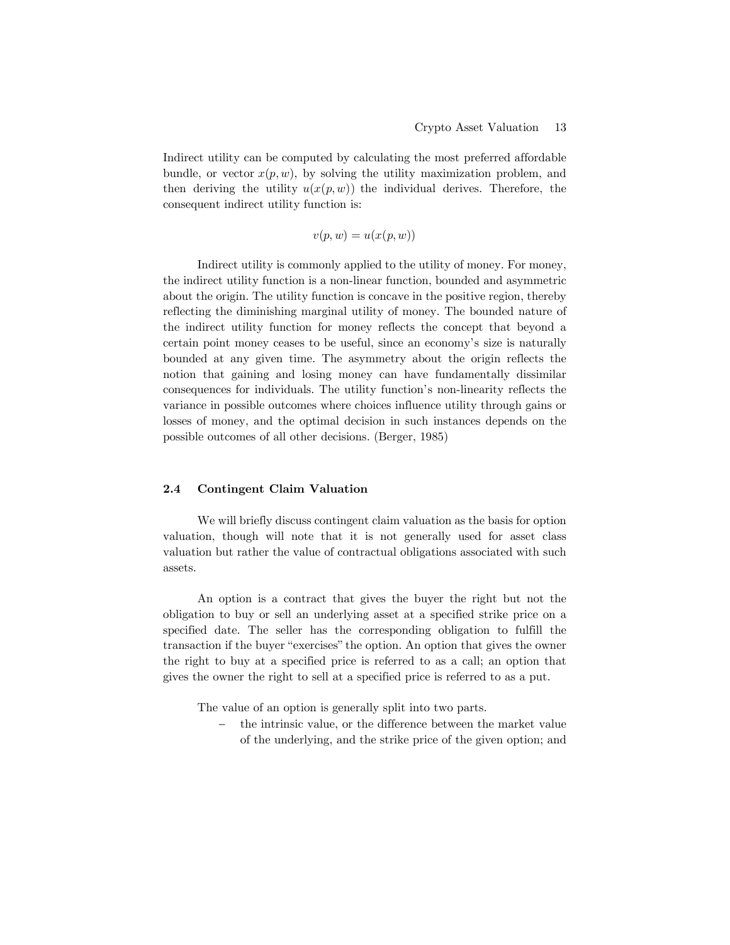Indirect utility can be computed by calculating the most preferred affordable bundle, or vector  $x(p, w)$ , by solving the utility maximization problem, and then deriving the utility  $u(x(p, w))$  the individual derives. Therefore, the consequent indirect utility function is:

$$
v(p, w) = u(x(p, w))
$$

Indirect utility is commonly applied to the utility of money. For money, the indirect utility function is a non-linear function, bounded and asymmetric about the origin. The utility function is concave in the positive region, thereby reflecting the diminishing marginal utility of money. The bounded nature of the indirect utility function for money reflects the concept that beyond a certain point money ceases to be useful, since an economy's size is naturally bounded at any given time. The asymmetry about the origin reflects the notion that gaining and losing money can have fundamentally dissimilar consequences for individuals. The utility function's non-linearity reflects the variance in possible outcomes where choices influence utility through gains or losses of money, and the optimal decision in such instances depends on the possible outcomes of all other decisions. (Berger, 1985)

# <span id="page-13-0"></span>**2.4 Contingent Claim Valuation**

We will briefly discuss contingent claim valuation as the basis for option valuation, though will note that it is not generally used for asset class valuation but rather the value of contractual obligations associated with such assets.

An option is a contract that gives the buyer the right but not the obligation to buy or sell an underlying asset at a specified strike price on a specified date. The seller has the corresponding obligation to fulfill the transaction if the buyer "exercises" the option. An option that gives the owner the right to buy at a specified price is referred to as a call; an option that gives the owner the right to sell at a specified price is referred to as a put.

The value of an option is generally split into two parts.

− the intrinsic value, or the difference between the market value of the underlying, and the strike price of the given option; and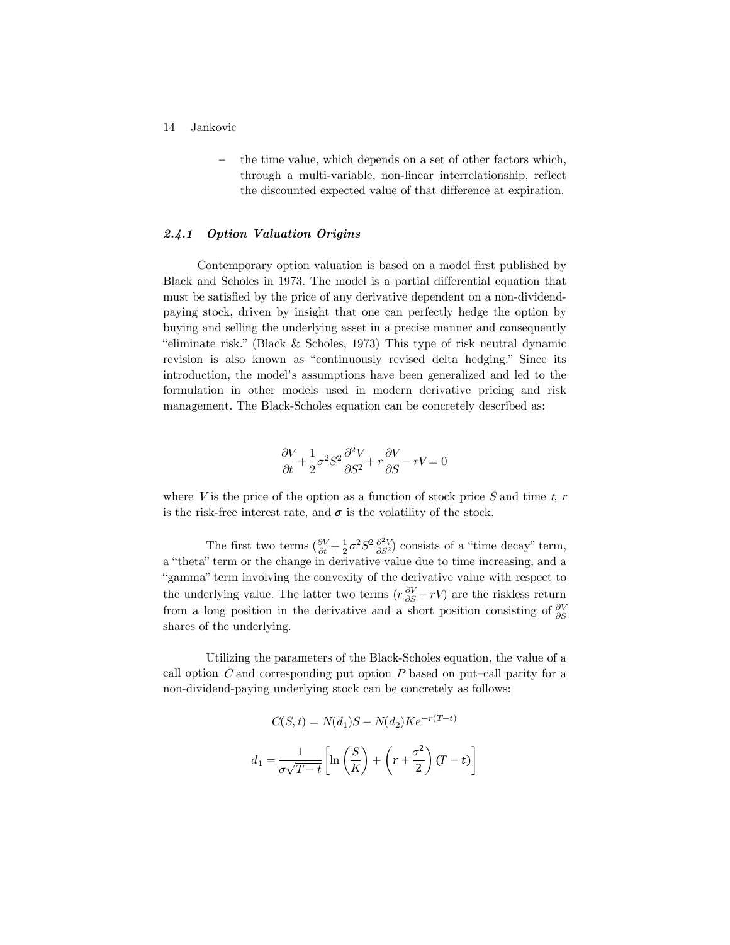the time value, which depends on a set of other factors which, through a multi-variable, non-linear interrelationship, reflect the discounted expected value of that difference at expiration.

# <span id="page-14-0"></span>*2.4.1 Option Valuation Origins*

Contemporary option valuation is based on a model first published by Black and Scholes in 1973. The model is a partial differential equation that must be satisfied by the price of any derivative dependent on a non-dividendpaying stock, driven by insight that one can perfectly hedge the option by buying and selling the underlying asset in a precise manner and consequently "eliminate risk." (Black & Scholes, 1973) This type of risk neutral dynamic revision is also known as "continuously revised delta hedging." Since its introduction, the model's assumptions have been generalized and led to the formulation in other models used in modern derivative pricing and risk management. The Black-Scholes equation can be concretely described as:

$$
\frac{\partial V}{\partial t} + \frac{1}{2}\sigma^2 S^2 \frac{\partial^2 V}{\partial S^2} + r \frac{\partial V}{\partial S} - rV = 0
$$

where V is the price of the option as a function of stock price  $S$  and time  $t, r$ is the risk-free interest rate, and  $\sigma$  is the volatility of the stock.

The first two terms  $\left(\frac{\partial V}{\partial t} + \frac{1}{2}\sigma^2 S^2 \frac{\partial^2 V}{\partial S^2}\right)$  consists of a "time decay" term, a "theta" term or the change in derivative value due to time increasing, and a "gamma" term involving the convexity of the derivative value with respect to the underlying value. The latter two terms  $(r\frac{\partial V}{\partial S} - rV)$  are the riskless return from a long position in the derivative and a short position consisting of  $\frac{\partial V}{\partial S}$ shares of the underlying.

Utilizing the parameters of the Black-Scholes equation, the value of a call option  $C$  and corresponding put option  $P$  based on put–call parity for a non-dividend-paying underlying stock can be concretely as follows:

$$
C(S,t) = N(d_1)S - N(d_2)Ke^{-r(T-t)}
$$

$$
d_1 = \frac{1}{\sigma\sqrt{T-t}} \left[ \ln\left(\frac{S}{K}\right) + \left(r + \frac{\sigma^2}{2}\right)(T-t) \right]
$$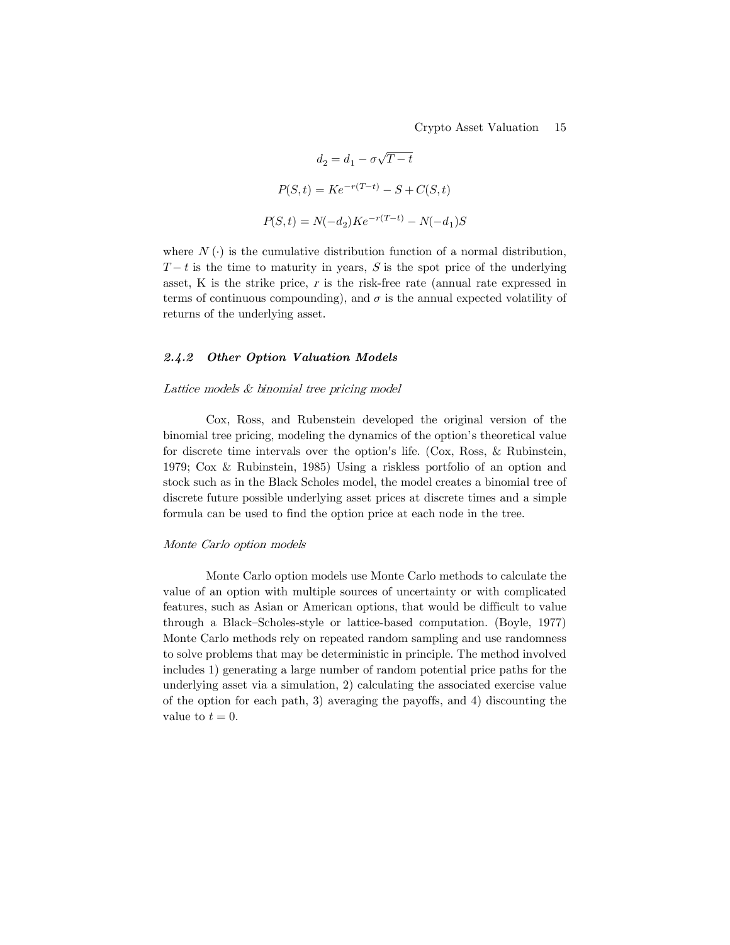Crypto Asset Valuation 15

$$
d_2 = d_1 - \sigma \sqrt{T - t}
$$

$$
P(S, t) = Ke^{-r(T-t)} - S + C(S, t)
$$

$$
P(S, t) = N(-d_2)Ke^{-r(T-t)} - N(-d_1)S
$$

where  $N(\cdot)$  is the cumulative distribution function of a normal distribution,  $T-t$  is the time to maturity in years, S is the spot price of the underlying asset, K is the strike price,  $r$  is the risk-free rate (annual rate expressed in terms of continuous compounding), and  $\sigma$  is the annual expected volatility of returns of the underlying asset.

### <span id="page-15-0"></span>*2.4.2 Other Option Valuation Models*

#### Lattice models & binomial tree pricing model

Cox, Ross, and Rubenstein developed the original version of the binomial tree pricing, modeling the dynamics of the option's theoretical value for discrete time intervals over the option's life. (Cox, Ross, & Rubinstein, 1979; Cox & Rubinstein, 1985) Using a riskless portfolio of an option and stock such as in the Black Scholes model, the model creates a binomial tree of discrete future possible underlying asset prices at discrete times and a simple formula can be used to find the option price at each node in the tree.

#### Monte Carlo option models

Monte Carlo option models use Monte Carlo methods to calculate the value of an option with multiple sources of uncertainty or with complicated features, such as Asian or American options, that would be difficult to value through a Black–Scholes-style or lattice-based computation. (Boyle, 1977) Monte Carlo methods rely on repeated random sampling and use randomness to solve problems that may be deterministic in principle. The method involved includes 1) generating a large number of random potential price paths for the underlying asset via a simulation, 2) calculating the associated exercise value of the option for each path, 3) averaging the payoffs, and 4) discounting the value to  $t = 0$ .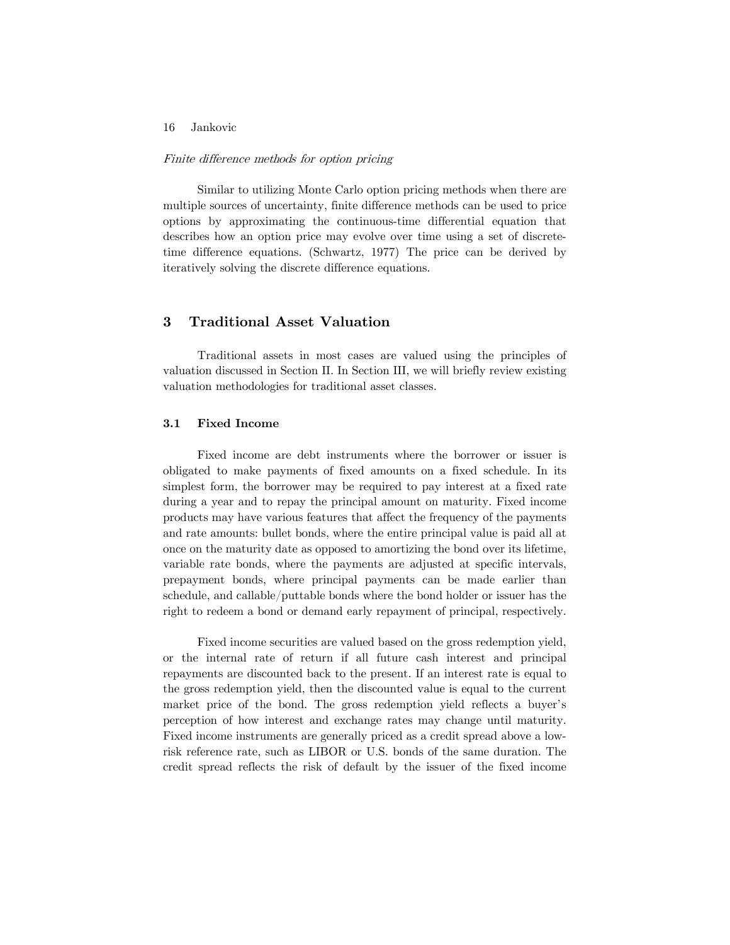### Finite difference methods for option pricing

Similar to utilizing Monte Carlo option pricing methods when there are multiple sources of uncertainty, finite difference methods can be used to price options by approximating the continuous-time differential equation that describes how an option price may evolve over time using a set of discretetime difference equations. (Schwartz, 1977) The price can be derived by iteratively solving the discrete difference equations.

# <span id="page-16-0"></span>**3 Traditional Asset Valuation**

Traditional assets in most cases are valued using the principles of valuation discussed in Section II. In Section III, we will briefly review existing valuation methodologies for traditional asset classes.

# <span id="page-16-1"></span>**3.1 Fixed Income**

Fixed income are debt instruments where the borrower or issuer is obligated to make payments of fixed amounts on a fixed schedule. In its simplest form, the borrower may be required to pay interest at a fixed rate during a year and to repay the principal amount on maturity. Fixed income products may have various features that affect the frequency of the payments and rate amounts: bullet bonds, where the entire principal value is paid all at once on the maturity date as opposed to amortizing the bond over its lifetime, variable rate bonds, where the payments are adjusted at specific intervals, prepayment bonds, where principal payments can be made earlier than schedule, and callable/puttable bonds where the bond holder or issuer has the right to redeem a bond or demand early repayment of principal, respectively.

Fixed income securities are valued based on the gross redemption yield, or the internal rate of return if all future cash interest and principal repayments are discounted back to the present. If an interest rate is equal to the gross redemption yield, then the discounted value is equal to the current market price of the bond. The gross redemption yield reflects a buyer's perception of how interest and exchange rates may change until maturity. Fixed income instruments are generally priced as a credit spread above a lowrisk reference rate, such as LIBOR or U.S. bonds of the same duration. The credit spread reflects the risk of default by the issuer of the fixed income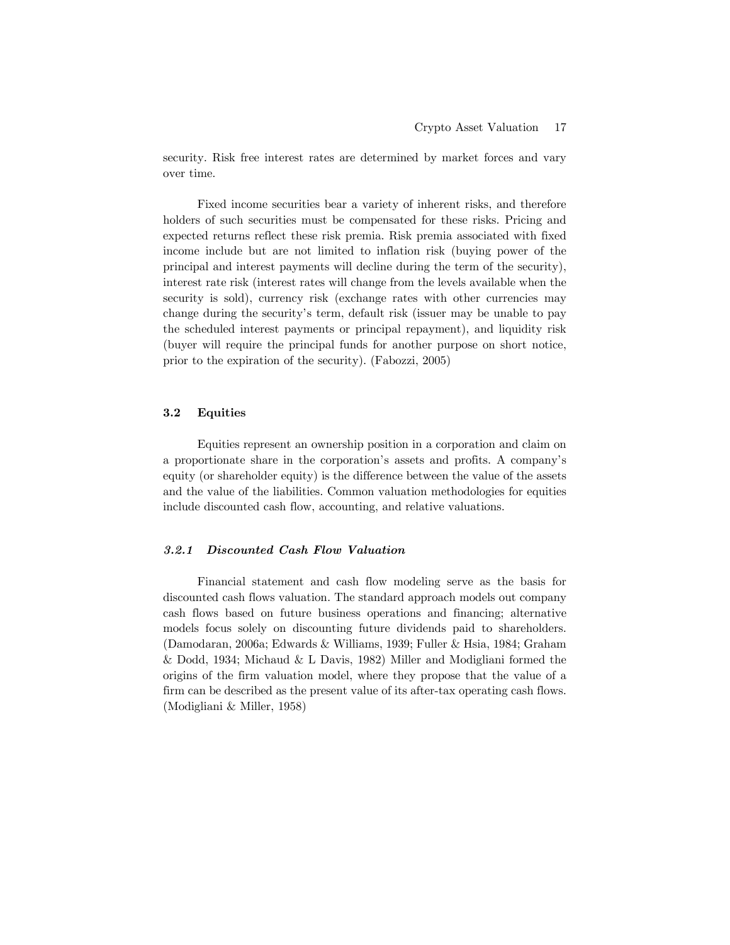security. Risk free interest rates are determined by market forces and vary over time.

Fixed income securities bear a variety of inherent risks, and therefore holders of such securities must be compensated for these risks. Pricing and expected returns reflect these risk premia. Risk premia associated with fixed income include but are not limited to inflation risk (buying power of the principal and interest payments will decline during the term of the security), interest rate risk (interest rates will change from the levels available when the security is sold), currency risk (exchange rates with other currencies may change during the security's term, default risk (issuer may be unable to pay the scheduled interest payments or principal repayment), and liquidity risk (buyer will require the principal funds for another purpose on short notice, prior to the expiration of the security). (Fabozzi, 2005)

# <span id="page-17-0"></span>**3.2 Equities**

Equities represent an ownership position in a corporation and claim on a proportionate share in the corporation's assets and profits. A company's equity (or shareholder equity) is the difference between the value of the assets and the value of the liabilities. Common valuation methodologies for equities include discounted cash flow, accounting, and relative valuations.

## <span id="page-17-1"></span>*3.2.1 Discounted Cash Flow Valuation*

Financial statement and cash flow modeling serve as the basis for discounted cash flows valuation. The standard approach models out company cash flows based on future business operations and financing; alternative models focus solely on discounting future dividends paid to shareholders. (Damodaran, 2006a; Edwards & Williams, 1939; Fuller & Hsia, 1984; Graham & Dodd, 1934; Michaud & L Davis, 1982) Miller and Modigliani formed the origins of the firm valuation model, where they propose that the value of a firm can be described as the present value of its after-tax operating cash flows. (Modigliani & Miller, 1958)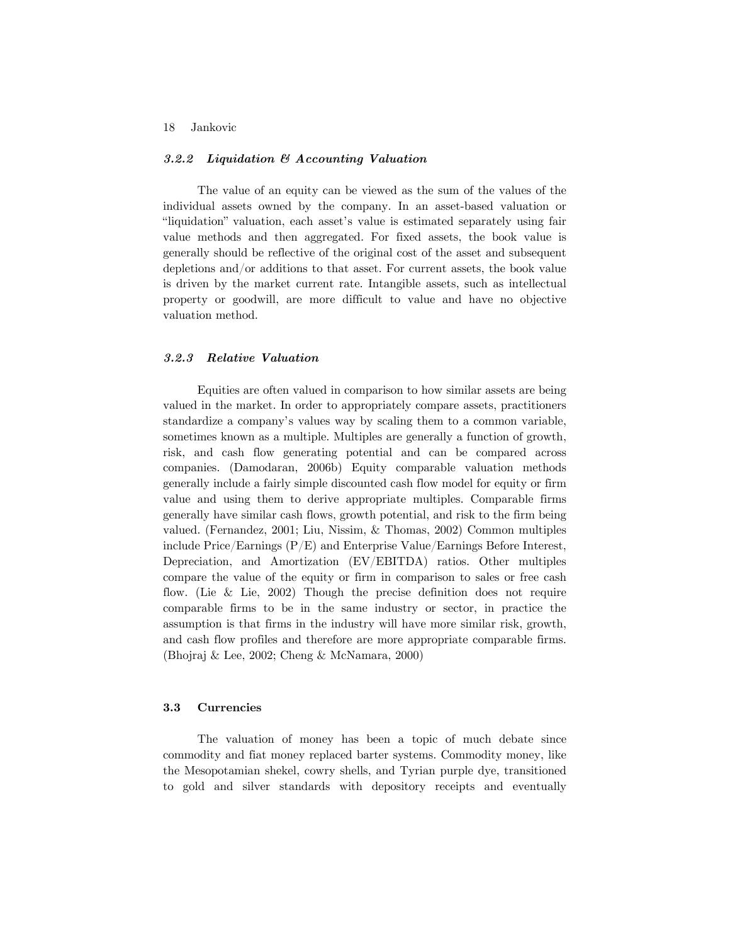#### <span id="page-18-0"></span>*3.2.2 Liquidation & Accounting Valuation*

The value of an equity can be viewed as the sum of the values of the individual assets owned by the company. In an asset-based valuation or "liquidation" valuation, each asset's value is estimated separately using fair value methods and then aggregated. For fixed assets, the book value is generally should be reflective of the original cost of the asset and subsequent depletions and/or additions to that asset. For current assets, the book value is driven by the market current rate. Intangible assets, such as intellectual property or goodwill, are more difficult to value and have no objective valuation method.

#### <span id="page-18-1"></span>*3.2.3 Relative Valuation*

Equities are often valued in comparison to how similar assets are being valued in the market. In order to appropriately compare assets, practitioners standardize a company's values way by scaling them to a common variable, sometimes known as a multiple. Multiples are generally a function of growth, risk, and cash flow generating potential and can be compared across companies. (Damodaran, 2006b) Equity comparable valuation methods generally include a fairly simple discounted cash flow model for equity or firm value and using them to derive appropriate multiples. Comparable firms generally have similar cash flows, growth potential, and risk to the firm being valued. (Fernandez, 2001; Liu, Nissim, & Thomas, 2002) Common multiples include Price/Earnings (P/E) and Enterprise Value/Earnings Before Interest, Depreciation, and Amortization (EV/EBITDA) ratios. Other multiples compare the value of the equity or firm in comparison to sales or free cash flow. (Lie & Lie, 2002) Though the precise definition does not require comparable firms to be in the same industry or sector, in practice the assumption is that firms in the industry will have more similar risk, growth, and cash flow profiles and therefore are more appropriate comparable firms. (Bhojraj & Lee, 2002; Cheng & McNamara, 2000)

### <span id="page-18-2"></span>**3.3 Currencies**

The valuation of money has been a topic of much debate since commodity and fiat money replaced barter systems. Commodity money, like the Mesopotamian shekel, cowry shells, and Tyrian purple dye, transitioned to gold and silver standards with depository receipts and eventually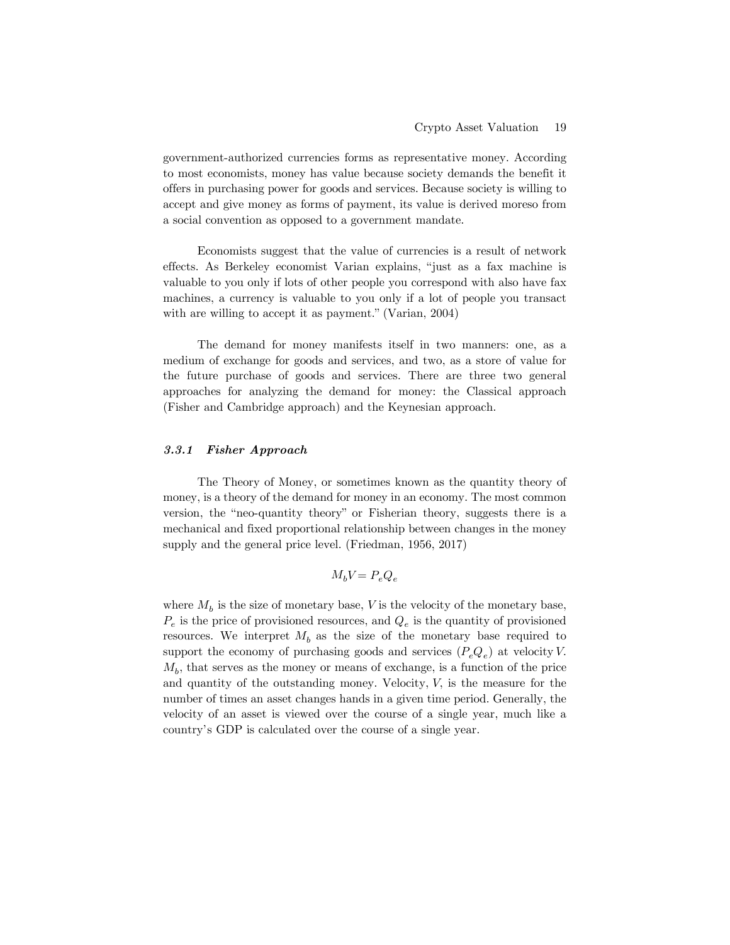government-authorized currencies forms as representative money. According to most economists, money has value because society demands the benefit it offers in purchasing power for goods and services. Because society is willing to accept and give money as forms of payment, its value is derived moreso from a social convention as opposed to a government mandate.

Economists suggest that the value of currencies is a result of network effects. As Berkeley economist Varian explains, "just as a fax machine is valuable to you only if lots of other people you correspond with also have fax machines, a currency is valuable to you only if a lot of people you transact with are willing to accept it as payment." (Varian, 2004)

The demand for money manifests itself in two manners: one, as a medium of exchange for goods and services, and two, as a store of value for the future purchase of goods and services. There are three two general approaches for analyzing the demand for money: the Classical approach (Fisher and Cambridge approach) and the Keynesian approach.

# <span id="page-19-0"></span>*3.3.1 Fisher Approach*

The Theory of Money, or sometimes known as the quantity theory of money, is a theory of the demand for money in an economy. The most common version, the "neo-quantity theory" or Fisherian theory, suggests there is a mechanical and fixed proportional relationship between changes in the money supply and the general price level. (Friedman, 1956, 2017)

$$
M_bV\!=P_eQ_e
$$

where  $M_b$  is the size of monetary base, V is the velocity of the monetary base,  $P_e$  is the price of provisioned resources, and  $Q_e$  is the quantity of provisioned resources. We interpret  $M<sub>b</sub>$  as the size of the monetary base required to support the economy of purchasing goods and services  $(P_e Q_e)$  at velocity V.  $M<sub>b</sub>$ , that serves as the money or means of exchange, is a function of the price and quantity of the outstanding money. Velocity,  $V$ , is the measure for the number of times an asset changes hands in a given time period. Generally, the velocity of an asset is viewed over the course of a single year, much like a country's GDP is calculated over the course of a single year.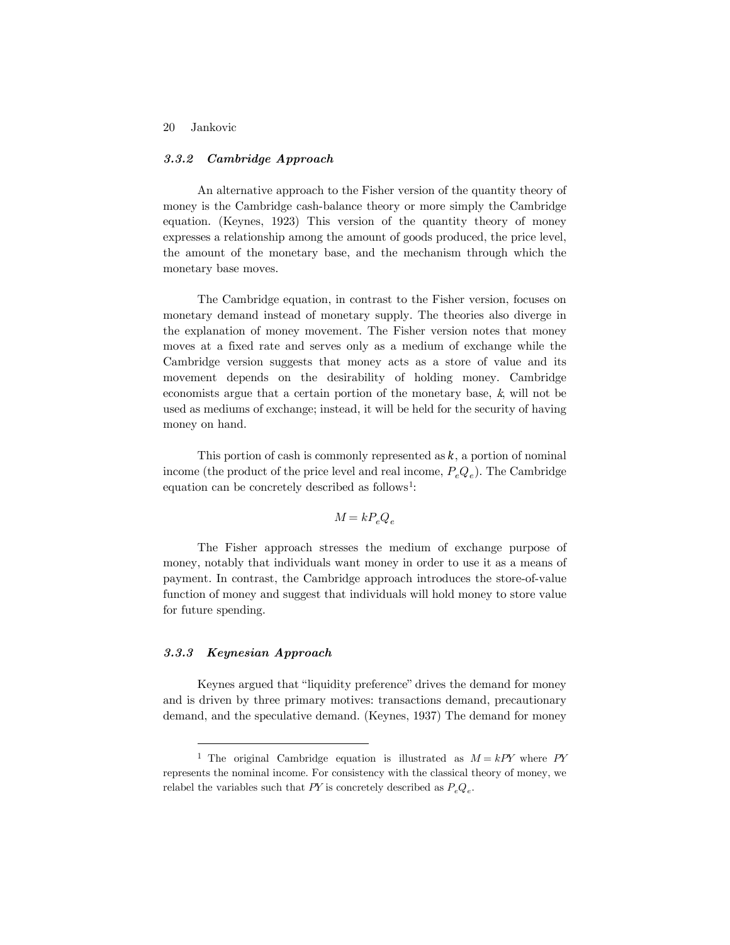### <span id="page-20-0"></span>*3.3.2 Cambridge Approach*

An alternative approach to the Fisher version of the quantity theory of money is the Cambridge cash-balance theory or more simply the Cambridge equation. (Keynes, 1923) This version of the quantity theory of money expresses a relationship among the amount of goods produced, the price level, the amount of the monetary base, and the mechanism through which the monetary base moves.

The Cambridge equation, in contrast to the Fisher version, focuses on monetary demand instead of monetary supply. The theories also diverge in the explanation of money movement. The Fisher version notes that money moves at a fixed rate and serves only as a medium of exchange while the Cambridge version suggests that money acts as a store of value and its movement depends on the desirability of holding money. Cambridge economists argue that a certain portion of the monetary base,  $k$ , will not be used as mediums of exchange; instead, it will be held for the security of having money on hand.

This portion of cash is commonly represented as  $k$ , a portion of nominal income (the product of the price level and real income,  $P_e Q_e$ ). The Cambridge equation can be concretely described as follows<sup>1</sup>:

$$
M=kP_eQ_e
$$

The Fisher approach stresses the medium of exchange purpose of money, notably that individuals want money in order to use it as a means of payment. In contrast, the Cambridge approach introduces the store-of-value function of money and suggest that individuals will hold money to store value for future spending.

### <span id="page-20-1"></span>*3.3.3 Keynesian Approach*

-

Keynes argued that "liquidity preference" drives the demand for money and is driven by three primary motives: transactions demand, precautionary demand, and the speculative demand. (Keynes, 1937) The demand for money

<span id="page-20-2"></span><sup>&</sup>lt;sup>1</sup> The original Cambridge equation is illustrated as  $M = kPY$  where PY represents the nominal income. For consistency with the classical theory of money, we relabel the variables such that PY is concretely described as  $P_e Q_e$ .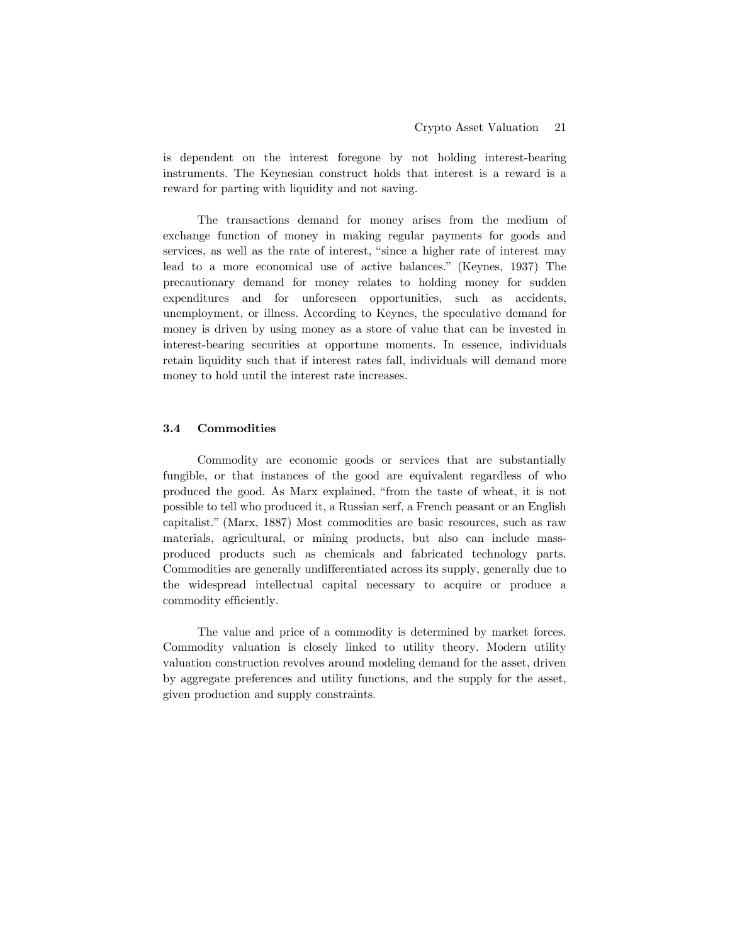is dependent on the interest foregone by not holding interest-bearing instruments. The Keynesian construct holds that interest is a reward is a reward for parting with liquidity and not saving.

The transactions demand for money arises from the medium of exchange function of money in making regular payments for goods and services, as well as the rate of interest, "since a higher rate of interest may lead to a more economical use of active balances." (Keynes, 1937) The precautionary demand for money relates to holding money for sudden expenditures and for unforeseen opportunities, such as accidents, unemployment, or illness. According to Keynes, the speculative demand for money is driven by using money as a store of value that can be invested in interest-bearing securities at opportune moments. In essence, individuals retain liquidity such that if interest rates fall, individuals will demand more money to hold until the interest rate increases.

# <span id="page-21-0"></span>**3.4 Commodities**

Commodity are economic goods or services that are substantially fungible, or that instances of the good are equivalent regardless of who produced the good. As Marx explained, "from the taste of wheat, it is not possible to tell who produced it, a Russian serf, a French peasant or an English capitalist." (Marx, 1887) Most commodities are basic resources, such as raw materials, agricultural, or mining products, but also can include massproduced products such as chemicals and fabricated technology parts. Commodities are generally undifferentiated across its supply, generally due to the widespread intellectual capital necessary to acquire or produce a commodity efficiently.

The value and price of a commodity is determined by market forces. Commodity valuation is closely linked to utility theory. Modern utility valuation construction revolves around modeling demand for the asset, driven by aggregate preferences and utility functions, and the supply for the asset, given production and supply constraints.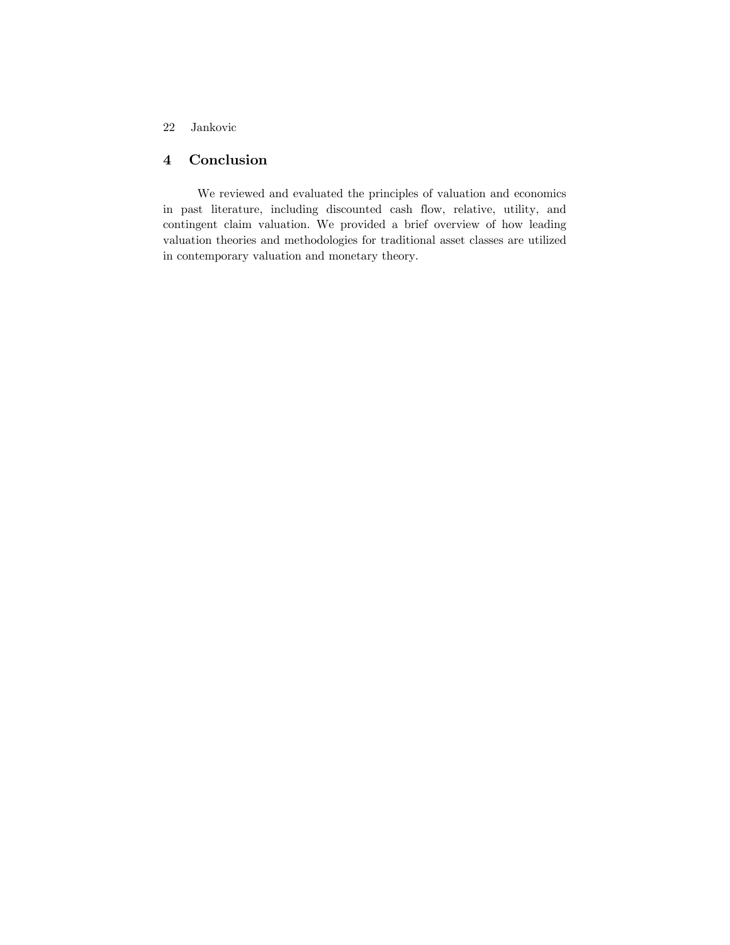# <span id="page-22-0"></span>**4 Conclusion**

We reviewed and evaluated the principles of valuation and economics in past literature, including discounted cash flow, relative, utility, and contingent claim valuation. We provided a brief overview of how leading valuation theories and methodologies for traditional asset classes are utilized in contemporary valuation and monetary theory.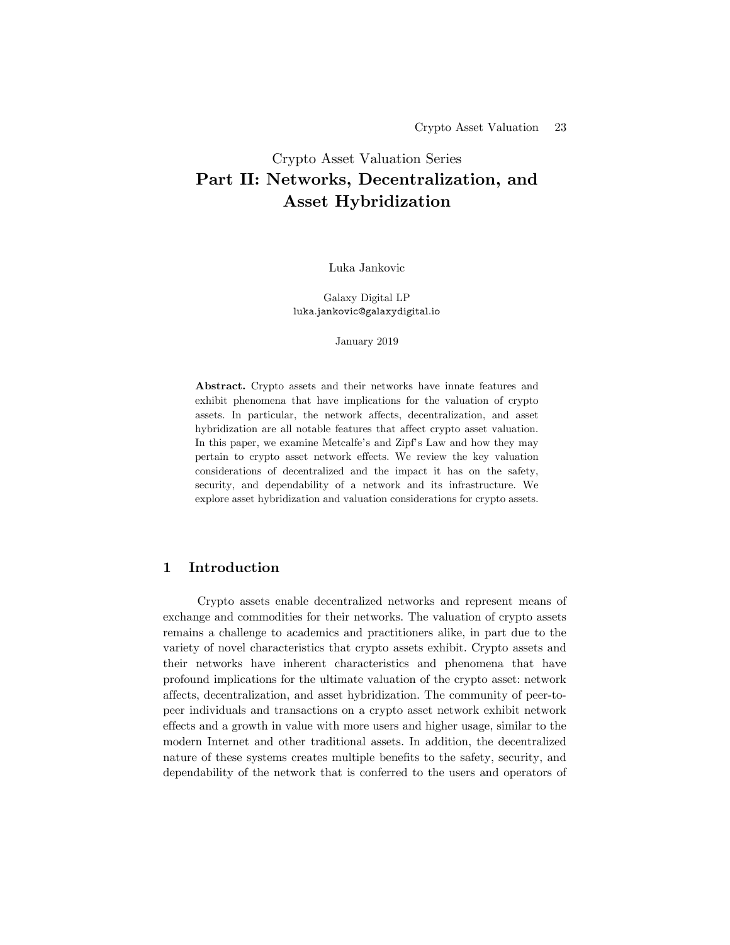# Crypto Asset Valuation Series **Part II: Networks, Decentralization, and Asset Hybridization**

Luka Jankovic

Galaxy Digital LP luka.jankovic@galaxydigital.io

January 2019

**Abstract.** Crypto assets and their networks have innate features and exhibit phenomena that have implications for the valuation of crypto assets. In particular, the network affects, decentralization, and asset hybridization are all notable features that affect crypto asset valuation. In this paper, we examine Metcalfe's and Zipf's Law and how they may pertain to crypto asset network effects. We review the key valuation considerations of decentralized and the impact it has on the safety, security, and dependability of a network and its infrastructure. We explore asset hybridization and valuation considerations for crypto assets.

# <span id="page-23-0"></span>**1 Introduction**

Crypto assets enable decentralized networks and represent means of exchange and commodities for their networks. The valuation of crypto assets remains a challenge to academics and practitioners alike, in part due to the variety of novel characteristics that crypto assets exhibit. Crypto assets and their networks have inherent characteristics and phenomena that have profound implications for the ultimate valuation of the crypto asset: network affects, decentralization, and asset hybridization. The community of peer-topeer individuals and transactions on a crypto asset network exhibit network effects and a growth in value with more users and higher usage, similar to the modern Internet and other traditional assets. In addition, the decentralized nature of these systems creates multiple benefits to the safety, security, and dependability of the network that is conferred to the users and operators of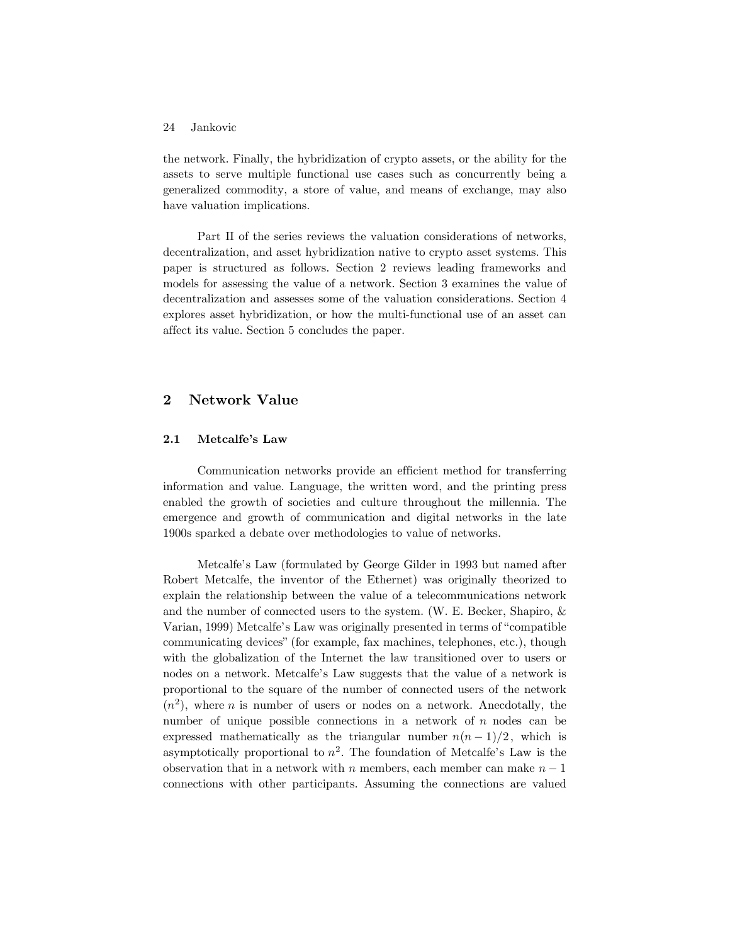the network. Finally, the hybridization of crypto assets, or the ability for the assets to serve multiple functional use cases such as concurrently being a generalized commodity, a store of value, and means of exchange, may also have valuation implications.

Part II of the series reviews the valuation considerations of networks, decentralization, and asset hybridization native to crypto asset systems. This paper is structured as follows. Section 2 reviews leading frameworks and models for assessing the value of a network. Section 3 examines the value of decentralization and assesses some of the valuation considerations. Section 4 explores asset hybridization, or how the multi-functional use of an asset can affect its value. Section 5 concludes the paper.

# <span id="page-24-1"></span><span id="page-24-0"></span>**2 Network Value**

### **2.1 Metcalfe's Law**

Communication networks provide an efficient method for transferring information and value. Language, the written word, and the printing press enabled the growth of societies and culture throughout the millennia. The emergence and growth of communication and digital networks in the late 1900s sparked a debate over methodologies to value of networks.

Metcalfe's Law (formulated by George Gilder in 1993 but named after Robert Metcalfe, the inventor of the Ethernet) was originally theorized to explain the relationship between the value of a telecommunications network and the number of connected users to the system. (W. E. Becker, Shapiro, & Varian, 1999) Metcalfe's Law was originally presented in terms of "compatible communicating devices" (for example, fax machines, telephones, etc.), though with the globalization of the Internet the law transitioned over to users or nodes on a network. Metcalfe's Law suggests that the value of a network is proportional to the square of the number of connected users of the network  $(n^2)$ , where *n* is number of users or nodes on a network. Anecdotally, the number of unique possible connections in a network of  $n$  nodes can be expressed mathematically as the triangular number  $n(n-1)/2$ , which is asymptotically proportional to  $n^2$ . The foundation of Metcalfe's Law is the observation that in a network with n members, each member can make  $n-1$ connections with other participants. Assuming the connections are valued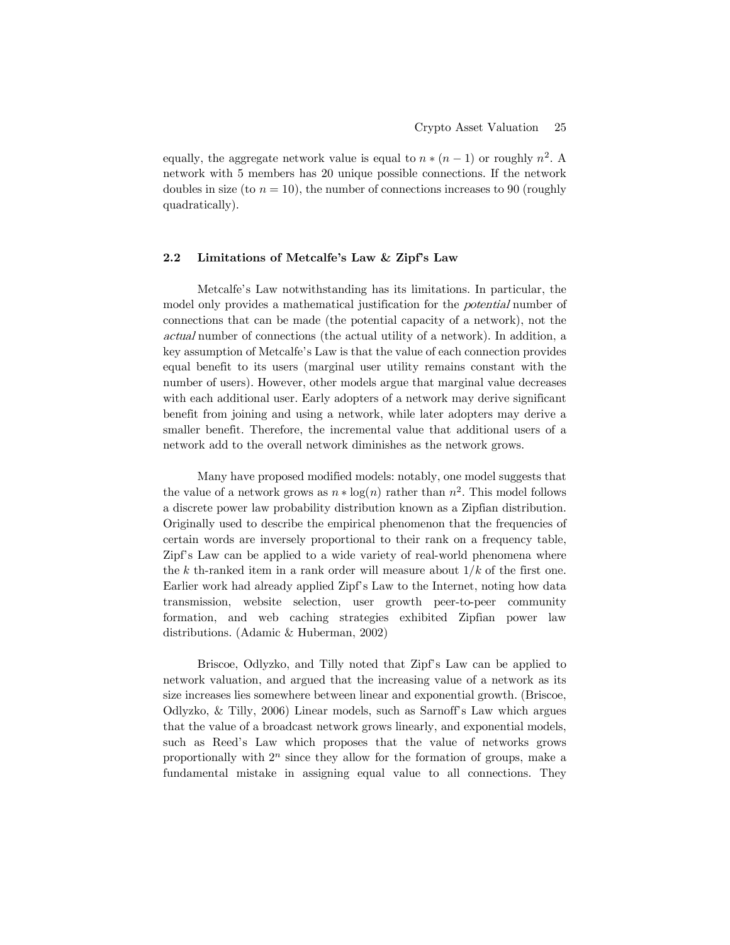equally, the aggregate network value is equal to  $n * (n - 1)$  or roughly  $n^2$ . A network with 5 members has 20 unique possible connections. If the network doubles in size (to  $n = 10$ ), the number of connections increases to 90 (roughly quadratically).

## <span id="page-25-0"></span>**2.2 Limitations of Metcalfe's Law & Zipf's Law**

Metcalfe's Law notwithstanding has its limitations. In particular, the model only provides a mathematical justification for the *potential* number of connections that can be made (the potential capacity of a network), not the actual number of connections (the actual utility of a network). In addition, a key assumption of Metcalfe's Law is that the value of each connection provides equal benefit to its users (marginal user utility remains constant with the number of users). However, other models argue that marginal value decreases with each additional user. Early adopters of a network may derive significant benefit from joining and using a network, while later adopters may derive a smaller benefit. Therefore, the incremental value that additional users of a network add to the overall network diminishes as the network grows.

Many have proposed modified models: notably, one model suggests that the value of a network grows as  $n * log(n)$  rather than  $n^2$ . This model follows a discrete power law probability distribution known as a Zipfian distribution. Originally used to describe the empirical phenomenon that the frequencies of certain words are inversely proportional to their rank on a frequency table, Zipf's Law can be applied to a wide variety of real-world phenomena where the  $k$  th-ranked item in a rank order will measure about  $1/k$  of the first one. Earlier work had already applied Zipf's Law to the Internet, noting how data transmission, website selection, user growth peer-to-peer community formation, and web caching strategies exhibited Zipfian power law distributions. (Adamic & Huberman, 2002)

Briscoe, Odlyzko, and Tilly noted that Zipf's Law can be applied to network valuation, and argued that the increasing value of a network as its size increases lies somewhere between linear and exponential growth. (Briscoe, Odlyzko, & Tilly, 2006) Linear models, such as Sarnoff's Law which argues that the value of a broadcast network grows linearly, and exponential models, such as Reed's Law which proposes that the value of networks grows proportionally with  $2^n$  since they allow for the formation of groups, make a fundamental mistake in assigning equal value to all connections. They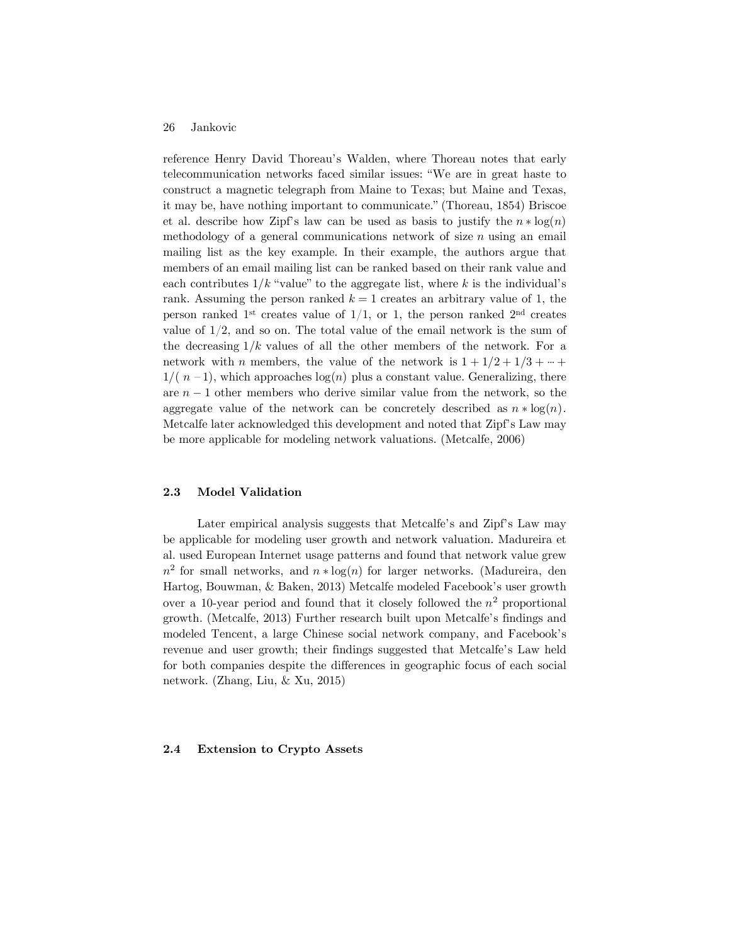reference Henry David Thoreau's Walden, where Thoreau notes that early telecommunication networks faced similar issues: "We are in great haste to construct a magnetic telegraph from Maine to Texas; but Maine and Texas, it may be, have nothing important to communicate." (Thoreau, 1854) Briscoe et al. describe how Zipf's law can be used as basis to justify the  $n * log(n)$ methodology of a general communications network of size  $n$  using an email mailing list as the key example. In their example, the authors argue that members of an email mailing list can be ranked based on their rank value and each contributes  $1/k$  "value" to the aggregate list, where k is the individual's rank. Assuming the person ranked  $k = 1$  creates an arbitrary value of 1, the person ranked  $1<sup>st</sup>$  creates value of  $1/1$ , or 1, the person ranked  $2<sup>nd</sup>$  creates value of  $1/2$ , and so on. The total value of the email network is the sum of the decreasing  $1/k$  values of all the other members of the network. For a network with n members, the value of the network is  $1 + 1/2 + 1/3 + \cdots$  $1/(n-1)$ , which approaches  $log(n)$  plus a constant value. Generalizing, there are  $n-1$  other members who derive similar value from the network, so the aggregate value of the network can be concretely described as  $n * log(n)$ . Metcalfe later acknowledged this development and noted that Zipf's Law may be more applicable for modeling network valuations. (Metcalfe, 2006)

## <span id="page-26-0"></span>**2.3 Model Validation**

Later empirical analysis suggests that Metcalfe's and Zipf's Law may be applicable for modeling user growth and network valuation. Madureira et al. used European Internet usage patterns and found that network value grew  $n^2$  for small networks, and  $n * log(n)$  for larger networks. (Madureira, den Hartog, Bouwman, & Baken, 2013) Metcalfe modeled Facebook's user growth over a 10-year period and found that it closely followed the  $n^2$  proportional growth. (Metcalfe, 2013) Further research built upon Metcalfe's findings and modeled Tencent, a large Chinese social network company, and Facebook's revenue and user growth; their findings suggested that Metcalfe's Law held for both companies despite the differences in geographic focus of each social network. (Zhang, Liu, & Xu, 2015)

#### <span id="page-26-1"></span>**2.4 Extension to Crypto Assets**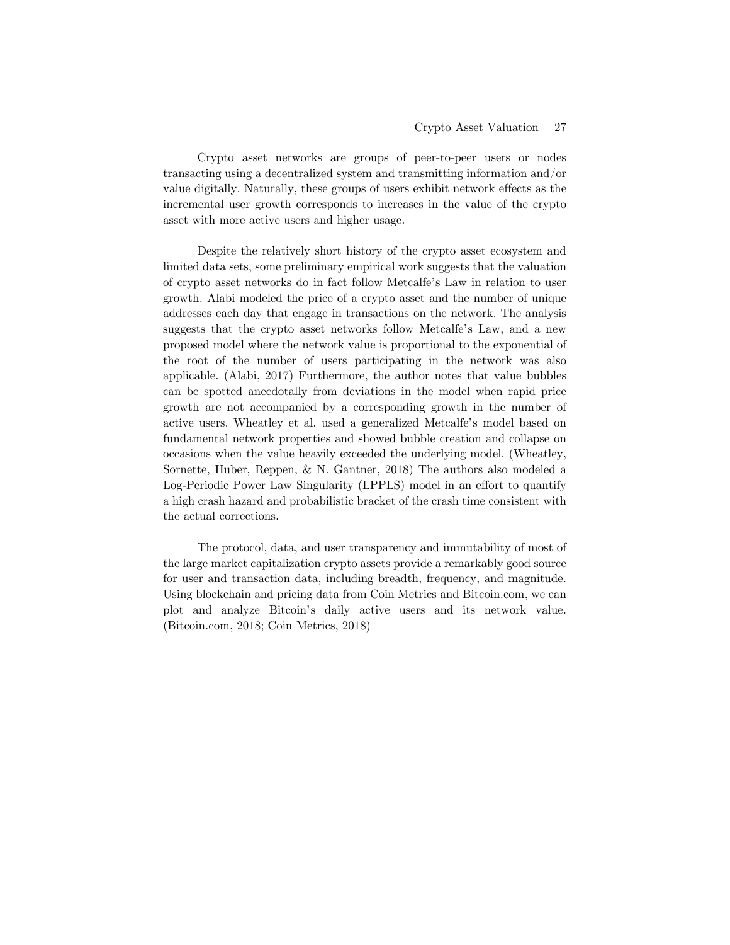Crypto asset networks are groups of peer-to-peer users or nodes transacting using a decentralized system and transmitting information and/or value digitally. Naturally, these groups of users exhibit network effects as the incremental user growth corresponds to increases in the value of the crypto asset with more active users and higher usage.

Despite the relatively short history of the crypto asset ecosystem and limited data sets, some preliminary empirical work suggests that the valuation of crypto asset networks do in fact follow Metcalfe's Law in relation to user growth. Alabi modeled the price of a crypto asset and the number of unique addresses each day that engage in transactions on the network. The analysis suggests that the crypto asset networks follow Metcalfe's Law, and a new proposed model where the network value is proportional to the exponential of the root of the number of users participating in the network was also applicable. (Alabi, 2017) Furthermore, the author notes that value bubbles can be spotted anecdotally from deviations in the model when rapid price growth are not accompanied by a corresponding growth in the number of active users. Wheatley et al. used a generalized Metcalfe's model based on fundamental network properties and showed bubble creation and collapse on occasions when the value heavily exceeded the underlying model. (Wheatley, Sornette, Huber, Reppen, & N. Gantner, 2018) The authors also modeled a Log-Periodic Power Law Singularity (LPPLS) model in an effort to quantify a high crash hazard and probabilistic bracket of the crash time consistent with the actual corrections.

The protocol, data, and user transparency and immutability of most of the large market capitalization crypto assets provide a remarkably good source for user and transaction data, including breadth, frequency, and magnitude. Using blockchain and pricing data from Coin Metrics and Bitcoin.com, we can plot and analyze Bitcoin's daily active users and its network value. (Bitcoin.com, 2018; Coin Metrics, 2018)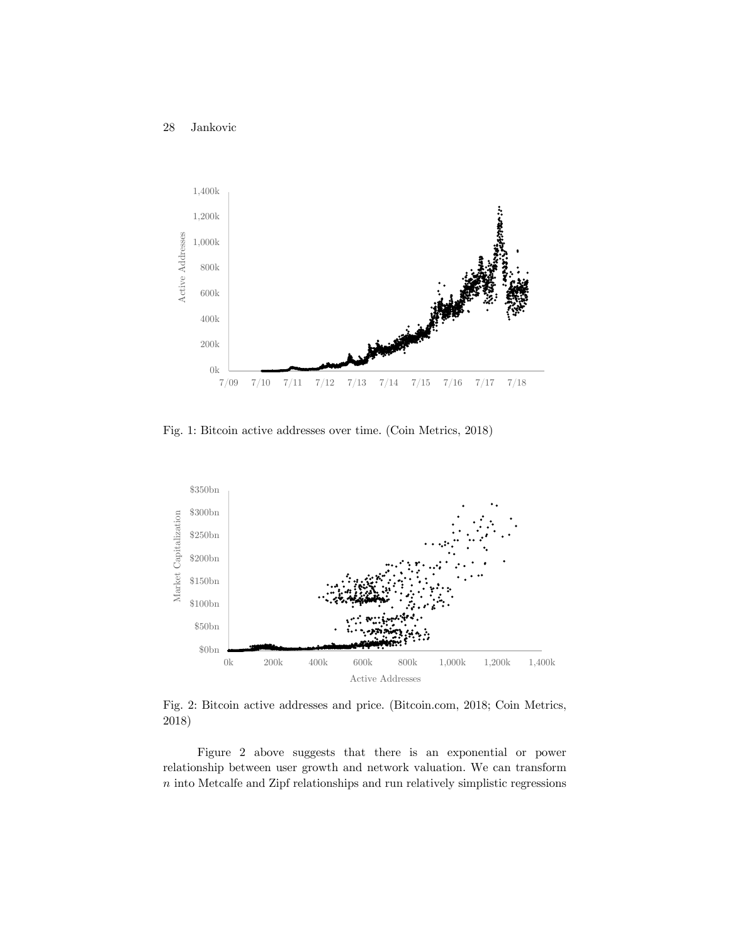

Fig. 1: Bitcoin active addresses over time. (Coin Metrics, 2018)



Fig. 2: Bitcoin active addresses and price. (Bitcoin.com, 2018; Coin Metrics, 2018)

Figure 2 above suggests that there is an exponential or power relationship between user growth and network valuation. We can transform  $n$  into Metcalfe and Zipf relationships and run relatively simplistic regressions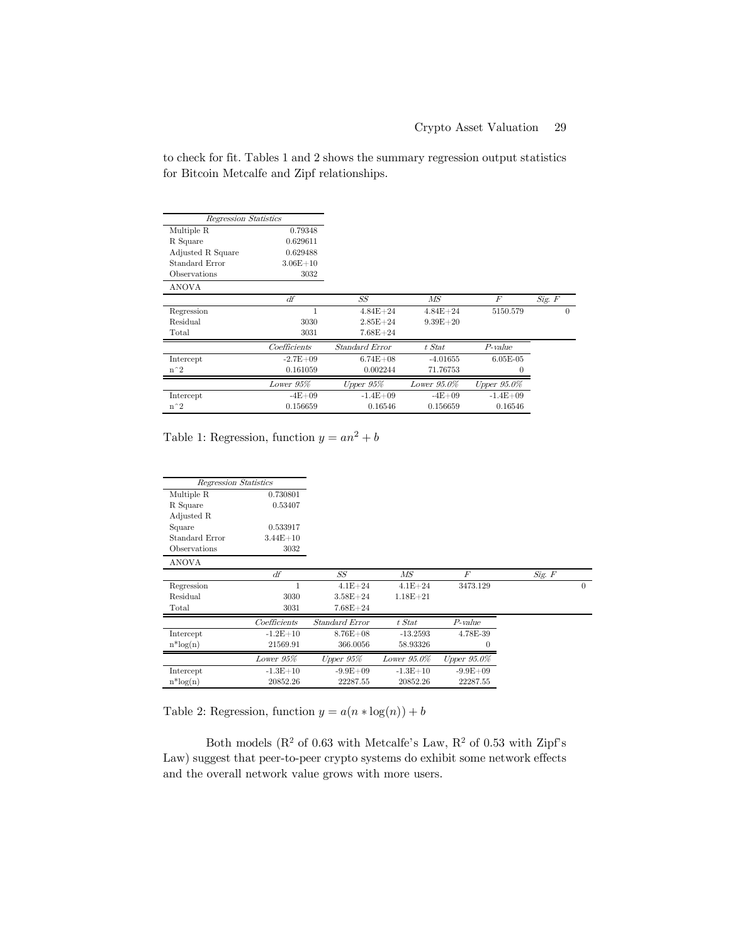to check for fit. Tables 1 and 2 shows the summary regression output statistics for Bitcoin Metcalfe and Zipf relationships.

| Regression Statistics |              |                       |                 |                |        |
|-----------------------|--------------|-----------------------|-----------------|----------------|--------|
| Multiple R            | 0.79348      |                       |                 |                |        |
| R Square              | 0.629611     |                       |                 |                |        |
| Adjusted R Square     | 0.629488     |                       |                 |                |        |
| Standard Error        | $3.06E + 10$ |                       |                 |                |        |
| Observations          | 3032         |                       |                 |                |        |
| <b>ANOVA</b>          |              |                       |                 |                |        |
|                       | $\sqrt{d}f$  | SS                    | $\overline{MS}$ | F              | Sig. F |
| Regression            |              | $4.84E + 24$          | $4.84E + 24$    | 5150.579       | 0      |
| Residual              | 3030         | $2.85E + 24$          | $9.39E + 20$    |                |        |
| Total                 | 3031         | $7.68E + 24$          |                 |                |        |
|                       | Coefficients | <b>Standard Error</b> | $t$ Stat        | $P-value$      |        |
| Intercept             | $-2.7E+0.9$  | $6.74E + 08$          | $-4.01655$      | $6.05E - 05$   |        |
| $n^2$                 | 0.161059     | 0.002244              | 71.76753        |                |        |
|                       | Lower $95%$  | $Upper 95\%$          | Lower 95.0%     | Upper $95.0\%$ |        |
| Intercept             | $-4E+09$     | $-1.4E + 0.9$         | $-4E+09$        | $-1.4E + 0.9$  |        |
| $n^2$                 | 0.156659     | 0.16546               | 0.156659        | 0.16546        |        |

Table 1: Regression, function  $y = an^2 + b$ 

| Regression Statistics |              |                       |              |                |          |
|-----------------------|--------------|-----------------------|--------------|----------------|----------|
| Multiple R            | 0.730801     |                       |              |                |          |
| R Square              | 0.53407      |                       |              |                |          |
| Adjusted R            |              |                       |              |                |          |
| Square                | 0.533917     |                       |              |                |          |
| Standard Error        | $3.44E + 10$ |                       |              |                |          |
| Observations          | 3032         |                       |              |                |          |
| <b>ANOVA</b>          |              |                       |              |                |          |
|                       | $\sqrt{d}f$  | SS                    | МS           | $\overline{F}$ | Sig. F   |
| Regression            | 1            | $4.1E + 24$           | $4.1E + 24$  | 3473.129       | $\Omega$ |
| Residual              | 3030         | $3.58E + 24$          | $1.18E + 21$ |                |          |
| Total                 | 3031         | $7.68E + 24$          |              |                |          |
|                       | Coefficients | <b>Standard Error</b> | $t$ Stat     | $P-value$      |          |
| Intercept             | $-1.2E+10$   | $8.76E + 08$          | $-13.2593$   | 4.78E-39       |          |
| $n^*log(n)$           | 21569.91     | 366.0056              | 58.93326     | 0              |          |
|                       | $Lower 95\%$ | $Upper 95\%$          | Lower 95.0%  | Upper $95.0\%$ |          |
| Intercept             | $-1.3E+10$   | $-9.9E + 09$          | $-1.3E+10$   | $-9.9E + 09$   |          |
| $n^*log(n)$           | 20852.26     | 22287.55              | 20852.26     | 22287.55       |          |

Table 2: Regression, function  $y = a(n * log(n)) + b$ 

Both models ( $\mathbb{R}^2$  of 0.63 with Metcalfe's Law,  $\mathbb{R}^2$  of 0.53 with Zipf's Law) suggest that peer-to-peer crypto systems do exhibit some network effects and the overall network value grows with more users.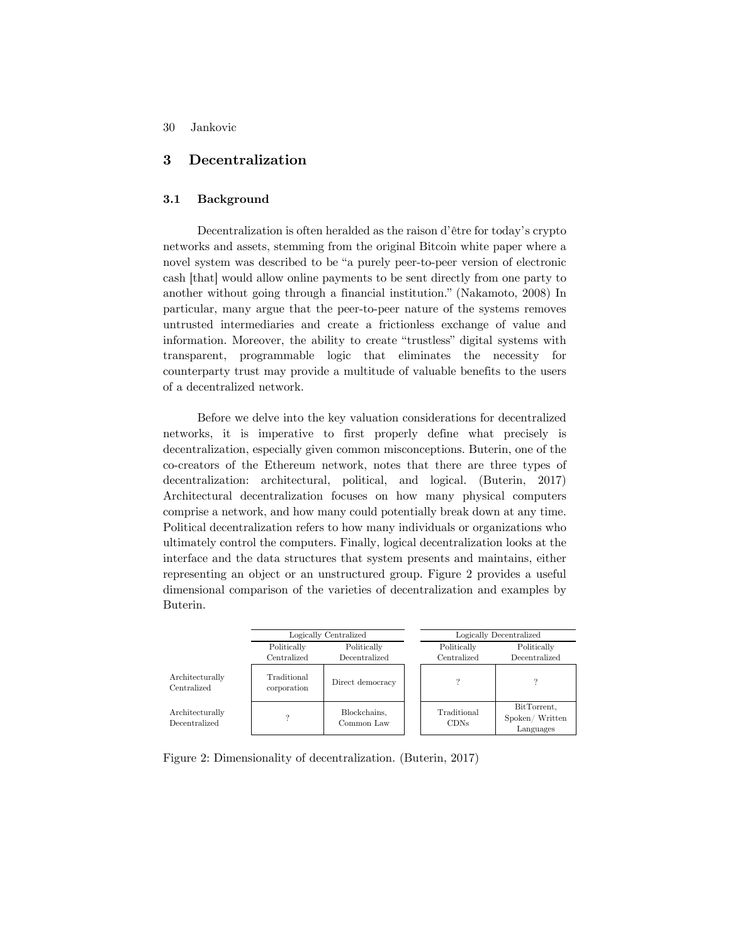# <span id="page-30-1"></span><span id="page-30-0"></span>**3 Decentralization**

### **3.1 Background**

Decentralization is often heralded as the raison d'être for today's crypto networks and assets, stemming from the original Bitcoin white paper where a novel system was described to be "a purely peer-to-peer version of electronic cash [that] would allow online payments to be sent directly from one party to another without going through a financial institution." (Nakamoto, 2008) In particular, many argue that the peer-to-peer nature of the systems removes untrusted intermediaries and create a frictionless exchange of value and information. Moreover, the ability to create "trustless" digital systems with transparent, programmable logic that eliminates the necessity for counterparty trust may provide a multitude of valuable benefits to the users of a decentralized network.

Before we delve into the key valuation considerations for decentralized networks, it is imperative to first properly define what precisely is decentralization, especially given common misconceptions. Buterin, one of the co-creators of the Ethereum network, notes that there are three types of decentralization: architectural, political, and logical. (Buterin, 2017) Architectural decentralization focuses on how many physical computers comprise a network, and how many could potentially break down at any time. Political decentralization refers to how many individuals or organizations who ultimately control the computers. Finally, logical decentralization looks at the interface and the data structures that system presents and maintains, either representing an object or an unstructured group. Figure 2 provides a useful dimensional comparison of the varieties of decentralization and examples by Buterin.

|                                  | Logically Centralized      |                            |  | Logically Decentralized    |                                            |
|----------------------------------|----------------------------|----------------------------|--|----------------------------|--------------------------------------------|
|                                  | Politically                | Politically                |  | Politically                | Politically                                |
|                                  | Centralized                | Decentralized              |  | Centralized                | Decentralized                              |
| Architecturally<br>Centralized   | Traditional<br>corporation | Direct democracy           |  | 9                          | ?                                          |
| Architecturally<br>Decentralized | ?                          | Blockchains.<br>Common Law |  | Traditional<br><b>CDNs</b> | BitTorrent,<br>Spoken/Written<br>Languages |

Figure 2: Dimensionality of decentralization. (Buterin, 2017)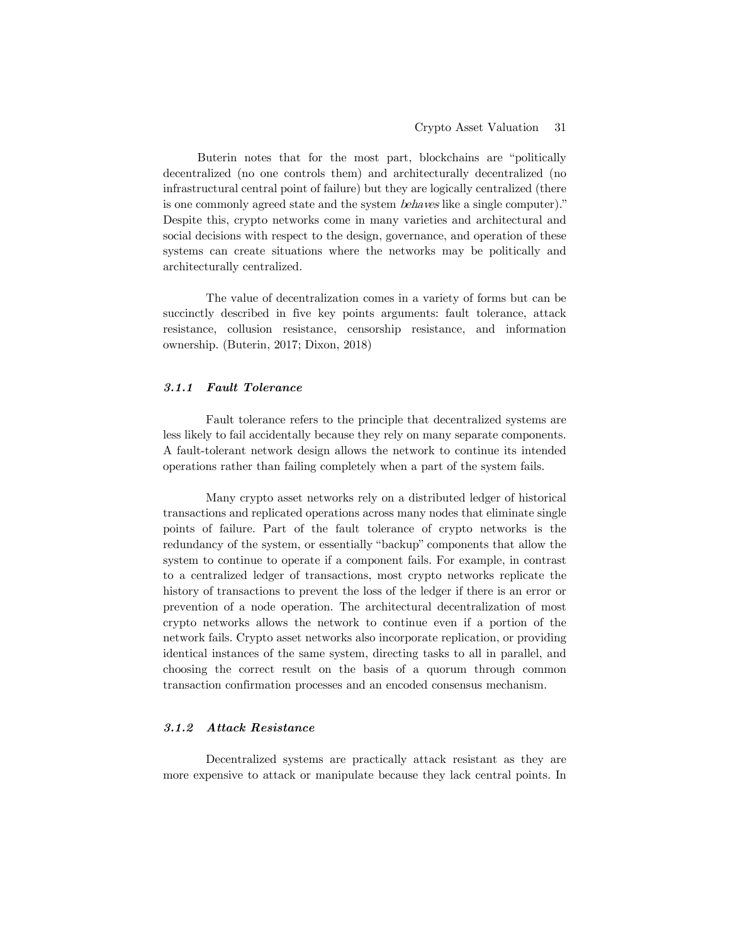Buterin notes that for the most part, blockchains are "politically decentralized (no one controls them) and architecturally decentralized (no infrastructural central point of failure) but they are logically centralized (there is one commonly agreed state and the system behaves like a single computer)." Despite this, crypto networks come in many varieties and architectural and social decisions with respect to the design, governance, and operation of these systems can create situations where the networks may be politically and architecturally centralized.

The value of decentralization comes in a variety of forms but can be succinctly described in five key points arguments: fault tolerance, attack resistance, collusion resistance, censorship resistance, and information ownership. (Buterin, 2017; Dixon, 2018)

# <span id="page-31-0"></span>*3.1.1 Fault Tolerance*

Fault tolerance refers to the principle that decentralized systems are less likely to fail accidentally because they rely on many separate components. A fault-tolerant network design allows the network to continue its intended operations rather than failing completely when a part of the system fails.

Many crypto asset networks rely on a distributed ledger of historical transactions and replicated operations across many nodes that eliminate single points of failure. Part of the fault tolerance of crypto networks is the redundancy of the system, or essentially "backup" components that allow the system to continue to operate if a component fails. For example, in contrast to a centralized ledger of transactions, most crypto networks replicate the history of transactions to prevent the loss of the ledger if there is an error or prevention of a node operation. The architectural decentralization of most crypto networks allows the network to continue even if a portion of the network fails. Crypto asset networks also incorporate replication, or providing identical instances of the same system, directing tasks to all in parallel, and choosing the correct result on the basis of a quorum through common transaction confirmation processes and an encoded consensus mechanism.

# <span id="page-31-1"></span>*3.1.2 Attack Resistance*

Decentralized systems are practically attack resistant as they are more expensive to attack or manipulate because they lack central points. In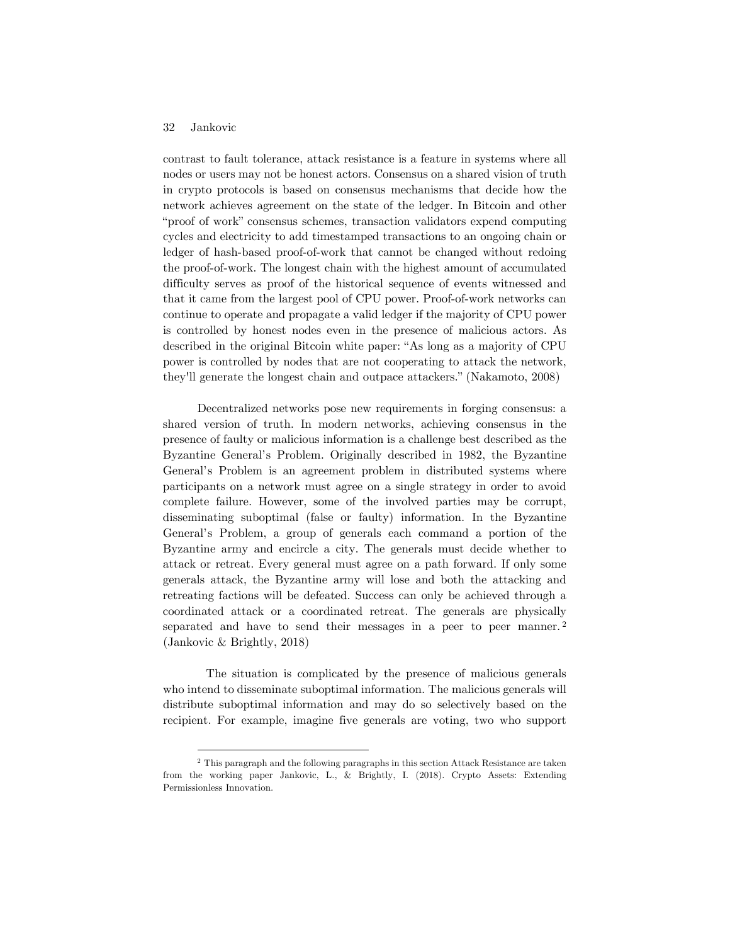contrast to fault tolerance, attack resistance is a feature in systems where all nodes or users may not be honest actors. Consensus on a shared vision of truth in crypto protocols is based on consensus mechanisms that decide how the network achieves agreement on the state of the ledger. In Bitcoin and other "proof of work" consensus schemes, transaction validators expend computing cycles and electricity to add timestamped transactions to an ongoing chain or ledger of hash-based proof-of-work that cannot be changed without redoing the proof-of-work. The longest chain with the highest amount of accumulated difficulty serves as proof of the historical sequence of events witnessed and that it came from the largest pool of CPU power. Proof-of-work networks can continue to operate and propagate a valid ledger if the majority of CPU power is controlled by honest nodes even in the presence of malicious actors. As described in the original Bitcoin white paper: "As long as a majority of CPU power is controlled by nodes that are not cooperating to attack the network, they'll generate the longest chain and outpace attackers." (Nakamoto, 2008)

Decentralized networks pose new requirements in forging consensus: a shared version of truth. In modern networks, achieving consensus in the presence of faulty or malicious information is a challenge best described as the Byzantine General's Problem. Originally described in 1982, the Byzantine General's Problem is an agreement problem in distributed systems where participants on a network must agree on a single strategy in order to avoid complete failure. However, some of the involved parties may be corrupt, disseminating suboptimal (false or faulty) information. In the Byzantine General's Problem, a group of generals each command a portion of the Byzantine army and encircle a city. The generals must decide whether to attack or retreat. Every general must agree on a path forward. If only some generals attack, the Byzantine army will lose and both the attacking and retreating factions will be defeated. Success can only be achieved through a coordinated attack or a coordinated retreat. The generals are physically separated and have to send their messages in a peer to peer manner.<sup>[2](#page-32-0)</sup> (Jankovic & Brightly, 2018)

The situation is complicated by the presence of malicious generals who intend to disseminate suboptimal information. The malicious generals will distribute suboptimal information and may do so selectively based on the recipient. For example, imagine five generals are voting, two who support

<span id="page-32-0"></span> <sup>2</sup> This paragraph and the following paragraphs in this section Attack Resistance are taken from the working paper Jankovic, L., & Brightly, I. (2018). Crypto Assets: Extending Permissionless Innovation.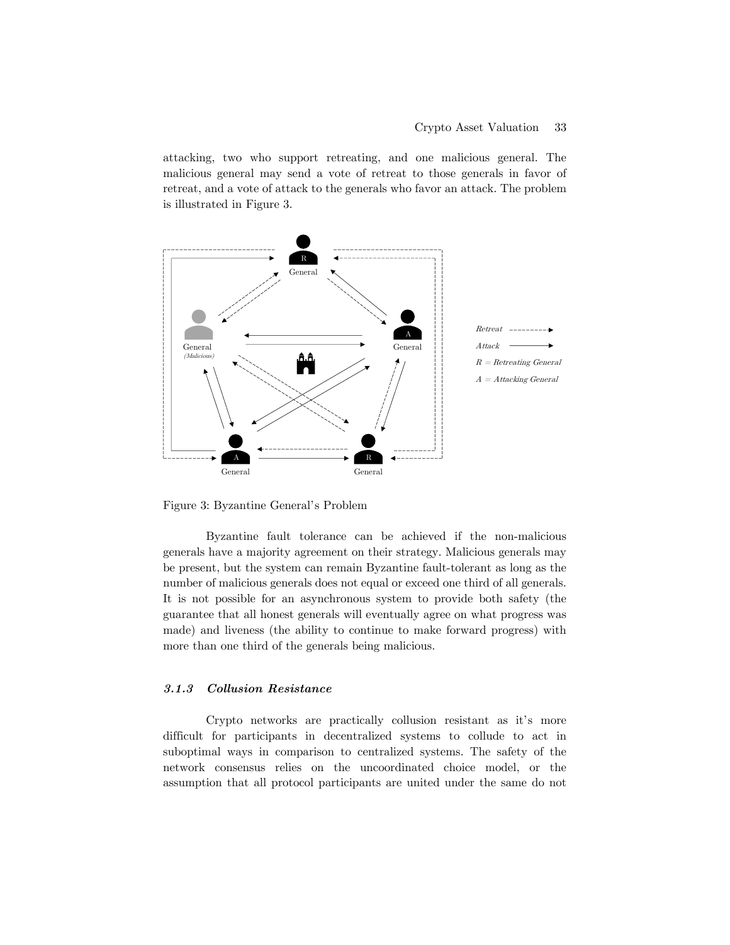attacking, two who support retreating, and one malicious general. The malicious general may send a vote of retreat to those generals in favor of retreat, and a vote of attack to the generals who favor an attack. The problem is illustrated in Figure 3.



Figure 3: Byzantine General's Problem

Byzantine fault tolerance can be achieved if the non-malicious generals have a majority agreement on their strategy. Malicious generals may be present, but the system can remain Byzantine fault-tolerant as long as the number of malicious generals does not equal or exceed one third of all generals. It is not possible for an asynchronous system to provide both safety (the guarantee that all honest generals will eventually agree on what progress was made) and liveness (the ability to continue to make forward progress) with more than one third of the generals being malicious.

# <span id="page-33-0"></span>*3.1.3 Collusion Resistance*

Crypto networks are practically collusion resistant as it's more difficult for participants in decentralized systems to collude to act in suboptimal ways in comparison to centralized systems. The safety of the network consensus relies on the uncoordinated choice model, or the assumption that all protocol participants are united under the same do not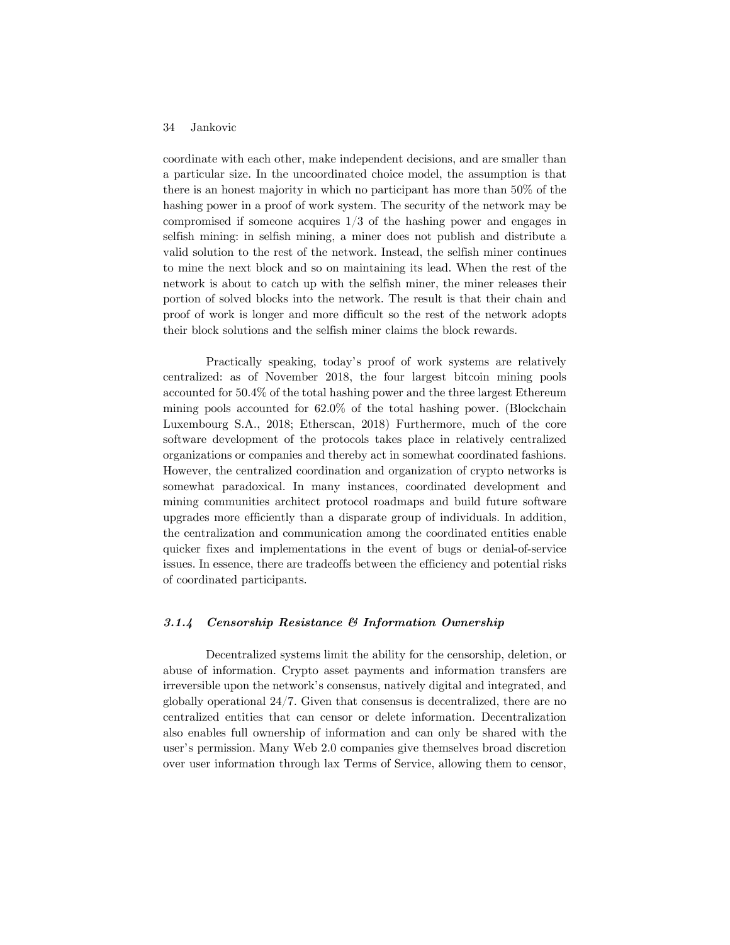coordinate with each other, make independent decisions, and are smaller than a particular size. In the uncoordinated choice model, the assumption is that there is an honest majority in which no participant has more than 50% of the hashing power in a proof of work system. The security of the network may be compromised if someone acquires  $1/3$  of the hashing power and engages in selfish mining: in selfish mining, a miner does not publish and distribute a valid solution to the rest of the network. Instead, the selfish miner continues to mine the next block and so on maintaining its lead. When the rest of the network is about to catch up with the selfish miner, the miner releases their portion of solved blocks into the network. The result is that their chain and proof of work is longer and more difficult so the rest of the network adopts their block solutions and the selfish miner claims the block rewards.

Practically speaking, today's proof of work systems are relatively centralized: as of November 2018, the four largest bitcoin mining pools accounted for 50.4% of the total hashing power and the three largest Ethereum mining pools accounted for 62.0% of the total hashing power. (Blockchain Luxembourg S.A., 2018; Etherscan, 2018) Furthermore, much of the core software development of the protocols takes place in relatively centralized organizations or companies and thereby act in somewhat coordinated fashions. However, the centralized coordination and organization of crypto networks is somewhat paradoxical. In many instances, coordinated development and mining communities architect protocol roadmaps and build future software upgrades more efficiently than a disparate group of individuals. In addition, the centralization and communication among the coordinated entities enable quicker fixes and implementations in the event of bugs or denial-of-service issues. In essence, there are tradeoffs between the efficiency and potential risks of coordinated participants.

# <span id="page-34-0"></span>*3.1.4 Censorship Resistance & Information Ownership*

Decentralized systems limit the ability for the censorship, deletion, or abuse of information. Crypto asset payments and information transfers are irreversible upon the network's consensus, natively digital and integrated, and globally operational 24/7. Given that consensus is decentralized, there are no centralized entities that can censor or delete information. Decentralization also enables full ownership of information and can only be shared with the user's permission. Many Web 2.0 companies give themselves broad discretion over user information through lax Terms of Service, allowing them to censor,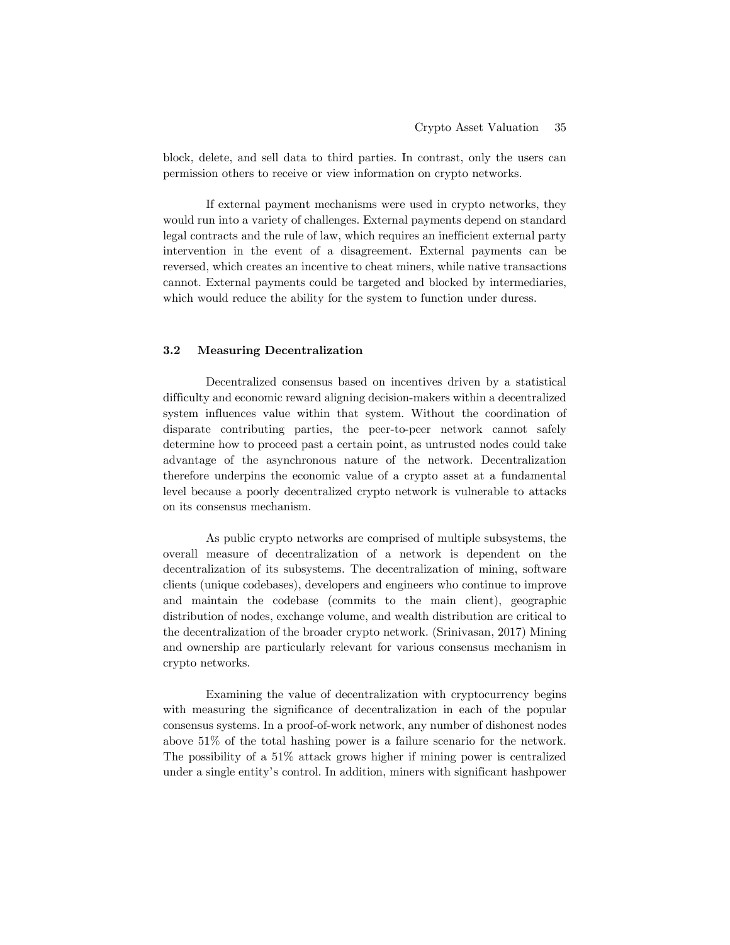block, delete, and sell data to third parties. In contrast, only the users can permission others to receive or view information on crypto networks.

If external payment mechanisms were used in crypto networks, they would run into a variety of challenges. External payments depend on standard legal contracts and the rule of law, which requires an inefficient external party intervention in the event of a disagreement. External payments can be reversed, which creates an incentive to cheat miners, while native transactions cannot. External payments could be targeted and blocked by intermediaries, which would reduce the ability for the system to function under duress.

### <span id="page-35-0"></span>**3.2 Measuring Decentralization**

Decentralized consensus based on incentives driven by a statistical difficulty and economic reward aligning decision-makers within a decentralized system influences value within that system. Without the coordination of disparate contributing parties, the peer-to-peer network cannot safely determine how to proceed past a certain point, as untrusted nodes could take advantage of the asynchronous nature of the network. Decentralization therefore underpins the economic value of a crypto asset at a fundamental level because a poorly decentralized crypto network is vulnerable to attacks on its consensus mechanism.

As public crypto networks are comprised of multiple subsystems, the overall measure of decentralization of a network is dependent on the decentralization of its subsystems. The decentralization of mining, software clients (unique codebases), developers and engineers who continue to improve and maintain the codebase (commits to the main client), geographic distribution of nodes, exchange volume, and wealth distribution are critical to the decentralization of the broader crypto network. (Srinivasan, 2017) Mining and ownership are particularly relevant for various consensus mechanism in crypto networks.

Examining the value of decentralization with cryptocurrency begins with measuring the significance of decentralization in each of the popular consensus systems. In a proof-of-work network, any number of dishonest nodes above 51% of the total hashing power is a failure scenario for the network. The possibility of a 51% attack grows higher if mining power is centralized under a single entity's control. In addition, miners with significant hashpower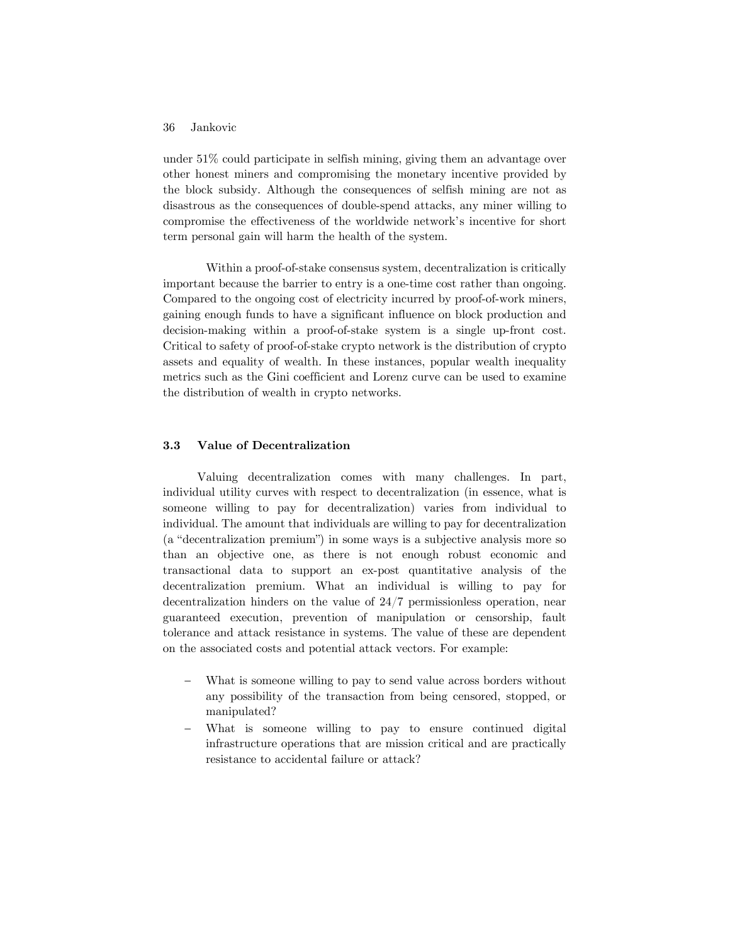under 51% could participate in selfish mining, giving them an advantage over other honest miners and compromising the monetary incentive provided by the block subsidy. Although the consequences of selfish mining are not as disastrous as the consequences of double-spend attacks, any miner willing to compromise the effectiveness of the worldwide network's incentive for short term personal gain will harm the health of the system.

Within a proof-of-stake consensus system, decentralization is critically important because the barrier to entry is a one-time cost rather than ongoing. Compared to the ongoing cost of electricity incurred by proof-of-work miners, gaining enough funds to have a significant influence on block production and decision-making within a proof-of-stake system is a single up-front cost. Critical to safety of proof-of-stake crypto network is the distribution of crypto assets and equality of wealth. In these instances, popular wealth inequality metrics such as the Gini coefficient and Lorenz curve can be used to examine the distribution of wealth in crypto networks.

# <span id="page-36-0"></span>**3.3 Value of Decentralization**

Valuing decentralization comes with many challenges. In part, individual utility curves with respect to decentralization (in essence, what is someone willing to pay for decentralization) varies from individual to individual. The amount that individuals are willing to pay for decentralization (a "decentralization premium") in some ways is a subjective analysis more so than an objective one, as there is not enough robust economic and transactional data to support an ex-post quantitative analysis of the decentralization premium. What an individual is willing to pay for decentralization hinders on the value of 24/7 permissionless operation, near guaranteed execution, prevention of manipulation or censorship, fault tolerance and attack resistance in systems. The value of these are dependent on the associated costs and potential attack vectors. For example:

- What is someone willing to pay to send value across borders without any possibility of the transaction from being censored, stopped, or manipulated?
- What is someone willing to pay to ensure continued digital infrastructure operations that are mission critical and are practically resistance to accidental failure or attack?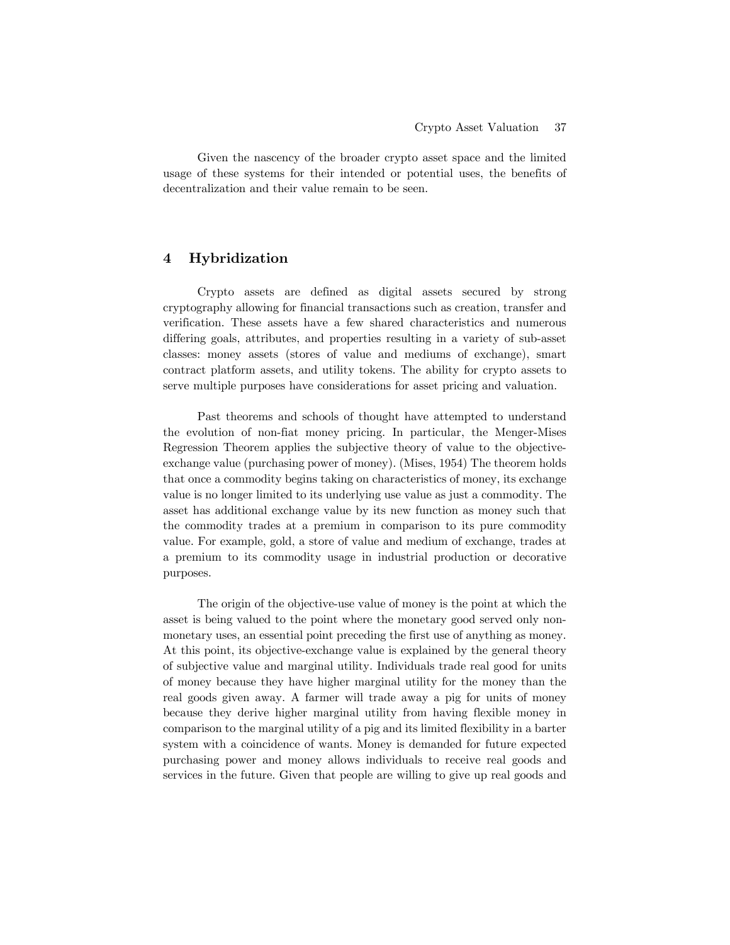Given the nascency of the broader crypto asset space and the limited usage of these systems for their intended or potential uses, the benefits of decentralization and their value remain to be seen.

# <span id="page-37-0"></span>**4 Hybridization**

Crypto assets are defined as digital assets secured by strong cryptography allowing for financial transactions such as creation, transfer and verification. These assets have a few shared characteristics and numerous differing goals, attributes, and properties resulting in a variety of sub-asset classes: money assets (stores of value and mediums of exchange), smart contract platform assets, and utility tokens. The ability for crypto assets to serve multiple purposes have considerations for asset pricing and valuation.

Past theorems and schools of thought have attempted to understand the evolution of non-fiat money pricing. In particular, the Menger-Mises Regression Theorem applies the subjective theory of value to the objectiveexchange value (purchasing power of money). (Mises, 1954) The theorem holds that once a commodity begins taking on characteristics of money, its exchange value is no longer limited to its underlying use value as just a commodity. The asset has additional exchange value by its new function as money such that the commodity trades at a premium in comparison to its pure commodity value. For example, gold, a store of value and medium of exchange, trades at a premium to its commodity usage in industrial production or decorative purposes.

The origin of the objective-use value of money is the point at which the asset is being valued to the point where the monetary good served only nonmonetary uses, an essential point preceding the first use of anything as money. At this point, its objective-exchange value is explained by the general theory of subjective value and marginal utility. Individuals trade real good for units of money because they have higher marginal utility for the money than the real goods given away. A farmer will trade away a pig for units of money because they derive higher marginal utility from having flexible money in comparison to the marginal utility of a pig and its limited flexibility in a barter system with a coincidence of wants. Money is demanded for future expected purchasing power and money allows individuals to receive real goods and services in the future. Given that people are willing to give up real goods and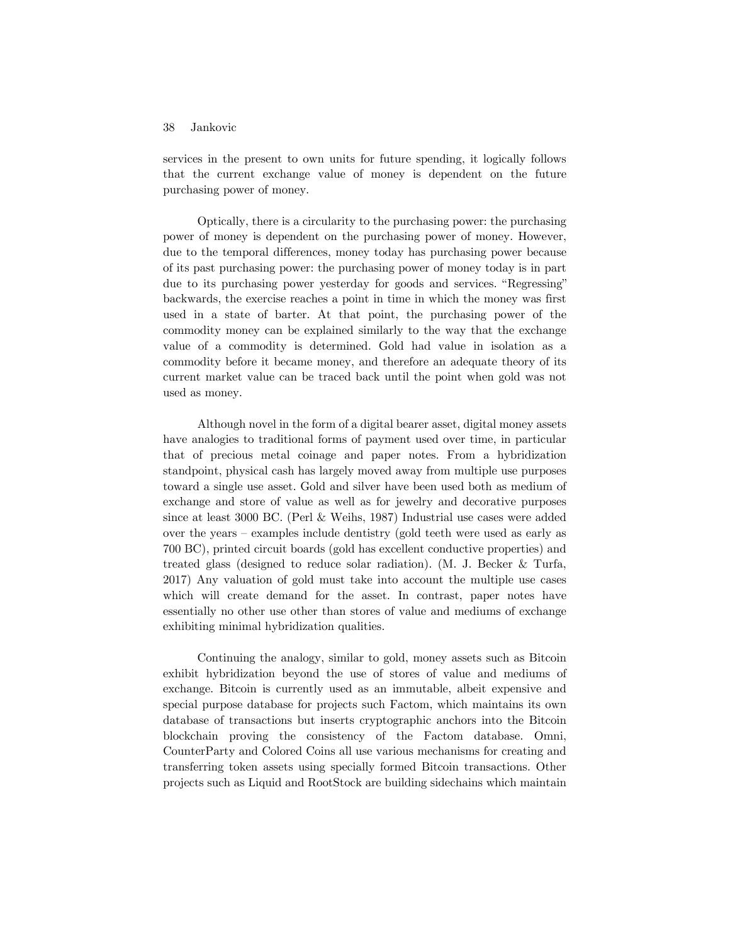services in the present to own units for future spending, it logically follows that the current exchange value of money is dependent on the future purchasing power of money.

Optically, there is a circularity to the purchasing power: the purchasing power of money is dependent on the purchasing power of money. However, due to the temporal differences, money today has purchasing power because of its past purchasing power: the purchasing power of money today is in part due to its purchasing power yesterday for goods and services. "Regressing" backwards, the exercise reaches a point in time in which the money was first used in a state of barter. At that point, the purchasing power of the commodity money can be explained similarly to the way that the exchange value of a commodity is determined. Gold had value in isolation as a commodity before it became money, and therefore an adequate theory of its current market value can be traced back until the point when gold was not used as money.

Although novel in the form of a digital bearer asset, digital money assets have analogies to traditional forms of payment used over time, in particular that of precious metal coinage and paper notes. From a hybridization standpoint, physical cash has largely moved away from multiple use purposes toward a single use asset. Gold and silver have been used both as medium of exchange and store of value as well as for jewelry and decorative purposes since at least 3000 BC. (Perl & Weihs, 1987) Industrial use cases were added over the years – examples include dentistry (gold teeth were used as early as 700 BC), printed circuit boards (gold has excellent conductive properties) and treated glass (designed to reduce solar radiation). (M. J. Becker & Turfa, 2017) Any valuation of gold must take into account the multiple use cases which will create demand for the asset. In contrast, paper notes have essentially no other use other than stores of value and mediums of exchange exhibiting minimal hybridization qualities.

Continuing the analogy, similar to gold, money assets such as Bitcoin exhibit hybridization beyond the use of stores of value and mediums of exchange. Bitcoin is currently used as an immutable, albeit expensive and special purpose database for projects such Factom, which maintains its own database of transactions but inserts cryptographic anchors into the Bitcoin blockchain proving the consistency of the Factom database. Omni, CounterParty and Colored Coins all use various mechanisms for creating and transferring token assets using specially formed Bitcoin transactions. Other projects such as Liquid and RootStock are building sidechains which maintain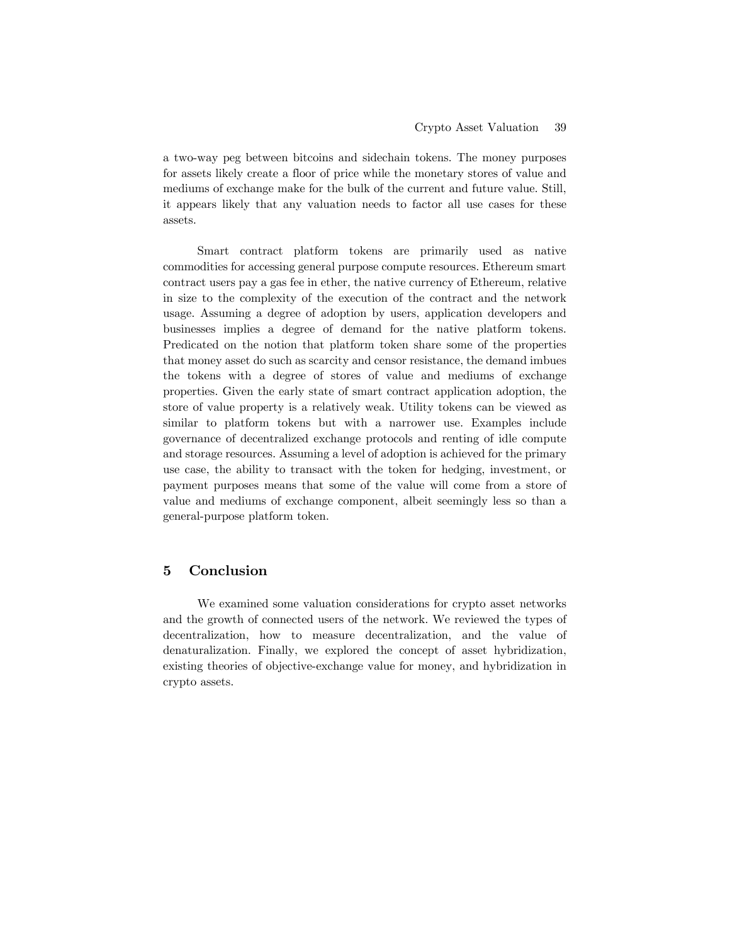a two-way peg between bitcoins and sidechain tokens. The money purposes for assets likely create a floor of price while the monetary stores of value and mediums of exchange make for the bulk of the current and future value. Still, it appears likely that any valuation needs to factor all use cases for these assets.

Smart contract platform tokens are primarily used as native commodities for accessing general purpose compute resources. Ethereum smart contract users pay a gas fee in ether, the native currency of Ethereum, relative in size to the complexity of the execution of the contract and the network usage. Assuming a degree of adoption by users, application developers and businesses implies a degree of demand for the native platform tokens. Predicated on the notion that platform token share some of the properties that money asset do such as scarcity and censor resistance, the demand imbues the tokens with a degree of stores of value and mediums of exchange properties. Given the early state of smart contract application adoption, the store of value property is a relatively weak. Utility tokens can be viewed as similar to platform tokens but with a narrower use. Examples include governance of decentralized exchange protocols and renting of idle compute and storage resources. Assuming a level of adoption is achieved for the primary use case, the ability to transact with the token for hedging, investment, or payment purposes means that some of the value will come from a store of value and mediums of exchange component, albeit seemingly less so than a general-purpose platform token.

# <span id="page-39-0"></span>**5 Conclusion**

We examined some valuation considerations for crypto asset networks and the growth of connected users of the network. We reviewed the types of decentralization, how to measure decentralization, and the value of denaturalization. Finally, we explored the concept of asset hybridization, existing theories of objective-exchange value for money, and hybridization in crypto assets.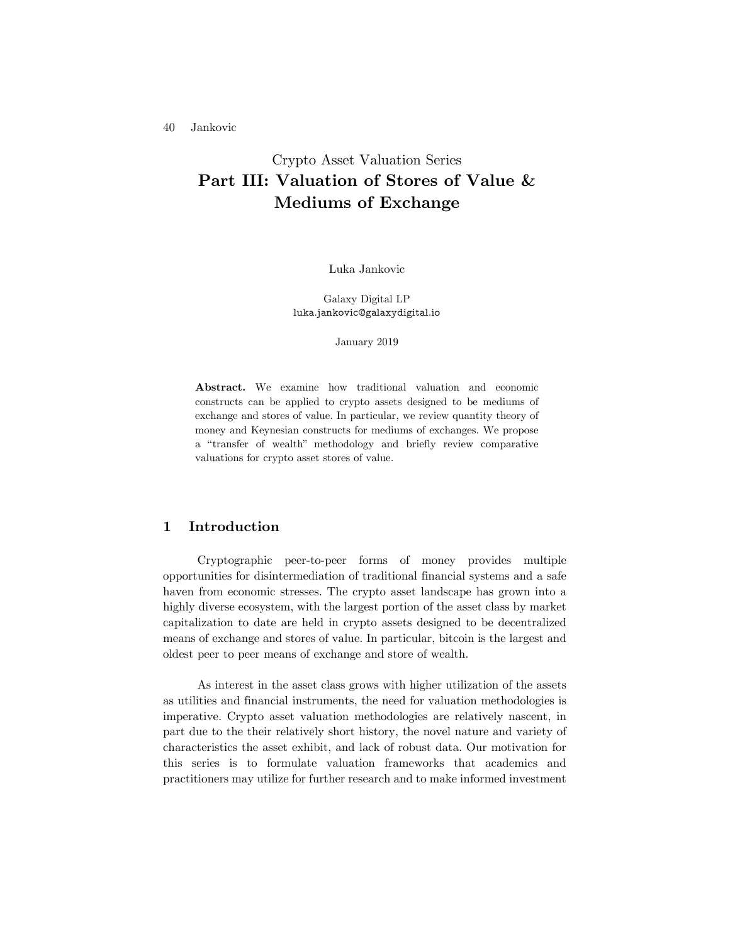# Crypto Asset Valuation Series **Part III: Valuation of Stores of Value & Mediums of Exchange**

Luka Jankovic

Galaxy Digital LP luka.jankovic@galaxydigital.io

January 2019

**Abstract.** We examine how traditional valuation and economic constructs can be applied to crypto assets designed to be mediums of exchange and stores of value. In particular, we review quantity theory of money and Keynesian constructs for mediums of exchanges. We propose a "transfer of wealth" methodology and briefly review comparative valuations for crypto asset stores of value.

# <span id="page-40-0"></span>**1 Introduction**

Cryptographic peer-to-peer forms of money provides multiple opportunities for disintermediation of traditional financial systems and a safe haven from economic stresses. The crypto asset landscape has grown into a highly diverse ecosystem, with the largest portion of the asset class by market capitalization to date are held in crypto assets designed to be decentralized means of exchange and stores of value. In particular, bitcoin is the largest and oldest peer to peer means of exchange and store of wealth.

As interest in the asset class grows with higher utilization of the assets as utilities and financial instruments, the need for valuation methodologies is imperative. Crypto asset valuation methodologies are relatively nascent, in part due to the their relatively short history, the novel nature and variety of characteristics the asset exhibit, and lack of robust data. Our motivation for this series is to formulate valuation frameworks that academics and practitioners may utilize for further research and to make informed investment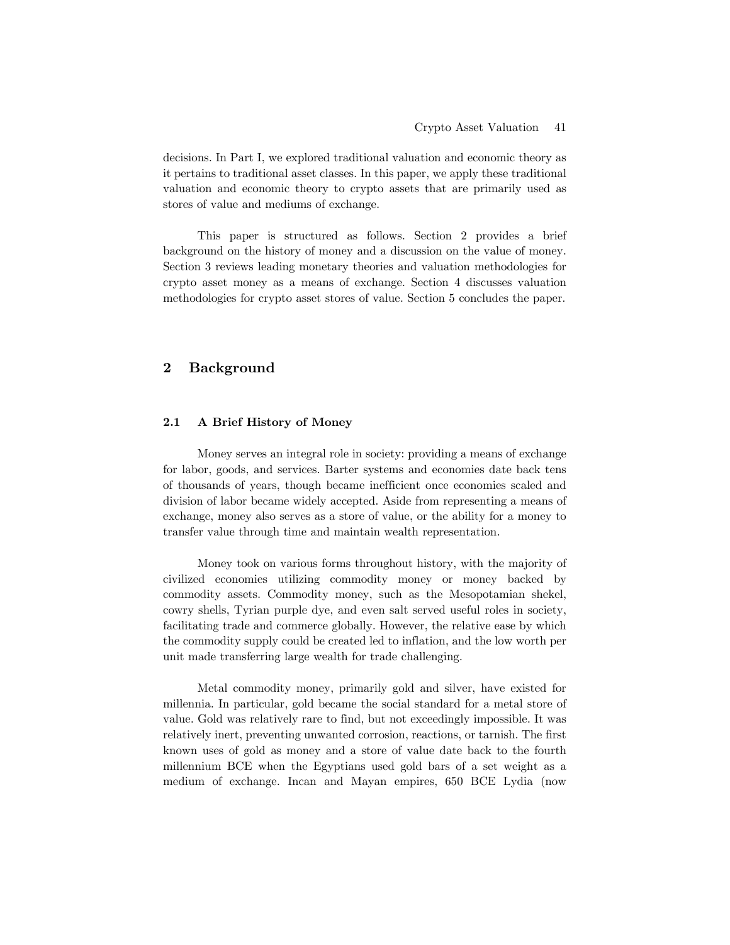decisions. In Part I, we explored traditional valuation and economic theory as it pertains to traditional asset classes. In this paper, we apply these traditional valuation and economic theory to crypto assets that are primarily used as stores of value and mediums of exchange.

This paper is structured as follows. Section 2 provides a brief background on the history of money and a discussion on the value of money. Section 3 reviews leading monetary theories and valuation methodologies for crypto asset money as a means of exchange. Section 4 discusses valuation methodologies for crypto asset stores of value. Section 5 concludes the paper.

# <span id="page-41-0"></span>**2 Background**

# <span id="page-41-1"></span>**2.1 A Brief History of Money**

Money serves an integral role in society: providing a means of exchange for labor, goods, and services. Barter systems and economies date back tens of thousands of years, though became inefficient once economies scaled and division of labor became widely accepted. Aside from representing a means of exchange, money also serves as a store of value, or the ability for a money to transfer value through time and maintain wealth representation.

Money took on various forms throughout history, with the majority of civilized economies utilizing commodity money or money backed by commodity assets. Commodity money, such as the Mesopotamian shekel, cowry shells, Tyrian purple dye, and even salt served useful roles in society, facilitating trade and commerce globally. However, the relative ease by which the commodity supply could be created led to inflation, and the low worth per unit made transferring large wealth for trade challenging.

Metal commodity money, primarily gold and silver, have existed for millennia. In particular, gold became the social standard for a metal store of value. Gold was relatively rare to find, but not exceedingly impossible. It was relatively inert, preventing unwanted corrosion, reactions, or tarnish. The first known uses of gold as money and a store of value date back to the fourth millennium BCE when the Egyptians used gold bars of a set weight as a medium of exchange. Incan and Mayan empires, 650 BCE Lydia (now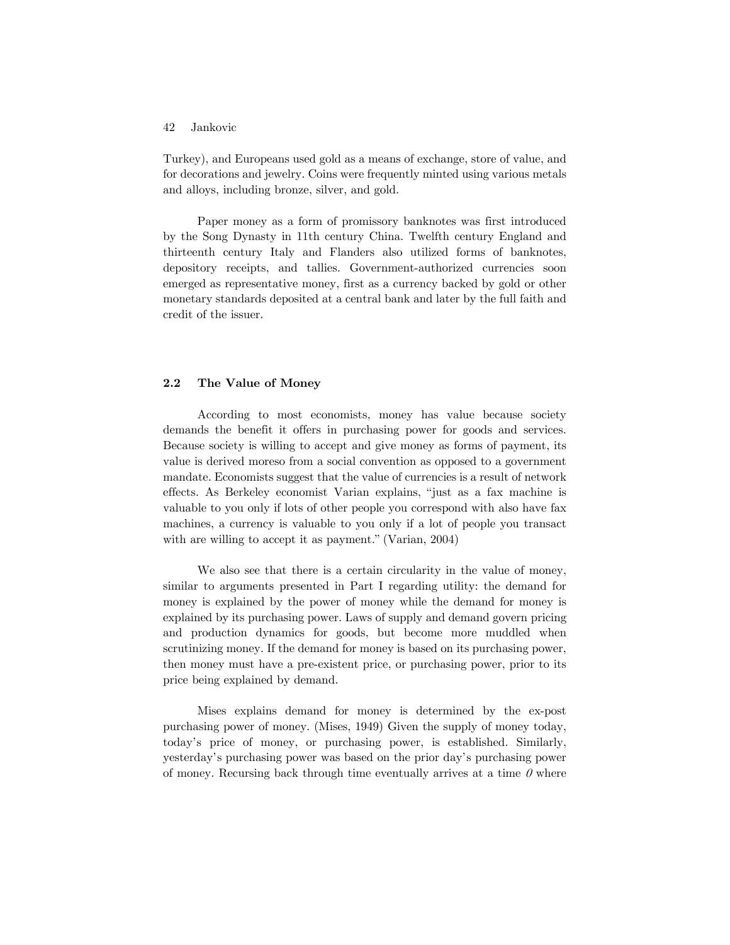Turkey), and Europeans used gold as a means of exchange, store of value, and for decorations and jewelry. Coins were frequently minted using various metals and alloys, including bronze, silver, and gold.

Paper money as a form of promissory banknotes was first introduced by the Song Dynasty in 11th century China. Twelfth century England and thirteenth century Italy and Flanders also utilized forms of banknotes, depository receipts, and tallies. Government-authorized currencies soon emerged as representative money, first as a currency backed by gold or other monetary standards deposited at a central bank and later by the full faith and credit of the issuer.

# <span id="page-42-0"></span>**2.2 The Value of Money**

According to most economists, money has value because society demands the benefit it offers in purchasing power for goods and services. Because society is willing to accept and give money as forms of payment, its value is derived moreso from a social convention as opposed to a government mandate. Economists suggest that the value of currencies is a result of network effects. As Berkeley economist Varian explains, "just as a fax machine is valuable to you only if lots of other people you correspond with also have fax machines, a currency is valuable to you only if a lot of people you transact with are willing to accept it as payment." (Varian, 2004)

We also see that there is a certain circularity in the value of money, similar to arguments presented in Part I regarding utility: the demand for money is explained by the power of money while the demand for money is explained by its purchasing power. Laws of supply and demand govern pricing and production dynamics for goods, but become more muddled when scrutinizing money. If the demand for money is based on its purchasing power, then money must have a pre-existent price, or purchasing power, prior to its price being explained by demand.

Mises explains demand for money is determined by the ex-post purchasing power of money. (Mises, 1949) Given the supply of money today, today's price of money, or purchasing power, is established. Similarly, yesterday's purchasing power was based on the prior day's purchasing power of money. Recursing back through time eventually arrives at a time  $\theta$  where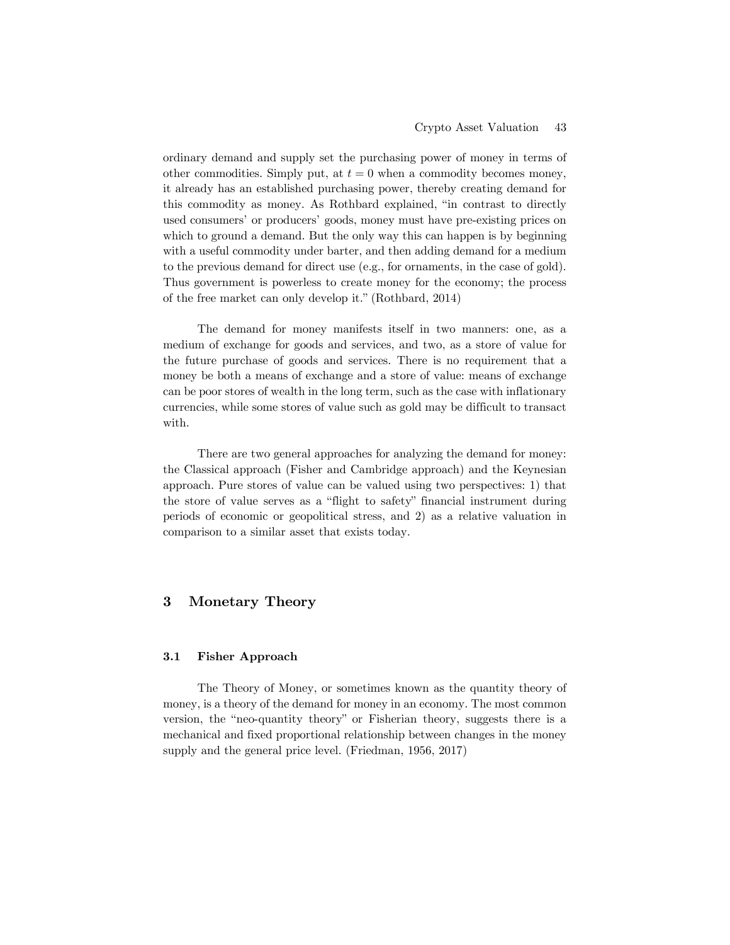ordinary demand and supply set the purchasing power of money in terms of other commodities. Simply put, at  $t = 0$  when a commodity becomes money, it already has an established purchasing power, thereby creating demand for this commodity as money. As Rothbard explained, "in contrast to directly used consumers' or producers' goods, money must have pre-existing prices on which to ground a demand. But the only way this can happen is by beginning with a useful commodity under barter, and then adding demand for a medium to the previous demand for direct use (e.g., for ornaments, in the case of gold). Thus government is powerless to create money for the economy; the process of the free market can only develop it." (Rothbard, 2014)

The demand for money manifests itself in two manners: one, as a medium of exchange for goods and services, and two, as a store of value for the future purchase of goods and services. There is no requirement that a money be both a means of exchange and a store of value: means of exchange can be poor stores of wealth in the long term, such as the case with inflationary currencies, while some stores of value such as gold may be difficult to transact with.

There are two general approaches for analyzing the demand for money: the Classical approach (Fisher and Cambridge approach) and the Keynesian approach. Pure stores of value can be valued using two perspectives: 1) that the store of value serves as a "flight to safety" financial instrument during periods of economic or geopolitical stress, and 2) as a relative valuation in comparison to a similar asset that exists today.

# <span id="page-43-0"></span>**3 Monetary Theory**

## <span id="page-43-1"></span>**3.1 Fisher Approach**

The Theory of Money, or sometimes known as the quantity theory of money, is a theory of the demand for money in an economy. The most common version, the "neo-quantity theory" or Fisherian theory, suggests there is a mechanical and fixed proportional relationship between changes in the money supply and the general price level. (Friedman, 1956, 2017)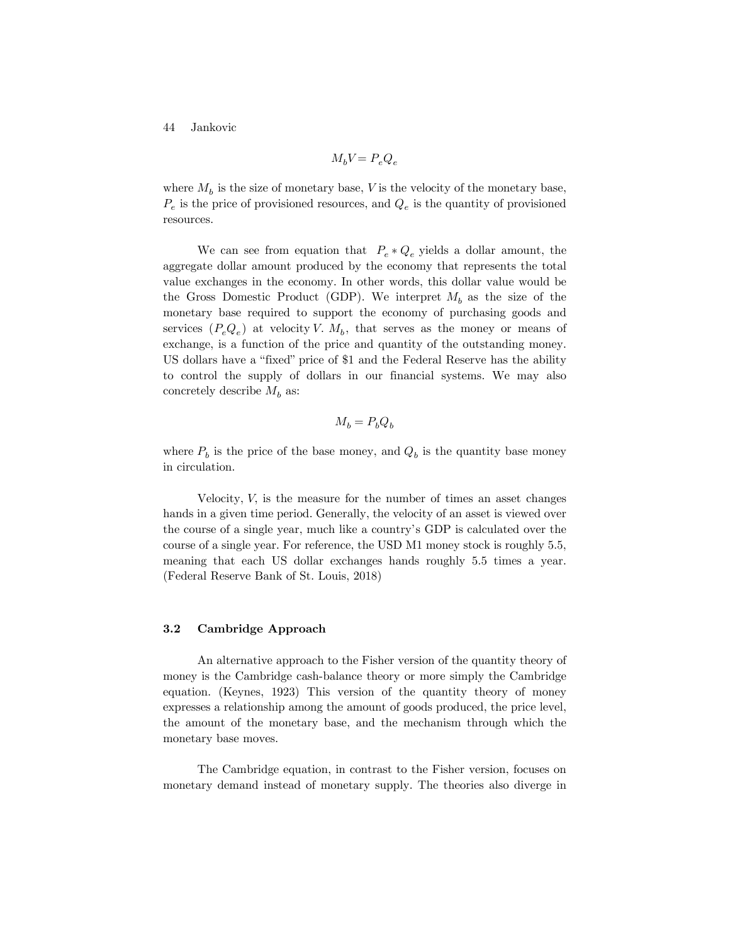$$
M_bV\!=P_eQ_e
$$

where  $M_b$  is the size of monetary base, V is the velocity of the monetary base,  $P_e$  is the price of provisioned resources, and  $Q_e$  is the quantity of provisioned resources.

We can see from equation that  $P_e * Q_e$  yields a dollar amount, the aggregate dollar amount produced by the economy that represents the total value exchanges in the economy. In other words, this dollar value would be the Gross Domestic Product (GDP). We interpret  $M_h$  as the size of the monetary base required to support the economy of purchasing goods and services  $(P_e Q_e)$  at velocity V.  $M_h$ , that serves as the money or means of exchange, is a function of the price and quantity of the outstanding money. US dollars have a "fixed" price of \$1 and the Federal Reserve has the ability to control the supply of dollars in our financial systems. We may also concretely describe  $M_h$  as:

$$
M_b = P_b Q_b
$$

where  $P_b$  is the price of the base money, and  $Q_b$  is the quantity base money in circulation.

Velocity,  $V$ , is the measure for the number of times an asset changes hands in a given time period. Generally, the velocity of an asset is viewed over the course of a single year, much like a country's GDP is calculated over the course of a single year. For reference, the USD M1 money stock is roughly 5.5, meaning that each US dollar exchanges hands roughly 5.5 times a year. (Federal Reserve Bank of St. Louis, 2018)

#### <span id="page-44-0"></span>**3.2 Cambridge Approach**

An alternative approach to the Fisher version of the quantity theory of money is the Cambridge cash-balance theory or more simply the Cambridge equation. (Keynes, 1923) This version of the quantity theory of money expresses a relationship among the amount of goods produced, the price level, the amount of the monetary base, and the mechanism through which the monetary base moves.

The Cambridge equation, in contrast to the Fisher version, focuses on monetary demand instead of monetary supply. The theories also diverge in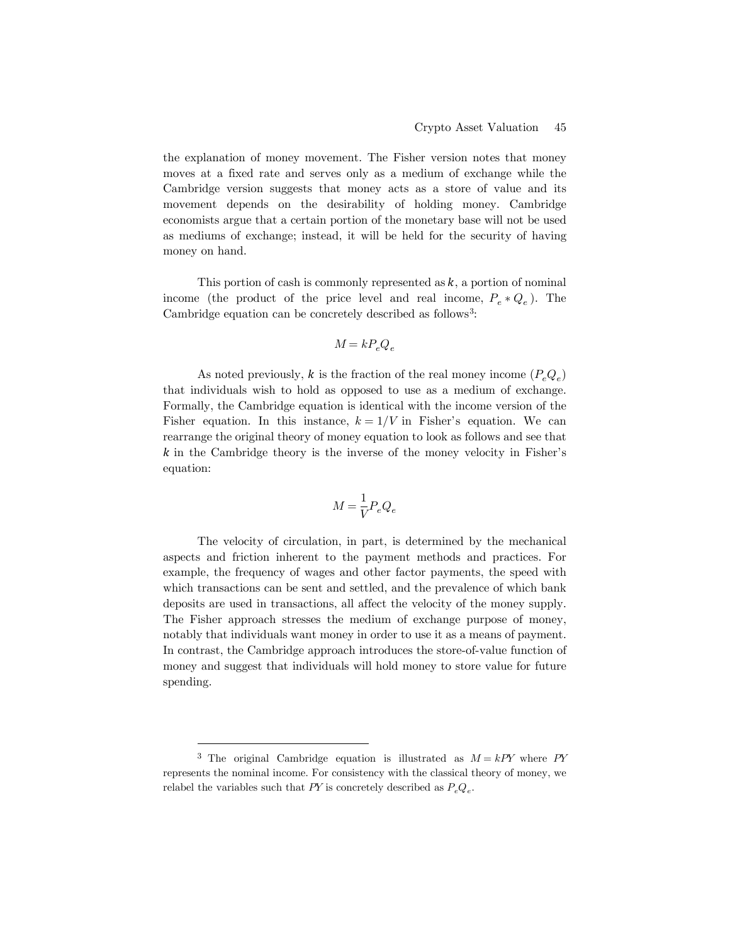the explanation of money movement. The Fisher version notes that money moves at a fixed rate and serves only as a medium of exchange while the Cambridge version suggests that money acts as a store of value and its movement depends on the desirability of holding money. Cambridge economists argue that a certain portion of the monetary base will not be used as mediums of exchange; instead, it will be held for the security of having money on hand.

This portion of cash is commonly represented as  $k$ , a portion of nominal income (the product of the price level and real income,  $P_e * Q_e$ ). The Cambridge equation can be concretely described as follows<sup>3</sup>:

$$
M=kP_eQ_e
$$

As noted previously, k is the fraction of the real money income  $(P_e Q_e)$ that individuals wish to hold as opposed to use as a medium of exchange. Formally, the Cambridge equation is identical with the income version of the Fisher equation. In this instance,  $k = 1/V$  in Fisher's equation. We can rearrange the original theory of money equation to look as follows and see that  $k$  in the Cambridge theory is the inverse of the money velocity in Fisher's equation:

$$
M = \frac{1}{V} P_e Q_e
$$

The velocity of circulation, in part, is determined by the mechanical aspects and friction inherent to the payment methods and practices. For example, the frequency of wages and other factor payments, the speed with which transactions can be sent and settled, and the prevalence of which bank deposits are used in transactions, all affect the velocity of the money supply. The Fisher approach stresses the medium of exchange purpose of money, notably that individuals want money in order to use it as a means of payment. In contrast, the Cambridge approach introduces the store-of-value function of money and suggest that individuals will hold money to store value for future spending.

-

<span id="page-45-0"></span><sup>&</sup>lt;sup>3</sup> The original Cambridge equation is illustrated as  $M = kPY$  where PY represents the nominal income. For consistency with the classical theory of money, we relabel the variables such that  $PY$  is concretely described as  $P_eQ_e$ .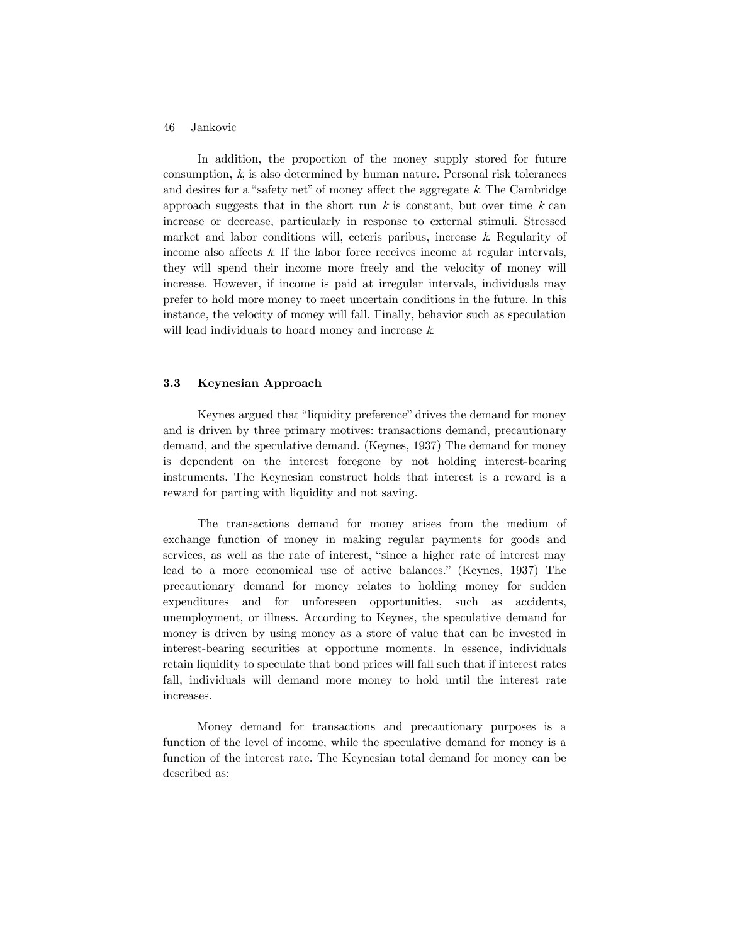In addition, the proportion of the money supply stored for future consumption,  $k$ , is also determined by human nature. Personal risk tolerances and desires for a "safety net" of money affect the aggregate  $k$ . The Cambridge approach suggests that in the short run  $k$  is constant, but over time  $k$  can increase or decrease, particularly in response to external stimuli. Stressed market and labor conditions will, ceteris paribus, increase k. Regularity of income also affects k. If the labor force receives income at regular intervals, they will spend their income more freely and the velocity of money will increase. However, if income is paid at irregular intervals, individuals may prefer to hold more money to meet uncertain conditions in the future. In this instance, the velocity of money will fall. Finally, behavior such as speculation will lead individuals to hoard money and increase k.

## <span id="page-46-0"></span>**3.3 Keynesian Approach**

Keynes argued that "liquidity preference" drives the demand for money and is driven by three primary motives: transactions demand, precautionary demand, and the speculative demand. (Keynes, 1937) The demand for money is dependent on the interest foregone by not holding interest-bearing instruments. The Keynesian construct holds that interest is a reward is a reward for parting with liquidity and not saving.

The transactions demand for money arises from the medium of exchange function of money in making regular payments for goods and services, as well as the rate of interest, "since a higher rate of interest may lead to a more economical use of active balances." (Keynes, 1937) The precautionary demand for money relates to holding money for sudden expenditures and for unforeseen opportunities, such as accidents, unemployment, or illness. According to Keynes, the speculative demand for money is driven by using money as a store of value that can be invested in interest-bearing securities at opportune moments. In essence, individuals retain liquidity to speculate that bond prices will fall such that if interest rates fall, individuals will demand more money to hold until the interest rate increases.

Money demand for transactions and precautionary purposes is a function of the level of income, while the speculative demand for money is a function of the interest rate. The Keynesian total demand for money can be described as: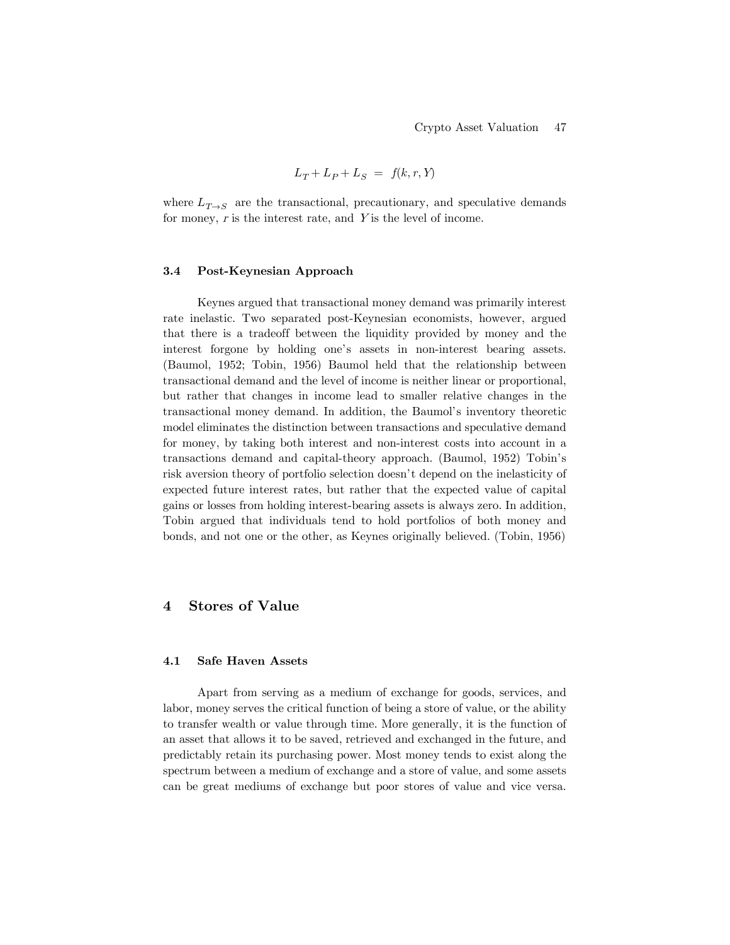$$
L_T + L_P + L_S = f(k, r, Y)
$$

where  $L_{T\rightarrow S}$  are the transactional, precautionary, and speculative demands for money,  $r$  is the interest rate, and  $Y$  is the level of income.

## <span id="page-47-0"></span>**3.4 Post-Keynesian Approach**

Keynes argued that transactional money demand was primarily interest rate inelastic. Two separated post-Keynesian economists, however, argued that there is a tradeoff between the liquidity provided by money and the interest forgone by holding one's assets in non-interest bearing assets. (Baumol, 1952; Tobin, 1956) Baumol held that the relationship between transactional demand and the level of income is neither linear or proportional, but rather that changes in income lead to smaller relative changes in the transactional money demand. In addition, the Baumol's inventory theoretic model eliminates the distinction between transactions and speculative demand for money, by taking both interest and non-interest costs into account in a transactions demand and capital-theory approach. (Baumol, 1952) Tobin's risk aversion theory of portfolio selection doesn't depend on the inelasticity of expected future interest rates, but rather that the expected value of capital gains or losses from holding interest-bearing assets is always zero. In addition, Tobin argued that individuals tend to hold portfolios of both money and bonds, and not one or the other, as Keynes originally believed. (Tobin, 1956)

# <span id="page-47-1"></span>**4 Stores of Value**

# <span id="page-47-2"></span>**4.1 Safe Haven Assets**

Apart from serving as a medium of exchange for goods, services, and labor, money serves the critical function of being a store of value, or the ability to transfer wealth or value through time. More generally, it is the function of an asset that allows it to be saved, retrieved and exchanged in the future, and predictably retain its purchasing power. Most money tends to exist along the spectrum between a medium of exchange and a store of value, and some assets can be great mediums of exchange but poor stores of value and vice versa.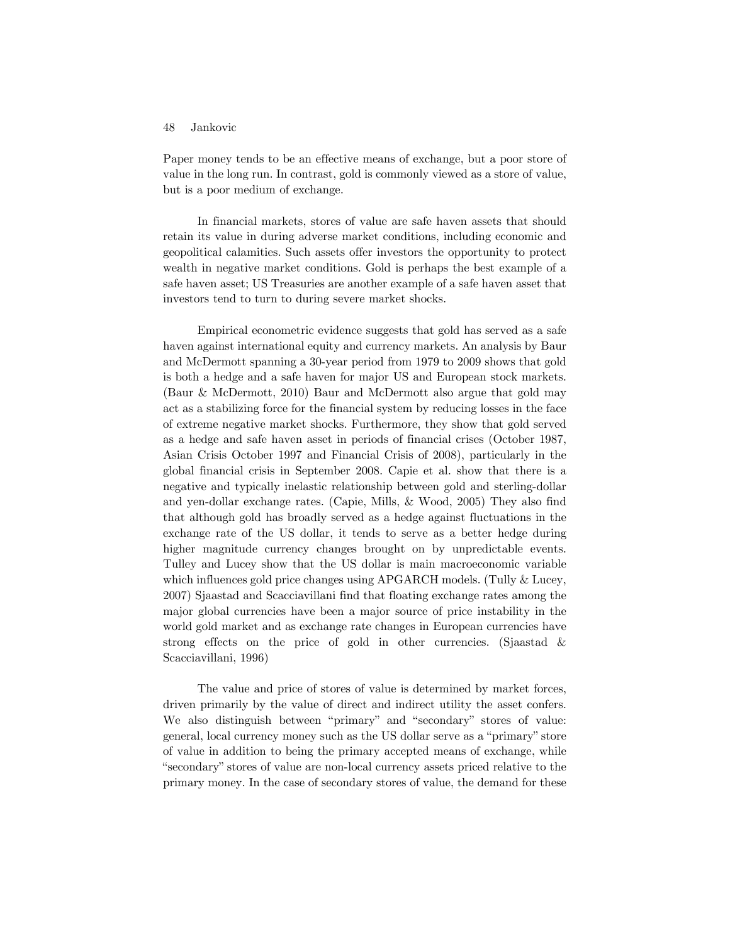Paper money tends to be an effective means of exchange, but a poor store of value in the long run. In contrast, gold is commonly viewed as a store of value, but is a poor medium of exchange.

In financial markets, stores of value are safe haven assets that should retain its value in during adverse market conditions, including economic and geopolitical calamities. Such assets offer investors the opportunity to protect wealth in negative market conditions. Gold is perhaps the best example of a safe haven asset; US Treasuries are another example of a safe haven asset that investors tend to turn to during severe market shocks.

Empirical econometric evidence suggests that gold has served as a safe haven against international equity and currency markets. An analysis by Baur and McDermott spanning a 30-year period from 1979 to 2009 shows that gold is both a hedge and a safe haven for major US and European stock markets. (Baur & McDermott, 2010) Baur and McDermott also argue that gold may act as a stabilizing force for the financial system by reducing losses in the face of extreme negative market shocks. Furthermore, they show that gold served as a hedge and safe haven asset in periods of financial crises (October 1987, Asian Crisis October 1997 and Financial Crisis of 2008), particularly in the global financial crisis in September 2008. Capie et al. show that there is a negative and typically inelastic relationship between gold and sterling-dollar and yen-dollar exchange rates. (Capie, Mills, & Wood, 2005) They also find that although gold has broadly served as a hedge against fluctuations in the exchange rate of the US dollar, it tends to serve as a better hedge during higher magnitude currency changes brought on by unpredictable events. Tulley and Lucey show that the US dollar is main macroeconomic variable which influences gold price changes using APGARCH models. (Tully & Lucey, 2007) Sjaastad and Scacciavillani find that floating exchange rates among the major global currencies have been a major source of price instability in the world gold market and as exchange rate changes in European currencies have strong effects on the price of gold in other currencies. (Sjaastad & Scacciavillani, 1996)

The value and price of stores of value is determined by market forces, driven primarily by the value of direct and indirect utility the asset confers. We also distinguish between "primary" and "secondary" stores of value: general, local currency money such as the US dollar serve as a "primary" store of value in addition to being the primary accepted means of exchange, while "secondary" stores of value are non-local currency assets priced relative to the primary money. In the case of secondary stores of value, the demand for these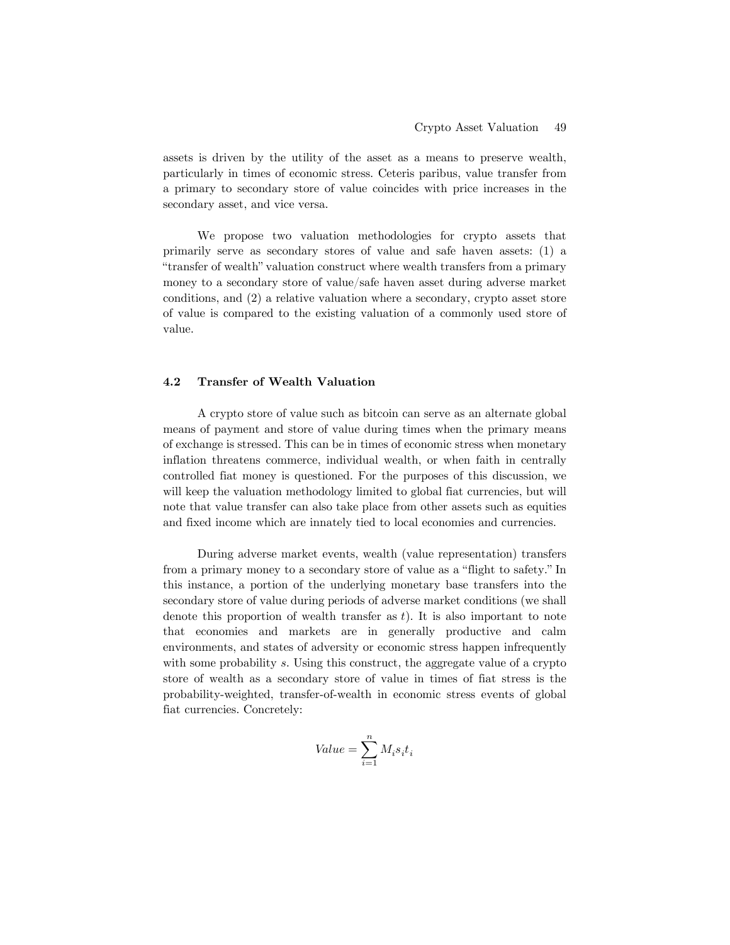assets is driven by the utility of the asset as a means to preserve wealth, particularly in times of economic stress. Ceteris paribus, value transfer from a primary to secondary store of value coincides with price increases in the secondary asset, and vice versa.

We propose two valuation methodologies for crypto assets that primarily serve as secondary stores of value and safe haven assets: (1) a "transfer of wealth" valuation construct where wealth transfers from a primary money to a secondary store of value/safe haven asset during adverse market conditions, and (2) a relative valuation where a secondary, crypto asset store of value is compared to the existing valuation of a commonly used store of value.

# <span id="page-49-0"></span>**4.2 Transfer of Wealth Valuation**

A crypto store of value such as bitcoin can serve as an alternate global means of payment and store of value during times when the primary means of exchange is stressed. This can be in times of economic stress when monetary inflation threatens commerce, individual wealth, or when faith in centrally controlled fiat money is questioned. For the purposes of this discussion, we will keep the valuation methodology limited to global fiat currencies, but will note that value transfer can also take place from other assets such as equities and fixed income which are innately tied to local economies and currencies.

During adverse market events, wealth (value representation) transfers from a primary money to a secondary store of value as a "flight to safety." In this instance, a portion of the underlying monetary base transfers into the secondary store of value during periods of adverse market conditions (we shall denote this proportion of wealth transfer as  $t$ ). It is also important to note that economies and markets are in generally productive and calm environments, and states of adversity or economic stress happen infrequently with some probability  $s$ . Using this construct, the aggregate value of a crypto store of wealth as a secondary store of value in times of fiat stress is the probability-weighted, transfer-of-wealth in economic stress events of global fiat currencies. Concretely:

$$
Value = \sum_{i=1}^{n} M_i s_i t_i
$$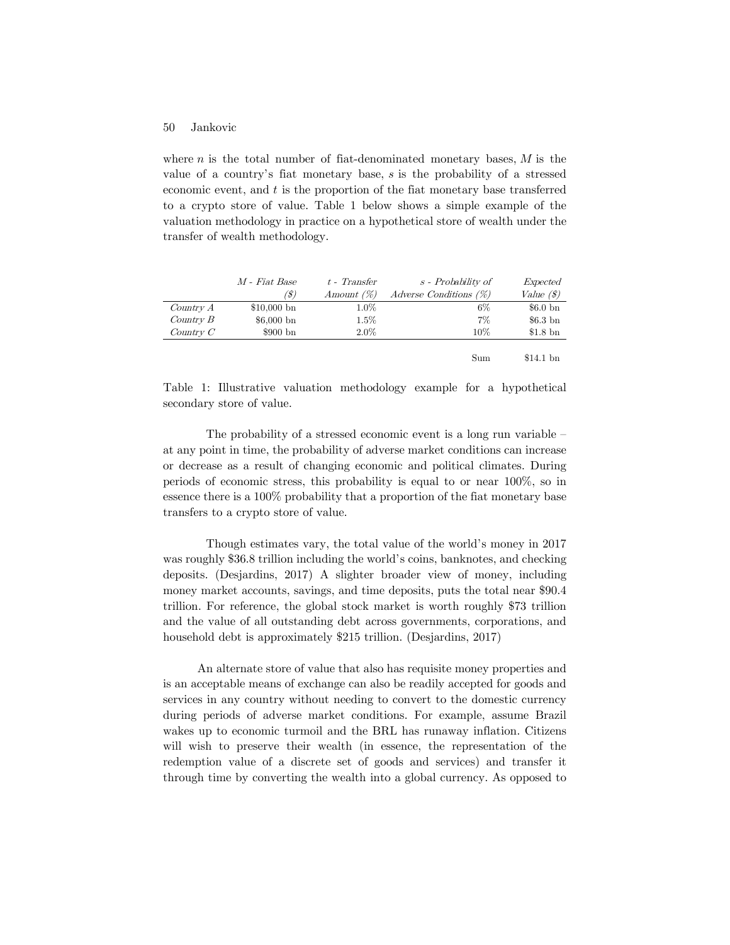where  $n$  is the total number of fiat-denominated monetary bases,  $M$  is the value of a country's fiat monetary base,  $s$  is the probability of a stressed economic event, and  $t$  is the proportion of the fiat monetary base transferred to a crypto store of value. Table 1 below shows a simple example of the valuation methodology in practice on a hypothetical store of wealth under the transfer of wealth methodology.

|              | M - Fiat Base    | $t$ - Transfer | s - Probability of        | Expected          |
|--------------|------------------|----------------|---------------------------|-------------------|
|              | (S)              | Amount $(\%)$  | Adverse Conditions $(\%)$ | Value $(s)$       |
| Country A    | $$10,000$ bn     | $1.0\%$        | $6\%$                     | $$6.0 \text{ bn}$ |
| CountryB     | $$6,000$ bn      | $1.5\%$        | 7%                        | $$6.3 \text{ bn}$ |
| $Country\ C$ | $$900\text{ bn}$ | $2.0\%$        | 10%                       | $$1.8 \text{ bn}$ |
|              |                  |                |                           |                   |
|              |                  |                | Sum                       | $$14.1$ bn        |

Table 1: Illustrative valuation methodology example for a hypothetical secondary store of value.

The probability of a stressed economic event is a long run variable – at any point in time, the probability of adverse market conditions can increase or decrease as a result of changing economic and political climates. During periods of economic stress, this probability is equal to or near 100%, so in essence there is a 100% probability that a proportion of the fiat monetary base transfers to a crypto store of value.

Though estimates vary, the total value of the world's money in 2017 was roughly \$36.8 trillion including the world's coins, banknotes, and checking deposits. (Desjardins, 2017) A slighter broader view of money, including money market accounts, savings, and time deposits, puts the total near \$90.4 trillion. For reference, the global stock market is worth roughly \$73 trillion and the value of all outstanding debt across governments, corporations, and household debt is approximately \$215 trillion. (Desjardins, 2017)

An alternate store of value that also has requisite money properties and is an acceptable means of exchange can also be readily accepted for goods and services in any country without needing to convert to the domestic currency during periods of adverse market conditions. For example, assume Brazil wakes up to economic turmoil and the BRL has runaway inflation. Citizens will wish to preserve their wealth (in essence, the representation of the redemption value of a discrete set of goods and services) and transfer it through time by converting the wealth into a global currency. As opposed to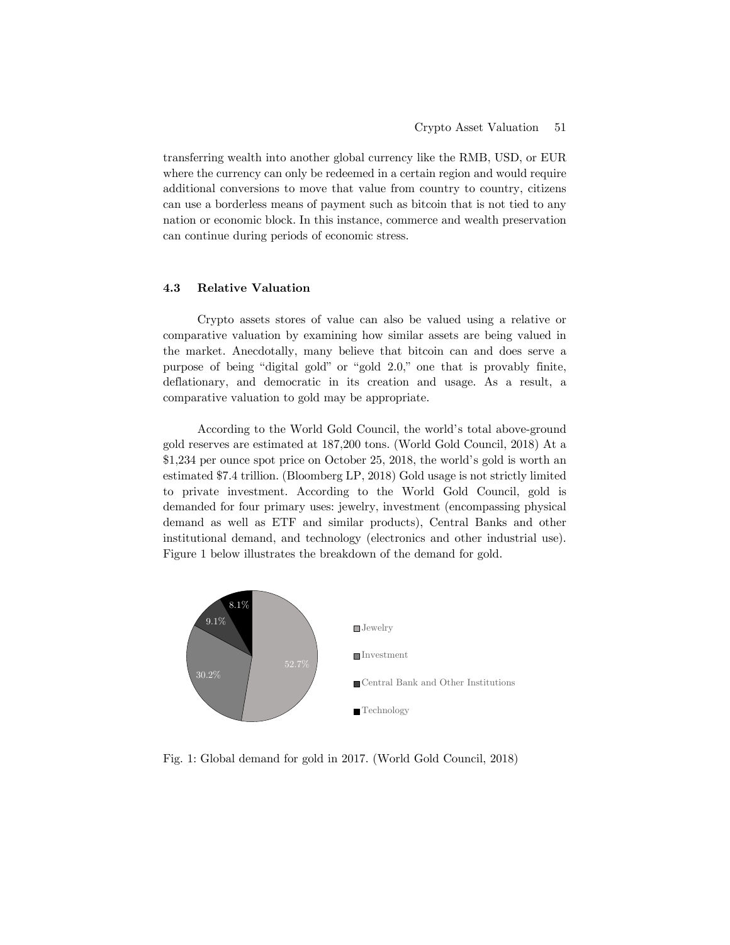transferring wealth into another global currency like the RMB, USD, or EUR where the currency can only be redeemed in a certain region and would require additional conversions to move that value from country to country, citizens can use a borderless means of payment such as bitcoin that is not tied to any nation or economic block. In this instance, commerce and wealth preservation can continue during periods of economic stress.

# <span id="page-51-0"></span>**4.3 Relative Valuation**

Crypto assets stores of value can also be valued using a relative or comparative valuation by examining how similar assets are being valued in the market. Anecdotally, many believe that bitcoin can and does serve a purpose of being "digital gold" or "gold 2.0," one that is provably finite, deflationary, and democratic in its creation and usage. As a result, a comparative valuation to gold may be appropriate.

According to the World Gold Council, the world's total above-ground gold reserves are estimated at 187,200 tons. (World Gold Council, 2018) At a \$1,234 per ounce spot price on October 25, 2018, the world's gold is worth an estimated \$7.4 trillion. (Bloomberg LP, 2018) Gold usage is not strictly limited to private investment. According to the World Gold Council, gold is demanded for four primary uses: jewelry, investment (encompassing physical demand as well as ETF and similar products), Central Banks and other institutional demand, and technology (electronics and other industrial use). Figure 1 below illustrates the breakdown of the demand for gold.



Fig. 1: Global demand for gold in 2017. (World Gold Council, 2018)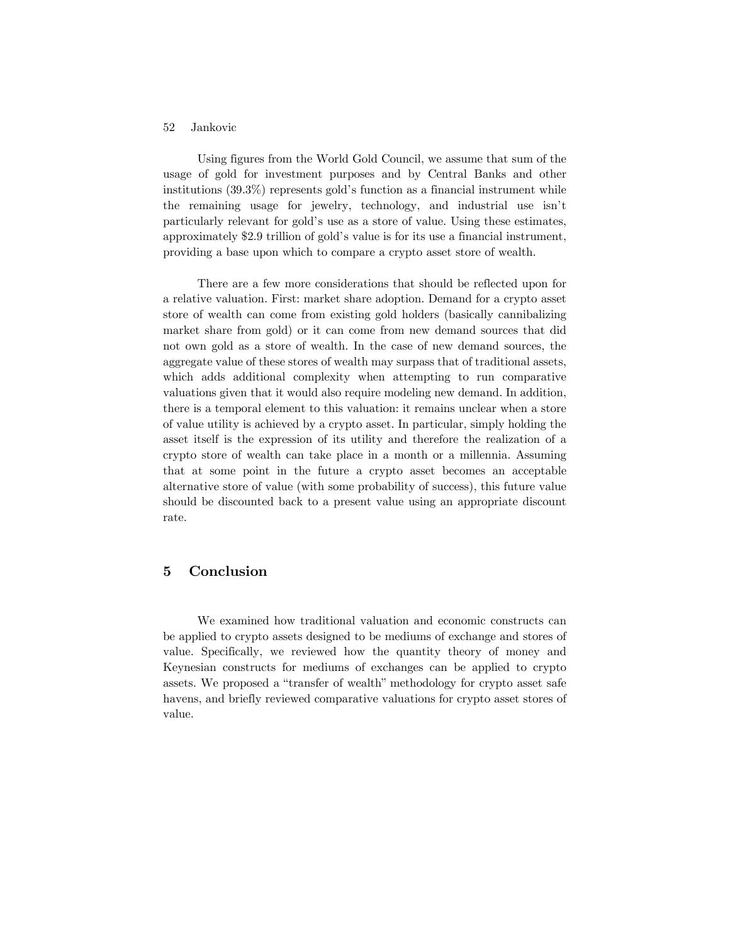Using figures from the World Gold Council, we assume that sum of the usage of gold for investment purposes and by Central Banks and other institutions (39.3%) represents gold's function as a financial instrument while the remaining usage for jewelry, technology, and industrial use isn't particularly relevant for gold's use as a store of value. Using these estimates, approximately \$2.9 trillion of gold's value is for its use a financial instrument, providing a base upon which to compare a crypto asset store of wealth.

There are a few more considerations that should be reflected upon for a relative valuation. First: market share adoption. Demand for a crypto asset store of wealth can come from existing gold holders (basically cannibalizing market share from gold) or it can come from new demand sources that did not own gold as a store of wealth. In the case of new demand sources, the aggregate value of these stores of wealth may surpass that of traditional assets, which adds additional complexity when attempting to run comparative valuations given that it would also require modeling new demand. In addition, there is a temporal element to this valuation: it remains unclear when a store of value utility is achieved by a crypto asset. In particular, simply holding the asset itself is the expression of its utility and therefore the realization of a crypto store of wealth can take place in a month or a millennia. Assuming that at some point in the future a crypto asset becomes an acceptable alternative store of value (with some probability of success), this future value should be discounted back to a present value using an appropriate discount rate.

# <span id="page-52-0"></span>**5 Conclusion**

We examined how traditional valuation and economic constructs can be applied to crypto assets designed to be mediums of exchange and stores of value. Specifically, we reviewed how the quantity theory of money and Keynesian constructs for mediums of exchanges can be applied to crypto assets. We proposed a "transfer of wealth" methodology for crypto asset safe havens, and briefly reviewed comparative valuations for crypto asset stores of value.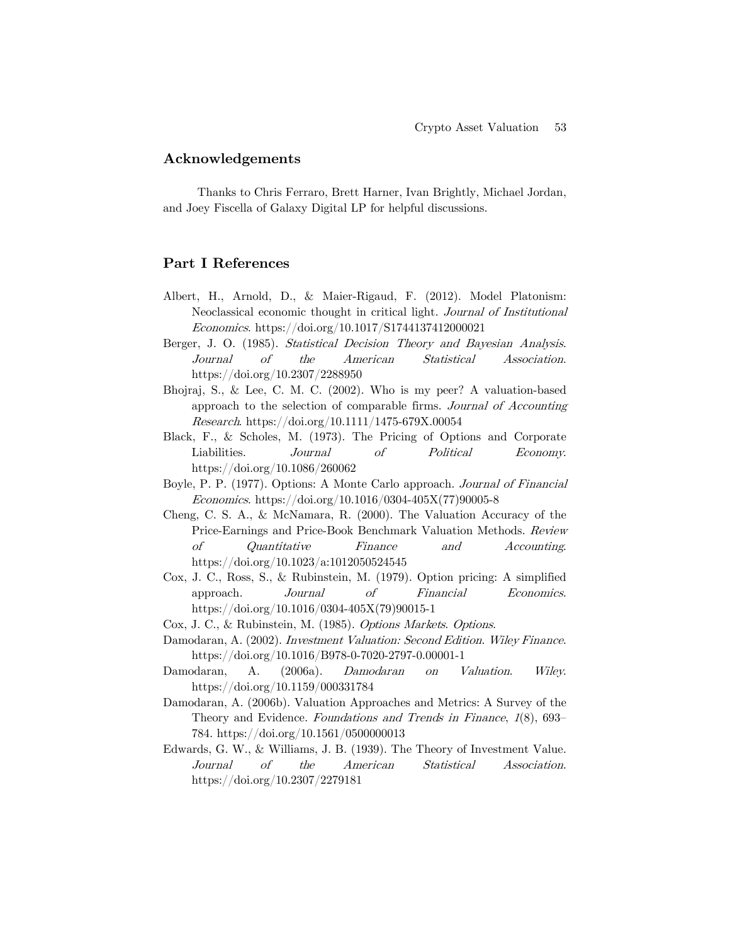# **Acknowledgements**

Thanks to Chris Ferraro, Brett Harner, Ivan Brightly, Michael Jordan, and Joey Fiscella of Galaxy Digital LP for helpful discussions.

# **Part I References**

- Albert, H., Arnold, D., & Maier-Rigaud, F. (2012). Model Platonism: Neoclassical economic thought in critical light. Journal of Institutional Economics. https://doi.org/10.1017/S1744137412000021
- Berger, J. O. (1985). Statistical Decision Theory and Bayesian Analysis. Journal of the American Statistical Association. https://doi.org/10.2307/2288950
- Bhojraj, S., & Lee, C. M. C. (2002). Who is my peer? A valuation-based approach to the selection of comparable firms. Journal of Accounting  $Research. \text{ https://doi.org/10.1111/1475-679X.00054}$
- Black, F., & Scholes, M. (1973). The Pricing of Options and Corporate Liabilities. *Journal* of *Political Economy*. https://doi.org/10.1086/260062
- Boyle, P. P. (1977). Options: A Monte Carlo approach. Journal of Financial Economics. https://doi.org/10.1016/0304-405X(77)90005-8
- Cheng, C. S. A., & McNamara, R. (2000). The Valuation Accuracy of the Price-Earnings and Price-Book Benchmark Valuation Methods. Review of Quantitative Finance and Accounting. https://doi.org/10.1023/a:1012050524545
- Cox, J. C., Ross, S., & Rubinstein, M. (1979). Option pricing: A simplified approach. *Journal of Financial Economics*. https://doi.org/10.1016/0304-405X(79)90015-1
- Cox, J. C., & Rubinstein, M. (1985). Options Markets. Options.
- Damodaran, A. (2002). *Investment Valuation: Second Edition. Wiley Finance.* https://doi.org/10.1016/B978-0-7020-2797-0.00001-1
- Damodaran, A. (2006a). Damodaran on Valuation. Wiley. https://doi.org/10.1159/000331784
- Damodaran, A. (2006b). Valuation Approaches and Metrics: A Survey of the Theory and Evidence. Foundations and Trends in Finance,  $1(8)$ , 693– 784. https://doi.org/10.1561/0500000013
- Edwards, G. W., & Williams, J. B. (1939). The Theory of Investment Value. Journal of the American Statistical Association. https://doi.org/10.2307/2279181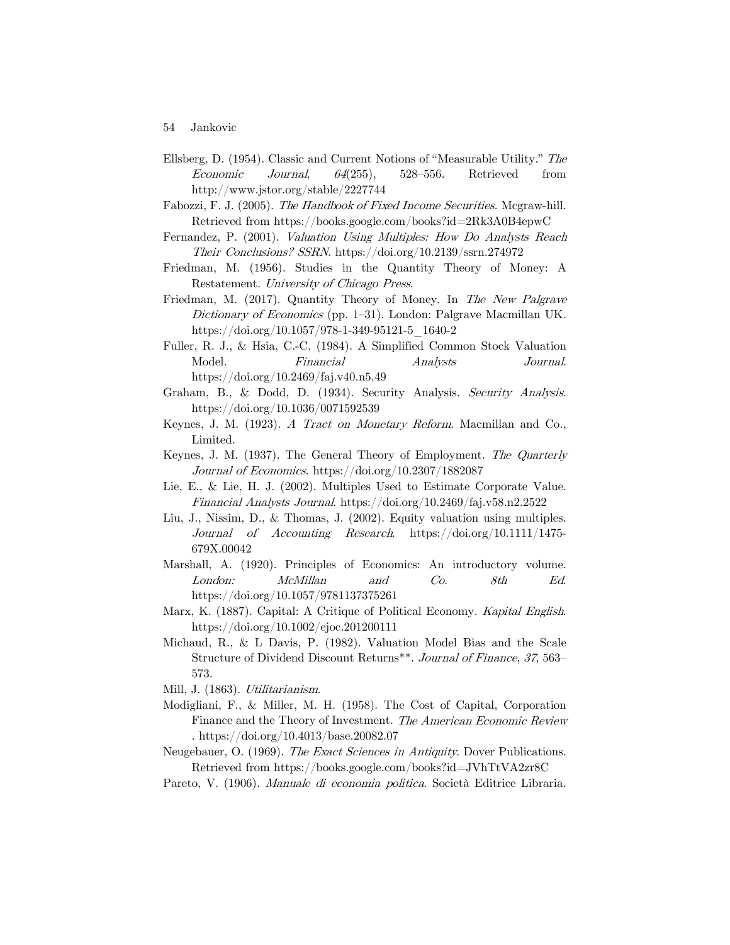- Ellsberg, D. (1954). Classic and Current Notions of "Measurable Utility." The Economic Journal, 64(255), 528–556. Retrieved from http://www.jstor.org/stable/2227744
- Fabozzi, F. J. (2005). The Handbook of Fixed Income Securities. Mcgraw-hill. Retrieved from https://books.google.com/books?id=2Rk3A0B4epwC
- Fernandez, P. (2001). Valuation Using Multiples: How Do Analysts Reach Their Conclusions? SSRN. https://doi.org/10.2139/ssrn.274972
- Friedman, M. (1956). Studies in the Quantity Theory of Money: A Restatement. University of Chicago Press.
- Friedman, M. (2017). Quantity Theory of Money. In The New Palgrave Dictionary of Economics (pp. 1–31). London: Palgrave Macmillan UK. https://doi.org/10.1057/978-1-349-95121-5\_1640-2
- Fuller, R. J., & Hsia, C.-C. (1984). A Simplified Common Stock Valuation Model. Financial Analysts Journal. https://doi.org/10.2469/faj.v40.n5.49
- Graham, B., & Dodd, D. (1934). Security Analysis. Security Analysis. https://doi.org/10.1036/0071592539
- Keynes, J. M. (1923). A Tract on Monetary Reform. Macmillan and Co., Limited.
- Keynes, J. M. (1937). The General Theory of Employment. The Quarterly Journal of Economics. https://doi.org/10.2307/1882087
- Lie, E., & Lie, H. J. (2002). Multiples Used to Estimate Corporate Value. Financial Analysts Journal. https://doi.org/10.2469/faj.v58.n2.2522
- Liu, J., Nissim, D., & Thomas, J. (2002). Equity valuation using multiples. Journal of Accounting Research. https://doi.org/10.1111/1475- 679X.00042
- Marshall, A. (1920). Principles of Economics: An introductory volume. London: McMillan and Co. 8th Ed. https://doi.org/10.1057/9781137375261
- Marx, K. (1887). Capital: A Critique of Political Economy. Kapital English. https://doi.org/10.1002/ejoc.201200111
- Michaud, R., & L Davis, P. (1982). Valuation Model Bias and the Scale Structure of Dividend Discount Returns\*\*. Journal of Finance, 37, 563– 573.
- Mill, J. (1863). Utilitarianism.
- Modigliani, F., & Miller, M. H. (1958). The Cost of Capital, Corporation Finance and the Theory of Investment. The American Economic Review . https://doi.org/10.4013/base.20082.07
- Neugebauer, O. (1969). The Exact Sciences in Antiquity. Dover Publications. Retrieved from https://books.google.com/books?id=JVhTtVA2zr8C
- Pareto, V. (1906). Manuale di economia politica. Società Editrice Libraria.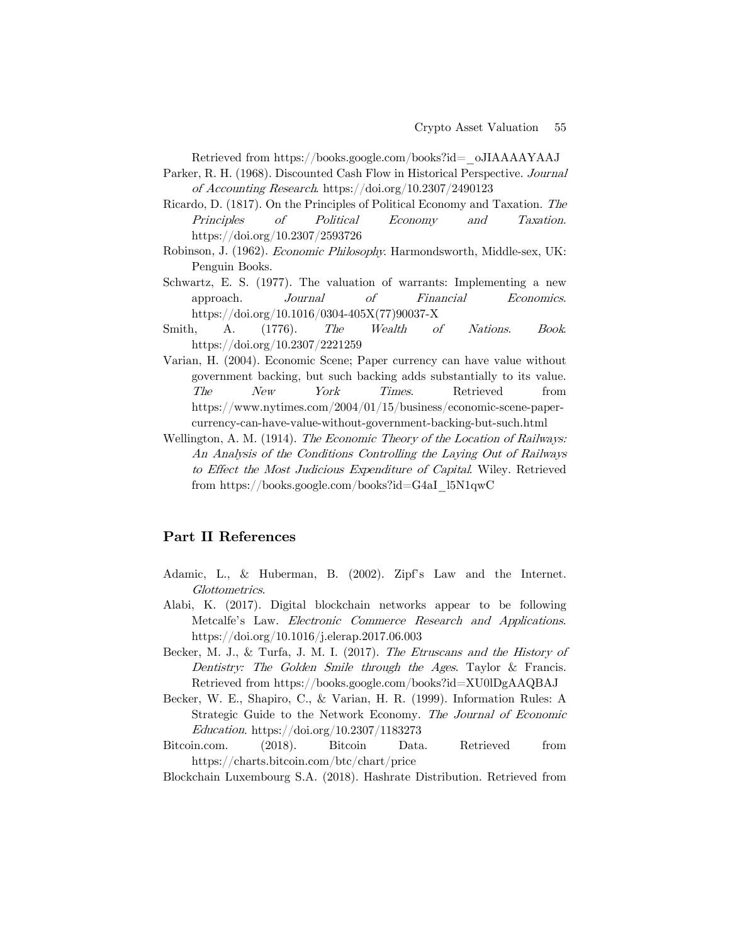Retrieved from https://books.google.com/books?id=\_oJIAAAAYAAJ

- Parker, R. H. (1968). Discounted Cash Flow in Historical Perspective. Journal of Accounting Research. https://doi.org/10.2307/2490123
- Ricardo, D. (1817). On the Principles of Political Economy and Taxation. The Principles of Political Economy and Taxation. https://doi.org/10.2307/2593726
- Robinson, J. (1962). Economic Philosophy. Harmondsworth, Middle-sex, UK: Penguin Books.
- Schwartz, E. S. (1977). The valuation of warrants: Implementing a new approach. *Journal of Financial Economics*. https://doi.org/10.1016/0304-405X(77)90037-X
- Smith, A. (1776). The Wealth of Nations. Book. https://doi.org/10.2307/2221259
- Varian, H. (2004). Economic Scene; Paper currency can have value without government backing, but such backing adds substantially to its value. The New York Times. Retrieved from https://www.nytimes.com/2004/01/15/business/economic-scene-papercurrency-can-have-value-without-government-backing-but-such.html
- Wellington, A. M. (1914). The Economic Theory of the Location of Railways: An Analysis of the Conditions Controlling the Laying Out of Railways to Effect the Most Judicious Expenditure of Capital. Wiley. Retrieved from https://books.google.com/books?id=G4aI\_l5N1qwC

# **Part II References**

- Adamic, L., & Huberman, B. (2002). Zipf's Law and the Internet. Glottometrics.
- Alabi, K. (2017). Digital blockchain networks appear to be following Metcalfe's Law. Electronic Commerce Research and Applications. https://doi.org/10.1016/j.elerap.2017.06.003
- Becker, M. J., & Turfa, J. M. I. (2017). The Etruscans and the History of Dentistry: The Golden Smile through the Ages. Taylor & Francis. Retrieved from https://books.google.com/books?id=XU0lDgAAQBAJ
- Becker, W. E., Shapiro, C., & Varian, H. R. (1999). Information Rules: A Strategic Guide to the Network Economy. The Journal of Economic Education. https://doi.org/10.2307/1183273
- Bitcoin.com. (2018). Bitcoin Data. Retrieved from https://charts.bitcoin.com/btc/chart/price
- Blockchain Luxembourg S.A. (2018). Hashrate Distribution. Retrieved from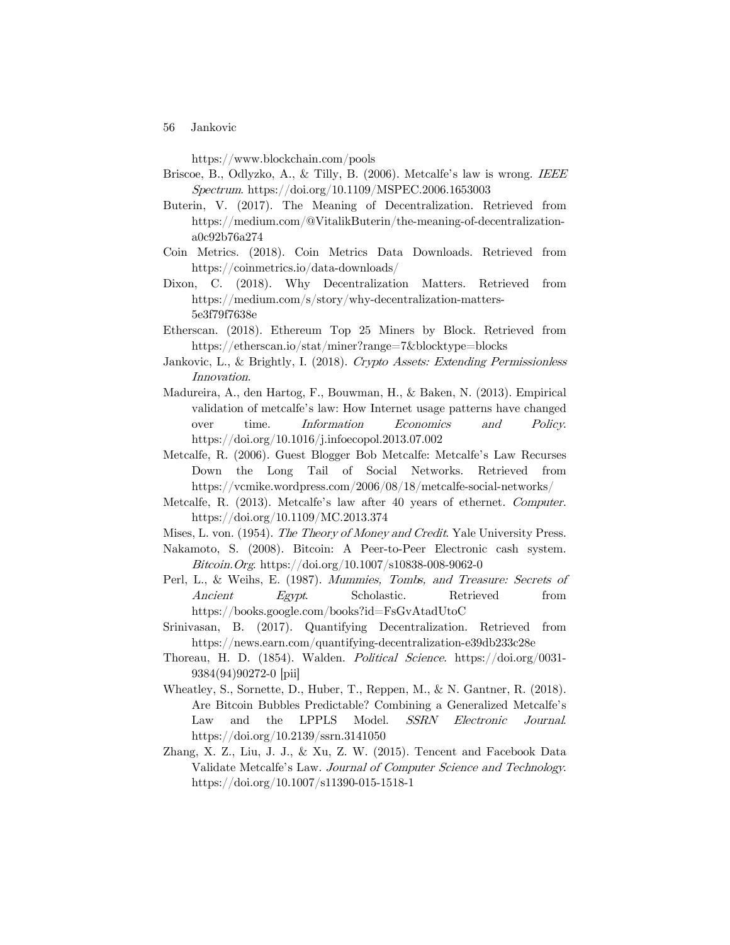https://www.blockchain.com/pools

- Briscoe, B., Odlyzko, A., & Tilly, B. (2006). Metcalfe's law is wrong. IEEE Spectrum. https://doi.org/10.1109/MSPEC.2006.1653003
- Buterin, V. (2017). The Meaning of Decentralization. Retrieved from https://medium.com/@VitalikButerin/the-meaning-of-decentralizationa0c92b76a274
- Coin Metrics. (2018). Coin Metrics Data Downloads. Retrieved from https://coinmetrics.io/data-downloads/
- Dixon, C. (2018). Why Decentralization Matters. Retrieved from https://medium.com/s/story/why-decentralization-matters-5e3f79f7638e
- Etherscan. (2018). Ethereum Top 25 Miners by Block. Retrieved from https://etherscan.io/stat/miner?range=7&blocktype=blocks
- Jankovic, L., & Brightly, I. (2018). Crypto Assets: Extending Permissionless Innovation.
- Madureira, A., den Hartog, F., Bouwman, H., & Baken, N. (2013). Empirical validation of metcalfe's law: How Internet usage patterns have changed over time. *Information Economics and Policy*. https://doi.org/10.1016/j.infoecopol.2013.07.002
- Metcalfe, R. (2006). Guest Blogger Bob Metcalfe: Metcalfe's Law Recurses Down the Long Tail of Social Networks. Retrieved from https://vcmike.wordpress.com/2006/08/18/metcalfe-social-networks/
- Metcalfe, R. (2013). Metcalfe's law after 40 years of ethernet. Computer. https://doi.org/10.1109/MC.2013.374
- Mises, L. von. (1954). The Theory of Money and Credit. Yale University Press.
- Nakamoto, S. (2008). Bitcoin: A Peer-to-Peer Electronic cash system. Bitcoin.Org. https://doi.org/10.1007/s10838-008-9062-0
- Perl, L., & Weihs, E. (1987). Mummies, Tombs, and Treasure: Secrets of Ancient Egypt. Scholastic. Retrieved from https://books.google.com/books?id=FsGvAtadUtoC
- Srinivasan, B. (2017). Quantifying Decentralization. Retrieved from https://news.earn.com/quantifying-decentralization-e39db233c28e
- Thoreau, H. D. (1854). Walden. Political Science. https://doi.org/0031- 9384(94)90272-0 [pii]
- Wheatley, S., Sornette, D., Huber, T., Reppen, M., & N. Gantner, R. (2018). Are Bitcoin Bubbles Predictable? Combining a Generalized Metcalfe's Law and the LPPLS Model. SSRN Electronic Journal. https://doi.org/10.2139/ssrn.3141050
- Zhang, X. Z., Liu, J. J., & Xu, Z. W. (2015). Tencent and Facebook Data Validate Metcalfe's Law. Journal of Computer Science and Technology. https://doi.org/10.1007/s11390-015-1518-1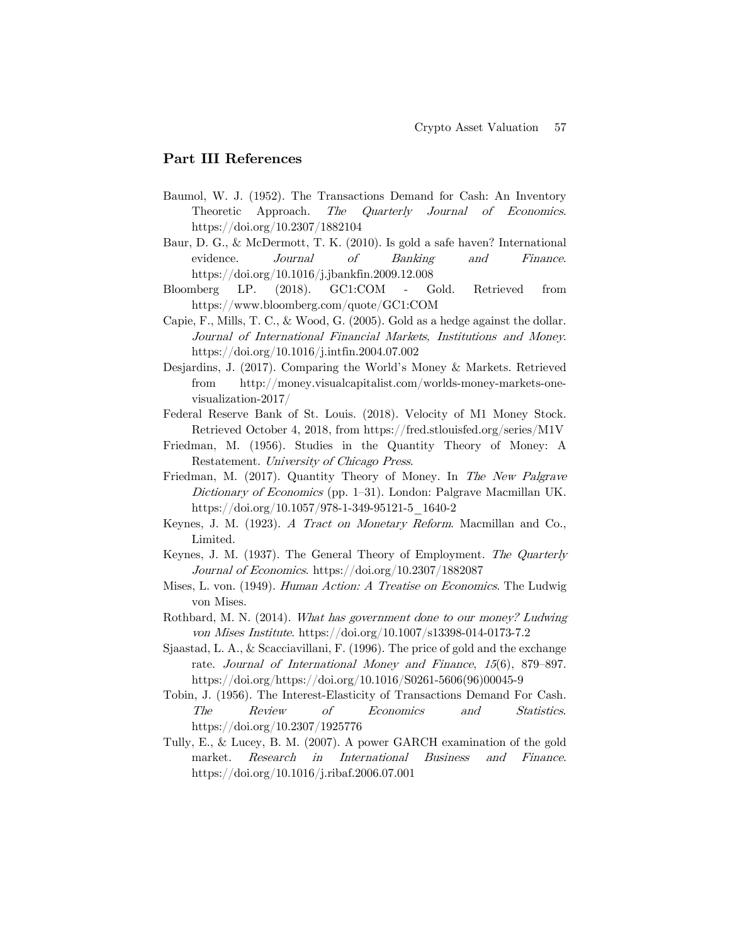# **Part III References**

- Baumol, W. J. (1952). The Transactions Demand for Cash: An Inventory Theoretic Approach. The Quarterly Journal of Economics. https://doi.org/10.2307/1882104
- Baur, D. G., & McDermott, T. K. (2010). Is gold a safe haven? International evidence. *Journal of Banking and Finance*. https://doi.org/10.1016/j.jbankfin.2009.12.008
- Bloomberg LP. (2018). GC1:COM Gold. Retrieved from https://www.bloomberg.com/quote/GC1:COM
- Capie, F., Mills, T. C., & Wood, G. (2005). Gold as a hedge against the dollar. Journal of International Financial Markets, Institutions and Money. https://doi.org/10.1016/j.intfin.2004.07.002
- Desjardins, J. (2017). Comparing the World's Money & Markets. Retrieved from http://money.visualcapitalist.com/worlds-money-markets-onevisualization-2017/
- Federal Reserve Bank of St. Louis. (2018). Velocity of M1 Money Stock. Retrieved October 4, 2018, from https://fred.stlouisfed.org/series/M1V
- Friedman, M. (1956). Studies in the Quantity Theory of Money: A Restatement. University of Chicago Press.
- Friedman, M. (2017). Quantity Theory of Money. In The New Palgrave Dictionary of Economics (pp. 1–31). London: Palgrave Macmillan UK. https://doi.org/10.1057/978-1-349-95121-5\_1640-2
- Keynes, J. M. (1923). A Tract on Monetary Reform. Macmillan and Co., Limited.
- Keynes, J. M. (1937). The General Theory of Employment. The Quarterly Journal of Economics. https://doi.org/10.2307/1882087
- Mises, L. von. (1949). Human Action: A Treatise on Economics. The Ludwig von Mises.
- Rothbard, M. N. (2014). What has government done to our money? Ludwing von Mises Institute. https://doi.org/10.1007/s13398-014-0173-7.2
- Sjaastad, L. A., & Scacciavillani, F. (1996). The price of gold and the exchange rate. Journal of International Money and Finance, 15(6), 879–897. https://doi.org/https://doi.org/10.1016/S0261-5606(96)00045-9
- Tobin, J. (1956). The Interest-Elasticity of Transactions Demand For Cash. The Review of Economics and Statistics. https://doi.org/10.2307/1925776
- Tully, E., & Lucey, B. M. (2007). A power GARCH examination of the gold market. Research in International Business and Finance. https://doi.org/10.1016/j.ribaf.2006.07.001